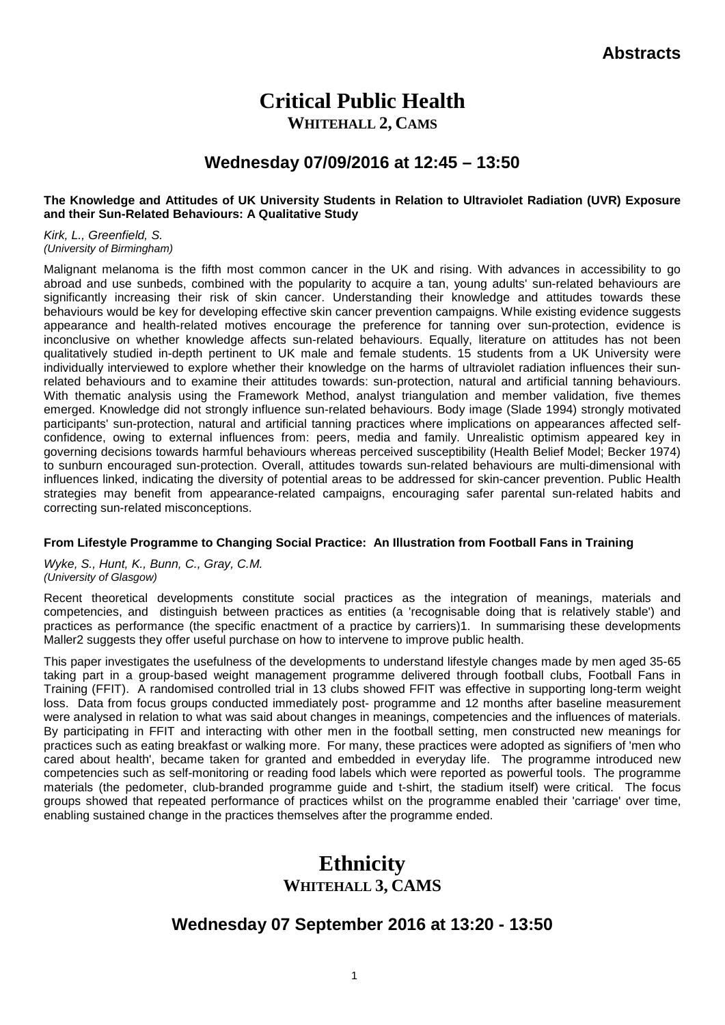# **Critical Public Health**

**WHITEHALL 2, CAMS**

# **Wednesday 07/09/2016 at 12:45 – 13:50**

### **The Knowledge and Attitudes of UK University Students in Relation to Ultraviolet Radiation (UVR) Exposure and their Sun-Related Behaviours: A Qualitative Study**

*Kirk, L., Greenfield, S. (University of Birmingham)*

Malignant melanoma is the fifth most common cancer in the UK and rising. With advances in accessibility to go abroad and use sunbeds, combined with the popularity to acquire a tan, young adults' sun-related behaviours are significantly increasing their risk of skin cancer. Understanding their knowledge and attitudes towards these behaviours would be key for developing effective skin cancer prevention campaigns. While existing evidence suggests appearance and health-related motives encourage the preference for tanning over sun-protection, evidence is inconclusive on whether knowledge affects sun-related behaviours. Equally, literature on attitudes has not been qualitatively studied in-depth pertinent to UK male and female students. 15 students from a UK University were individually interviewed to explore whether their knowledge on the harms of ultraviolet radiation influences their sunrelated behaviours and to examine their attitudes towards: sun-protection, natural and artificial tanning behaviours. With thematic analysis using the Framework Method, analyst triangulation and member validation, five themes emerged. Knowledge did not strongly influence sun-related behaviours. Body image (Slade 1994) strongly motivated participants' sun-protection, natural and artificial tanning practices where implications on appearances affected selfconfidence, owing to external influences from: peers, media and family. Unrealistic optimism appeared key in governing decisions towards harmful behaviours whereas perceived susceptibility (Health Belief Model; Becker 1974) to sunburn encouraged sun-protection. Overall, attitudes towards sun-related behaviours are multi-dimensional with influences linked, indicating the diversity of potential areas to be addressed for skin-cancer prevention. Public Health strategies may benefit from appearance-related campaigns, encouraging safer parental sun-related habits and correcting sun-related misconceptions.

## **From Lifestyle Programme to Changing Social Practice: An Illustration from Football Fans in Training**

*Wyke, S., Hunt, K., Bunn, C., Gray, C.M. (University of Glasgow)*

Recent theoretical developments constitute social practices as the integration of meanings, materials and competencies, and distinguish between practices as entities (a 'recognisable doing that is relatively stable') and practices as performance (the specific enactment of a practice by carriers)1. In summarising these developments Maller2 suggests they offer useful purchase on how to intervene to improve public health.

This paper investigates the usefulness of the developments to understand lifestyle changes made by men aged 35-65 taking part in a group-based weight management programme delivered through football clubs, Football Fans in Training (FFIT). A randomised controlled trial in 13 clubs showed FFIT was effective in supporting long-term weight loss. Data from focus groups conducted immediately post- programme and 12 months after baseline measurement were analysed in relation to what was said about changes in meanings, competencies and the influences of materials. By participating in FFIT and interacting with other men in the football setting, men constructed new meanings for practices such as eating breakfast or walking more. For many, these practices were adopted as signifiers of 'men who cared about health', became taken for granted and embedded in everyday life. The programme introduced new competencies such as self-monitoring or reading food labels which were reported as powerful tools. The programme materials (the pedometer, club-branded programme guide and t-shirt, the stadium itself) were critical. The focus groups showed that repeated performance of practices whilst on the programme enabled their 'carriage' over time, enabling sustained change in the practices themselves after the programme ended.

# **Ethnicity WHITEHALL 3, CAMS**

# **Wednesday 07 September 2016 at 13:20 - 13:50**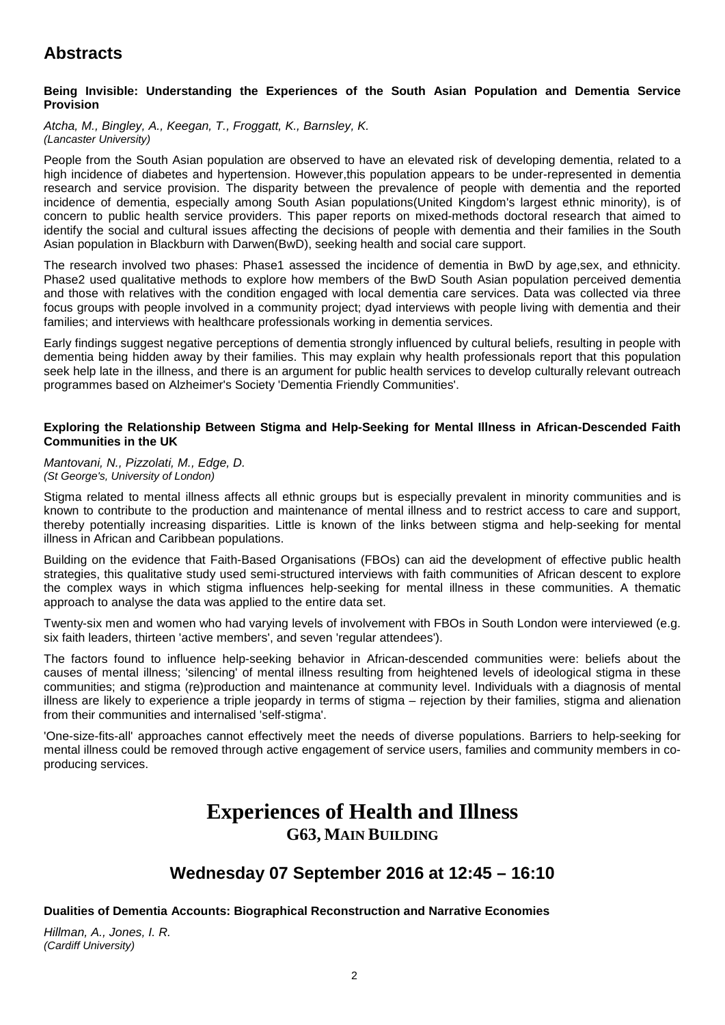## **Being Invisible: Understanding the Experiences of the South Asian Population and Dementia Service Provision**

### *Atcha, M., Bingley, A., Keegan, T., Froggatt, K., Barnsley, K. (Lancaster University)*

People from the South Asian population are observed to have an elevated risk of developing dementia, related to a high incidence of diabetes and hypertension. However,this population appears to be under-represented in dementia research and service provision. The disparity between the prevalence of people with dementia and the reported incidence of dementia, especially among South Asian populations(United Kingdom's largest ethnic minority), is of concern to public health service providers. This paper reports on mixed-methods doctoral research that aimed to identify the social and cultural issues affecting the decisions of people with dementia and their families in the South Asian population in Blackburn with Darwen(BwD), seeking health and social care support.

The research involved two phases: Phase1 assessed the incidence of dementia in BwD by age,sex, and ethnicity. Phase2 used qualitative methods to explore how members of the BwD South Asian population perceived dementia and those with relatives with the condition engaged with local dementia care services. Data was collected via three focus groups with people involved in a community project; dyad interviews with people living with dementia and their families; and interviews with healthcare professionals working in dementia services.

Early findings suggest negative perceptions of dementia strongly influenced by cultural beliefs, resulting in people with dementia being hidden away by their families. This may explain why health professionals report that this population seek help late in the illness, and there is an argument for public health services to develop culturally relevant outreach programmes based on Alzheimer's Society 'Dementia Friendly Communities'.

### **Exploring the Relationship Between Stigma and Help-Seeking for Mental Illness in African-Descended Faith Communities in the UK**

### *Mantovani, N., Pizzolati, M., Edge, D. (St George's, University of London)*

Stigma related to mental illness affects all ethnic groups but is especially prevalent in minority communities and is known to contribute to the production and maintenance of mental illness and to restrict access to care and support, thereby potentially increasing disparities. Little is known of the links between stigma and help-seeking for mental illness in African and Caribbean populations.

Building on the evidence that Faith-Based Organisations (FBOs) can aid the development of effective public health strategies, this qualitative study used semi-structured interviews with faith communities of African descent to explore the complex ways in which stigma influences help-seeking for mental illness in these communities. A thematic approach to analyse the data was applied to the entire data set.

Twenty-six men and women who had varying levels of involvement with FBOs in South London were interviewed (e.g. six faith leaders, thirteen 'active members', and seven 'regular attendees').

The factors found to influence help-seeking behavior in African-descended communities were: beliefs about the causes of mental illness; 'silencing' of mental illness resulting from heightened levels of ideological stigma in these communities; and stigma (re)production and maintenance at community level. Individuals with a diagnosis of mental illness are likely to experience a triple jeopardy in terms of stigma – rejection by their families, stigma and alienation from their communities and internalised 'self-stigma'.

'One-size-fits-all' approaches cannot effectively meet the needs of diverse populations. Barriers to help-seeking for mental illness could be removed through active engagement of service users, families and community members in coproducing services.

# **Experiences of Health and Illness G63, MAIN BUILDING**

# **Wednesday 07 September 2016 at 12:45 – 16:10**

## **Dualities of Dementia Accounts: Biographical Reconstruction and Narrative Economies**

*Hillman, A., Jones, I. R. (Cardiff University)*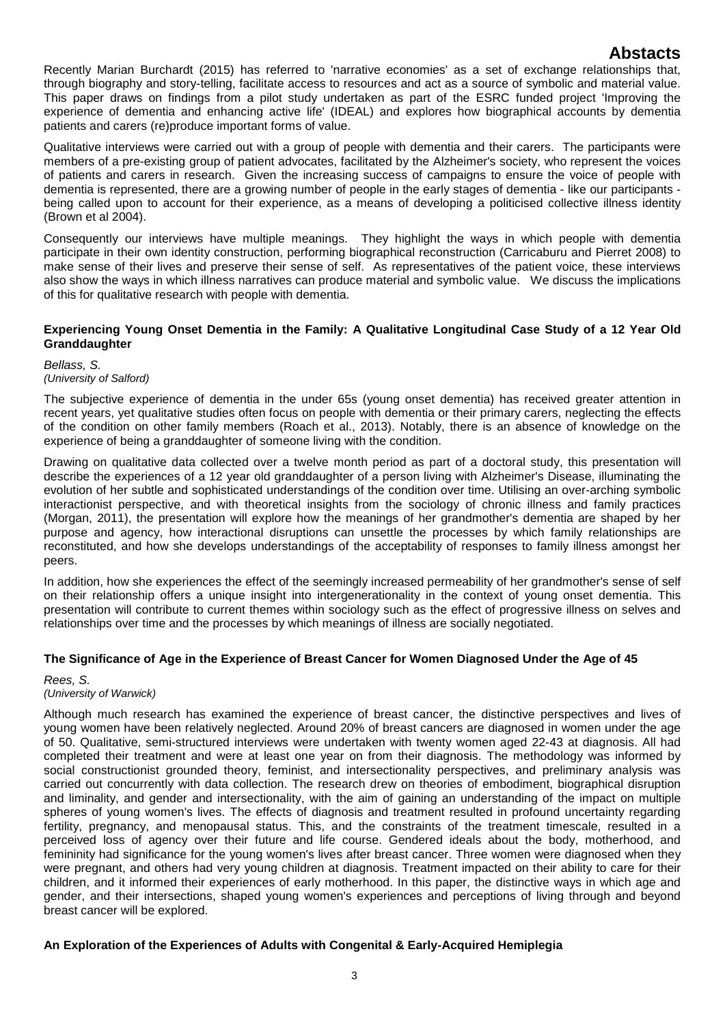Recently Marian Burchardt (2015) has referred to 'narrative economies' as a set of exchange relationships that, through biography and story-telling, facilitate access to resources and act as a source of symbolic and material value. This paper draws on findings from a pilot study undertaken as part of the ESRC funded project 'Improving the experience of dementia and enhancing active life' (IDEAL) and explores how biographical accounts by dementia patients and carers (re)produce important forms of value.

Qualitative interviews were carried out with a group of people with dementia and their carers. The participants were members of a pre-existing group of patient advocates, facilitated by the Alzheimer's society, who represent the voices of patients and carers in research. Given the increasing success of campaigns to ensure the voice of people with dementia is represented, there are a growing number of people in the early stages of dementia - like our participants being called upon to account for their experience, as a means of developing a politicised collective illness identity (Brown et al 2004).

Consequently our interviews have multiple meanings. They highlight the ways in which people with dementia participate in their own identity construction, performing biographical reconstruction (Carricaburu and Pierret 2008) to make sense of their lives and preserve their sense of self. As representatives of the patient voice, these interviews also show the ways in which illness narratives can produce material and symbolic value. We discuss the implications of this for qualitative research with people with dementia.

### **Experiencing Young Onset Dementia in the Family: A Qualitative Longitudinal Case Study of a 12 Year Old Granddaughter**

### *Bellass, S.*

### *(University of Salford)*

The subjective experience of dementia in the under 65s (young onset dementia) has received greater attention in recent years, yet qualitative studies often focus on people with dementia or their primary carers, neglecting the effects of the condition on other family members (Roach et al., 2013). Notably, there is an absence of knowledge on the experience of being a granddaughter of someone living with the condition.

Drawing on qualitative data collected over a twelve month period as part of a doctoral study, this presentation will describe the experiences of a 12 year old granddaughter of a person living with Alzheimer's Disease, illuminating the evolution of her subtle and sophisticated understandings of the condition over time. Utilising an over-arching symbolic interactionist perspective, and with theoretical insights from the sociology of chronic illness and family practices (Morgan, 2011), the presentation will explore how the meanings of her grandmother's dementia are shaped by her purpose and agency, how interactional disruptions can unsettle the processes by which family relationships are reconstituted, and how she develops understandings of the acceptability of responses to family illness amongst her peers.

In addition, how she experiences the effect of the seemingly increased permeability of her grandmother's sense of self on their relationship offers a unique insight into intergenerationality in the context of young onset dementia. This presentation will contribute to current themes within sociology such as the effect of progressive illness on selves and relationships over time and the processes by which meanings of illness are socially negotiated.

## **The Significance of Age in the Experience of Breast Cancer for Women Diagnosed Under the Age of 45**

### *Rees, S. (University of Warwick)*

Although much research has examined the experience of breast cancer, the distinctive perspectives and lives of young women have been relatively neglected. Around 20% of breast cancers are diagnosed in women under the age of 50. Qualitative, semi-structured interviews were undertaken with twenty women aged 22-43 at diagnosis. All had completed their treatment and were at least one year on from their diagnosis. The methodology was informed by social constructionist grounded theory, feminist, and intersectionality perspectives, and preliminary analysis was carried out concurrently with data collection. The research drew on theories of embodiment, biographical disruption and liminality, and gender and intersectionality, with the aim of gaining an understanding of the impact on multiple spheres of young women's lives. The effects of diagnosis and treatment resulted in profound uncertainty regarding fertility, pregnancy, and menopausal status. This, and the constraints of the treatment timescale, resulted in a perceived loss of agency over their future and life course. Gendered ideals about the body, motherhood, and femininity had significance for the young women's lives after breast cancer. Three women were diagnosed when they were pregnant, and others had very young children at diagnosis. Treatment impacted on their ability to care for their children, and it informed their experiences of early motherhood. In this paper, the distinctive ways in which age and gender, and their intersections, shaped young women's experiences and perceptions of living through and beyond breast cancer will be explored.

## **An Exploration of the Experiences of Adults with Congenital & Early-Acquired Hemiplegia**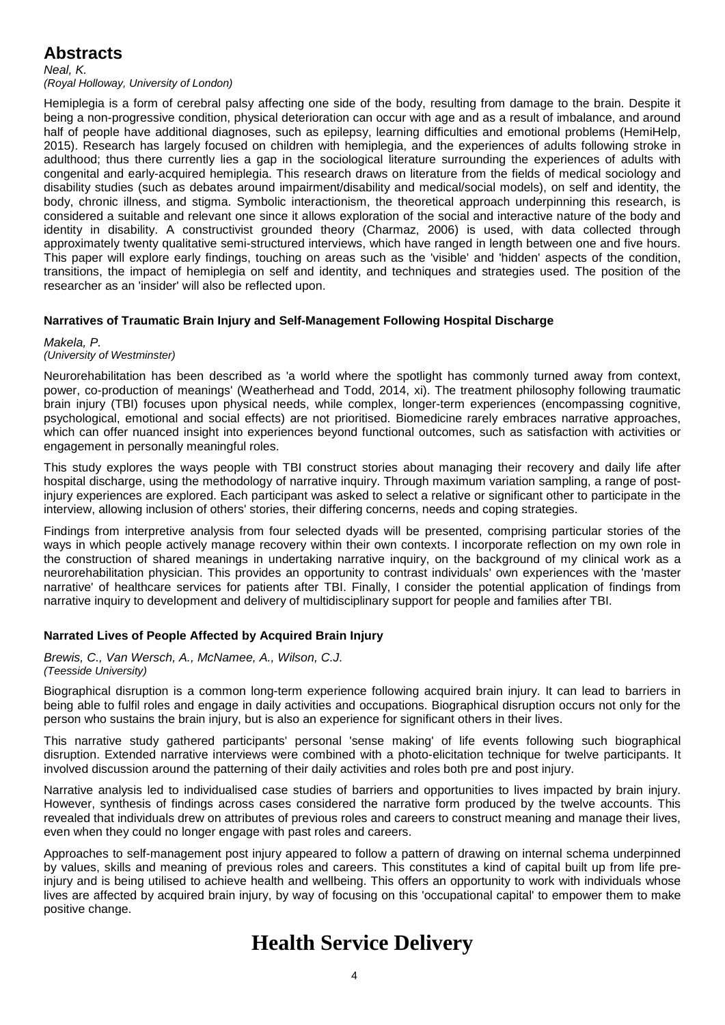*Neal, K.*

*(Royal Holloway, University of London)*

Hemiplegia is a form of cerebral palsy affecting one side of the body, resulting from damage to the brain. Despite it being a non-progressive condition, physical deterioration can occur with age and as a result of imbalance, and around half of people have additional diagnoses, such as epilepsy, learning difficulties and emotional problems (HemiHelp, 2015). Research has largely focused on children with hemiplegia, and the experiences of adults following stroke in adulthood; thus there currently lies a gap in the sociological literature surrounding the experiences of adults with congenital and early-acquired hemiplegia. This research draws on literature from the fields of medical sociology and disability studies (such as debates around impairment/disability and medical/social models), on self and identity, the body, chronic illness, and stigma. Symbolic interactionism, the theoretical approach underpinning this research, is considered a suitable and relevant one since it allows exploration of the social and interactive nature of the body and identity in disability. A constructivist grounded theory (Charmaz, 2006) is used, with data collected through approximately twenty qualitative semi-structured interviews, which have ranged in length between one and five hours. This paper will explore early findings, touching on areas such as the 'visible' and 'hidden' aspects of the condition, transitions, the impact of hemiplegia on self and identity, and techniques and strategies used. The position of the researcher as an 'insider' will also be reflected upon.

## **Narratives of Traumatic Brain Injury and Self-Management Following Hospital Discharge**

### *Makela, P.*

### *(University of Westminster)*

Neurorehabilitation has been described as 'a world where the spotlight has commonly turned away from context, power, co-production of meanings' (Weatherhead and Todd, 2014, xi). The treatment philosophy following traumatic brain injury (TBI) focuses upon physical needs, while complex, longer-term experiences (encompassing cognitive, psychological, emotional and social effects) are not prioritised. Biomedicine rarely embraces narrative approaches, which can offer nuanced insight into experiences beyond functional outcomes, such as satisfaction with activities or engagement in personally meaningful roles.

This study explores the ways people with TBI construct stories about managing their recovery and daily life after hospital discharge, using the methodology of narrative inquiry. Through maximum variation sampling, a range of postinjury experiences are explored. Each participant was asked to select a relative or significant other to participate in the interview, allowing inclusion of others' stories, their differing concerns, needs and coping strategies.

Findings from interpretive analysis from four selected dyads will be presented, comprising particular stories of the ways in which people actively manage recovery within their own contexts. I incorporate reflection on my own role in the construction of shared meanings in undertaking narrative inquiry, on the background of my clinical work as a neurorehabilitation physician. This provides an opportunity to contrast individuals' own experiences with the 'master narrative' of healthcare services for patients after TBI. Finally, I consider the potential application of findings from narrative inquiry to development and delivery of multidisciplinary support for people and families after TBI.

## **Narrated Lives of People Affected by Acquired Brain Injury**

### *Brewis, C., Van Wersch, A., McNamee, A., Wilson, C.J. (Teesside University)*

Biographical disruption is a common long-term experience following acquired brain injury. It can lead to barriers in being able to fulfil roles and engage in daily activities and occupations. Biographical disruption occurs not only for the person who sustains the brain injury, but is also an experience for significant others in their lives.

This narrative study gathered participants' personal 'sense making' of life events following such biographical disruption. Extended narrative interviews were combined with a photo-elicitation technique for twelve participants. It involved discussion around the patterning of their daily activities and roles both pre and post injury.

Narrative analysis led to individualised case studies of barriers and opportunities to lives impacted by brain injury. However, synthesis of findings across cases considered the narrative form produced by the twelve accounts. This revealed that individuals drew on attributes of previous roles and careers to construct meaning and manage their lives, even when they could no longer engage with past roles and careers.

Approaches to self-management post injury appeared to follow a pattern of drawing on internal schema underpinned by values, skills and meaning of previous roles and careers. This constitutes a kind of capital built up from life preinjury and is being utilised to achieve health and wellbeing. This offers an opportunity to work with individuals whose lives are affected by acquired brain injury, by way of focusing on this 'occupational capital' to empower them to make positive change.

# **Health Service Delivery**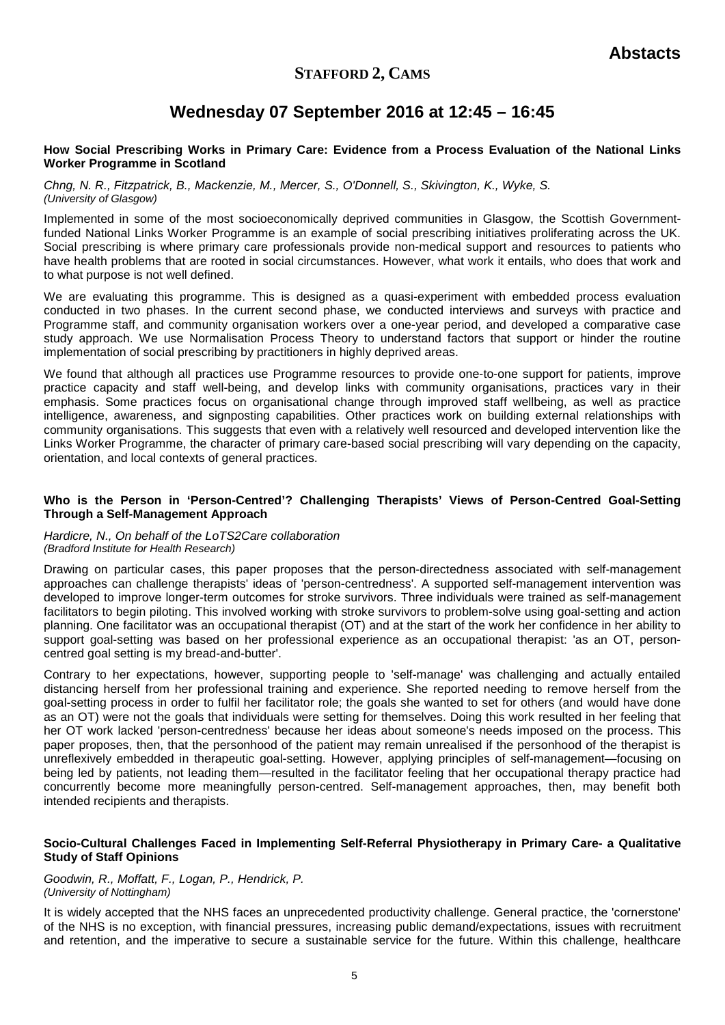## **STAFFORD 2, CAMS**

# **Wednesday 07 September 2016 at 12:45 – 16:45**

### **How Social Prescribing Works in Primary Care: Evidence from a Process Evaluation of the National Links Worker Programme in Scotland**

*Chng, N. R., Fitzpatrick, B., Mackenzie, M., Mercer, S., O'Donnell, S., Skivington, K., Wyke, S. (University of Glasgow)*

Implemented in some of the most socioeconomically deprived communities in Glasgow, the Scottish Governmentfunded National Links Worker Programme is an example of social prescribing initiatives proliferating across the UK. Social prescribing is where primary care professionals provide non-medical support and resources to patients who have health problems that are rooted in social circumstances. However, what work it entails, who does that work and to what purpose is not well defined.

We are evaluating this programme. This is designed as a quasi-experiment with embedded process evaluation conducted in two phases. In the current second phase, we conducted interviews and surveys with practice and Programme staff, and community organisation workers over a one-year period, and developed a comparative case study approach. We use Normalisation Process Theory to understand factors that support or hinder the routine implementation of social prescribing by practitioners in highly deprived areas.

We found that although all practices use Programme resources to provide one-to-one support for patients, improve practice capacity and staff well-being, and develop links with community organisations, practices vary in their emphasis. Some practices focus on organisational change through improved staff wellbeing, as well as practice intelligence, awareness, and signposting capabilities. Other practices work on building external relationships with community organisations. This suggests that even with a relatively well resourced and developed intervention like the Links Worker Programme, the character of primary care-based social prescribing will vary depending on the capacity, orientation, and local contexts of general practices.

### **Who is the Person in 'Person-Centred'? Challenging Therapists' Views of Person-Centred Goal-Setting Through a Self-Management Approach**

#### *Hardicre, N., On behalf of the LoTS2Care collaboration (Bradford Institute for Health Research)*

Drawing on particular cases, this paper proposes that the person-directedness associated with self-management approaches can challenge therapists' ideas of 'person-centredness'. A supported self-management intervention was developed to improve longer-term outcomes for stroke survivors. Three individuals were trained as self-management facilitators to begin piloting. This involved working with stroke survivors to problem-solve using goal-setting and action planning. One facilitator was an occupational therapist (OT) and at the start of the work her confidence in her ability to support goal-setting was based on her professional experience as an occupational therapist: 'as an OT, personcentred goal setting is my bread-and-butter'.

Contrary to her expectations, however, supporting people to 'self-manage' was challenging and actually entailed distancing herself from her professional training and experience. She reported needing to remove herself from the goal-setting process in order to fulfil her facilitator role; the goals she wanted to set for others (and would have done as an OT) were not the goals that individuals were setting for themselves. Doing this work resulted in her feeling that her OT work lacked 'person-centredness' because her ideas about someone's needs imposed on the process. This paper proposes, then, that the personhood of the patient may remain unrealised if the personhood of the therapist is unreflexively embedded in therapeutic goal-setting. However, applying principles of self-management—focusing on being led by patients, not leading them—resulted in the facilitator feeling that her occupational therapy practice had concurrently become more meaningfully person-centred. Self-management approaches, then, may benefit both intended recipients and therapists.

### **Socio-Cultural Challenges Faced in Implementing Self-Referral Physiotherapy in Primary Care- a Qualitative Study of Staff Opinions**

### *Goodwin, R., Moffatt, F., Logan, P., Hendrick, P. (University of Nottingham)*

It is widely accepted that the NHS faces an unprecedented productivity challenge. General practice, the 'cornerstone' of the NHS is no exception, with financial pressures, increasing public demand/expectations, issues with recruitment and retention, and the imperative to secure a sustainable service for the future. Within this challenge, healthcare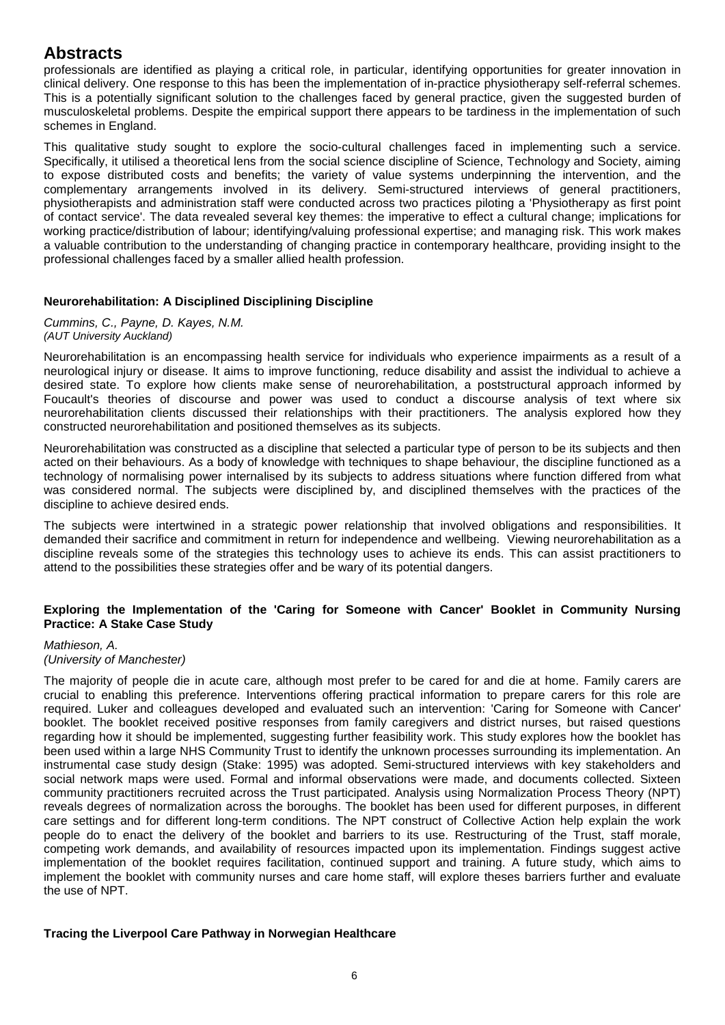professionals are identified as playing a critical role, in particular, identifying opportunities for greater innovation in clinical delivery. One response to this has been the implementation of in-practice physiotherapy self-referral schemes. This is a potentially significant solution to the challenges faced by general practice, given the suggested burden of musculoskeletal problems. Despite the empirical support there appears to be tardiness in the implementation of such schemes in England.

This qualitative study sought to explore the socio-cultural challenges faced in implementing such a service. Specifically, it utilised a theoretical lens from the social science discipline of Science, Technology and Society, aiming to expose distributed costs and benefits; the variety of value systems underpinning the intervention, and the complementary arrangements involved in its delivery. Semi-structured interviews of general practitioners, physiotherapists and administration staff were conducted across two practices piloting a 'Physiotherapy as first point of contact service'. The data revealed several key themes: the imperative to effect a cultural change; implications for working practice/distribution of labour; identifying/valuing professional expertise; and managing risk. This work makes a valuable contribution to the understanding of changing practice in contemporary healthcare, providing insight to the professional challenges faced by a smaller allied health profession.

## **Neurorehabilitation: A Disciplined Disciplining Discipline**

*Cummins, C., Payne, D. Kayes, N.M. (AUT University Auckland)*

Neurorehabilitation is an encompassing health service for individuals who experience impairments as a result of a neurological injury or disease. It aims to improve functioning, reduce disability and assist the individual to achieve a desired state. To explore how clients make sense of neurorehabilitation, a poststructural approach informed by Foucault's theories of discourse and power was used to conduct a discourse analysis of text where six neurorehabilitation clients discussed their relationships with their practitioners. The analysis explored how they constructed neurorehabilitation and positioned themselves as its subjects.

Neurorehabilitation was constructed as a discipline that selected a particular type of person to be its subjects and then acted on their behaviours. As a body of knowledge with techniques to shape behaviour, the discipline functioned as a technology of normalising power internalised by its subjects to address situations where function differed from what was considered normal. The subjects were disciplined by, and disciplined themselves with the practices of the discipline to achieve desired ends.

The subjects were intertwined in a strategic power relationship that involved obligations and responsibilities. It demanded their sacrifice and commitment in return for independence and wellbeing. Viewing neurorehabilitation as a discipline reveals some of the strategies this technology uses to achieve its ends. This can assist practitioners to attend to the possibilities these strategies offer and be wary of its potential dangers.

## **Exploring the Implementation of the 'Caring for Someone with Cancer' Booklet in Community Nursing Practice: A Stake Case Study**

### *Mathieson, A. (University of Manchester)*

The majority of people die in acute care, although most prefer to be cared for and die at home. Family carers are crucial to enabling this preference. Interventions offering practical information to prepare carers for this role are required. Luker and colleagues developed and evaluated such an intervention: 'Caring for Someone with Cancer' booklet. The booklet received positive responses from family caregivers and district nurses, but raised questions regarding how it should be implemented, suggesting further feasibility work. This study explores how the booklet has been used within a large NHS Community Trust to identify the unknown processes surrounding its implementation. An instrumental case study design (Stake: 1995) was adopted. Semi-structured interviews with key stakeholders and social network maps were used. Formal and informal observations were made, and documents collected. Sixteen community practitioners recruited across the Trust participated. Analysis using Normalization Process Theory (NPT) reveals degrees of normalization across the boroughs. The booklet has been used for different purposes, in different care settings and for different long-term conditions. The NPT construct of Collective Action help explain the work people do to enact the delivery of the booklet and barriers to its use. Restructuring of the Trust, staff morale, competing work demands, and availability of resources impacted upon its implementation. Findings suggest active implementation of the booklet requires facilitation, continued support and training. A future study, which aims to implement the booklet with community nurses and care home staff, will explore theses barriers further and evaluate the use of NPT.

## **Tracing the Liverpool Care Pathway in Norwegian Healthcare**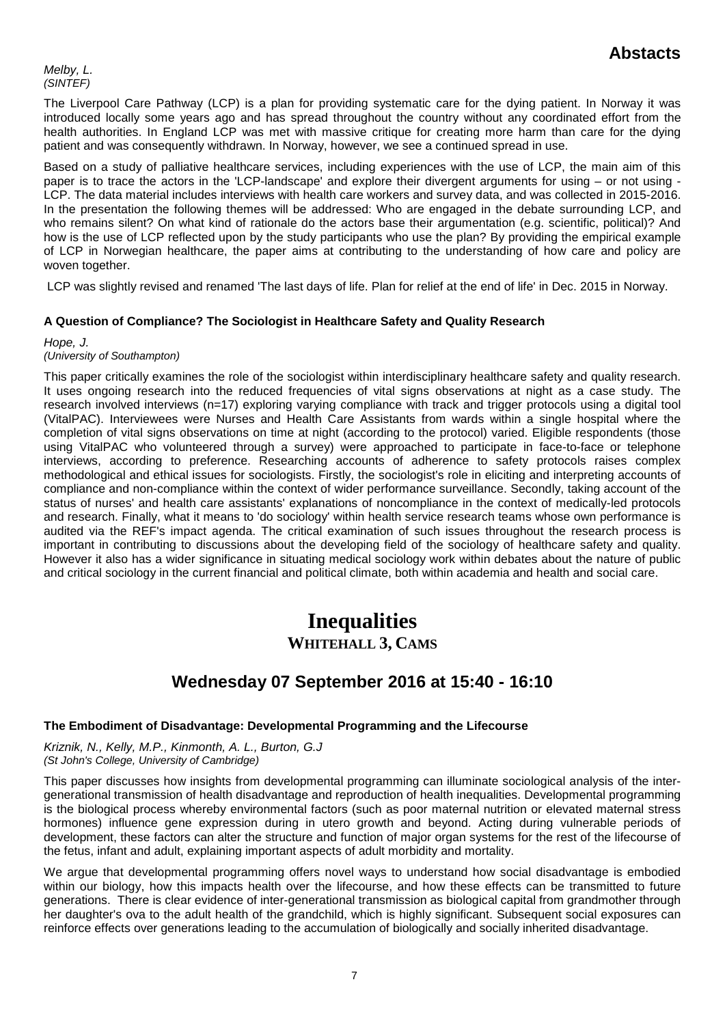*Melby, L. (SINTEF)*

The Liverpool Care Pathway (LCP) is a plan for providing systematic care for the dying patient. In Norway it was introduced locally some years ago and has spread throughout the country without any coordinated effort from the health authorities. In England LCP was met with massive critique for creating more harm than care for the dying patient and was consequently withdrawn. In Norway, however, we see a continued spread in use.

Based on a study of palliative healthcare services, including experiences with the use of LCP, the main aim of this paper is to trace the actors in the 'LCP-landscape' and explore their divergent arguments for using – or not using - LCP. The data material includes interviews with health care workers and survey data, and was collected in 2015-2016. In the presentation the following themes will be addressed: Who are engaged in the debate surrounding LCP, and who remains silent? On what kind of rationale do the actors base their argumentation (e.g. scientific, political)? And how is the use of LCP reflected upon by the study participants who use the plan? By providing the empirical example of LCP in Norwegian healthcare, the paper aims at contributing to the understanding of how care and policy are woven together.

LCP was slightly revised and renamed 'The last days of life. Plan for relief at the end of life' in Dec. 2015 in Norway.

## **A Question of Compliance? The Sociologist in Healthcare Safety and Quality Research**

*Hope, J. (University of Southampton)*

This paper critically examines the role of the sociologist within interdisciplinary healthcare safety and quality research. It uses ongoing research into the reduced frequencies of vital signs observations at night as a case study. The research involved interviews (n=17) exploring varying compliance with track and trigger protocols using a digital tool (VitalPAC). Interviewees were Nurses and Health Care Assistants from wards within a single hospital where the completion of vital signs observations on time at night (according to the protocol) varied. Eligible respondents (those using VitalPAC who volunteered through a survey) were approached to participate in face-to-face or telephone interviews, according to preference. Researching accounts of adherence to safety protocols raises complex methodological and ethical issues for sociologists. Firstly, the sociologist's role in eliciting and interpreting accounts of compliance and non-compliance within the context of wider performance surveillance. Secondly, taking account of the status of nurses' and health care assistants' explanations of noncompliance in the context of medically-led protocols and research. Finally, what it means to 'do sociology' within health service research teams whose own performance is audited via the REF's impact agenda. The critical examination of such issues throughout the research process is important in contributing to discussions about the developing field of the sociology of healthcare safety and quality. However it also has a wider significance in situating medical sociology work within debates about the nature of public and critical sociology in the current financial and political climate, both within academia and health and social care.

# **Inequalities WHITEHALL 3, CAMS**

# **Wednesday 07 September 2016 at 15:40 - 16:10**

## **The Embodiment of Disadvantage: Developmental Programming and the Lifecourse**

*Kriznik, N., Kelly, M.P., Kinmonth, A. L., Burton, G.J (St John's College, University of Cambridge)*

This paper discusses how insights from developmental programming can illuminate sociological analysis of the intergenerational transmission of health disadvantage and reproduction of health inequalities. Developmental programming is the biological process whereby environmental factors (such as poor maternal nutrition or elevated maternal stress hormones) influence gene expression during in utero growth and beyond. Acting during vulnerable periods of development, these factors can alter the structure and function of major organ systems for the rest of the lifecourse of the fetus, infant and adult, explaining important aspects of adult morbidity and mortality.

We argue that developmental programming offers novel ways to understand how social disadvantage is embodied within our biology, how this impacts health over the lifecourse, and how these effects can be transmitted to future generations. There is clear evidence of inter-generational transmission as biological capital from grandmother through her daughter's ova to the adult health of the grandchild, which is highly significant. Subsequent social exposures can reinforce effects over generations leading to the accumulation of biologically and socially inherited disadvantage.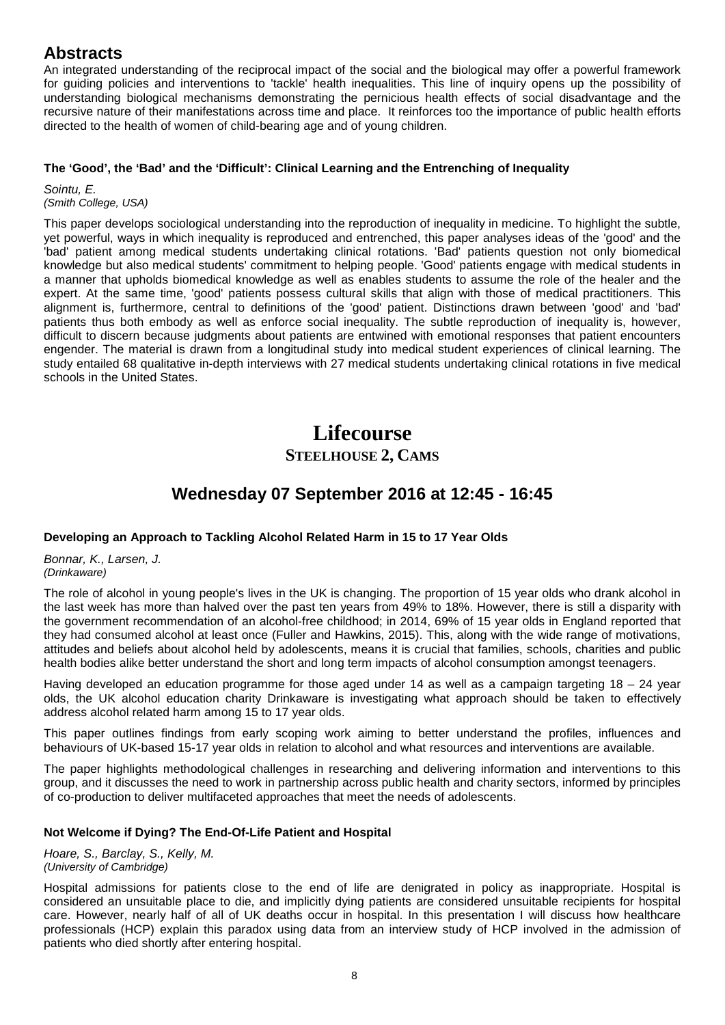An integrated understanding of the reciprocal impact of the social and the biological may offer a powerful framework for guiding policies and interventions to 'tackle' health inequalities. This line of inquiry opens up the possibility of understanding biological mechanisms demonstrating the pernicious health effects of social disadvantage and the recursive nature of their manifestations across time and place. It reinforces too the importance of public health efforts directed to the health of women of child-bearing age and of young children.

## **The 'Good', the 'Bad' and the 'Difficult': Clinical Learning and the Entrenching of Inequality**

*Sointu, E. (Smith College, USA)*

This paper develops sociological understanding into the reproduction of inequality in medicine. To highlight the subtle, yet powerful, ways in which inequality is reproduced and entrenched, this paper analyses ideas of the 'good' and the 'bad' patient among medical students undertaking clinical rotations. 'Bad' patients question not only biomedical knowledge but also medical students' commitment to helping people. 'Good' patients engage with medical students in a manner that upholds biomedical knowledge as well as enables students to assume the role of the healer and the expert. At the same time, 'good' patients possess cultural skills that align with those of medical practitioners. This alignment is, furthermore, central to definitions of the 'good' patient. Distinctions drawn between 'good' and 'bad' patients thus both embody as well as enforce social inequality. The subtle reproduction of inequality is, however, difficult to discern because judgments about patients are entwined with emotional responses that patient encounters engender. The material is drawn from a longitudinal study into medical student experiences of clinical learning. The study entailed 68 qualitative in-depth interviews with 27 medical students undertaking clinical rotations in five medical schools in the United States.

# **Lifecourse STEELHOUSE 2, CAMS**

# **Wednesday 07 September 2016 at 12:45 - 16:45**

## **Developing an Approach to Tackling Alcohol Related Harm in 15 to 17 Year Olds**

*Bonnar, K., Larsen, J. (Drinkaware)*

The role of alcohol in young people's lives in the UK is changing. The proportion of 15 year olds who drank alcohol in the last week has more than halved over the past ten years from 49% to 18%. However, there is still a disparity with the government recommendation of an alcohol-free childhood; in 2014, 69% of 15 year olds in England reported that they had consumed alcohol at least once (Fuller and Hawkins, 2015). This, along with the wide range of motivations, attitudes and beliefs about alcohol held by adolescents, means it is crucial that families, schools, charities and public health bodies alike better understand the short and long term impacts of alcohol consumption amongst teenagers.

Having developed an education programme for those aged under 14 as well as a campaign targeting 18 – 24 year olds, the UK alcohol education charity Drinkaware is investigating what approach should be taken to effectively address alcohol related harm among 15 to 17 year olds.

This paper outlines findings from early scoping work aiming to better understand the profiles, influences and behaviours of UK-based 15-17 year olds in relation to alcohol and what resources and interventions are available.

The paper highlights methodological challenges in researching and delivering information and interventions to this group, and it discusses the need to work in partnership across public health and charity sectors, informed by principles of co-production to deliver multifaceted approaches that meet the needs of adolescents.

## **Not Welcome if Dying? The End-Of-Life Patient and Hospital**

*Hoare, S., Barclay, S., Kelly, M. (University of Cambridge)*

Hospital admissions for patients close to the end of life are denigrated in policy as inappropriate. Hospital is considered an unsuitable place to die, and implicitly dying patients are considered unsuitable recipients for hospital care. However, nearly half of all of UK deaths occur in hospital. In this presentation I will discuss how healthcare professionals (HCP) explain this paradox using data from an interview study of HCP involved in the admission of patients who died shortly after entering hospital.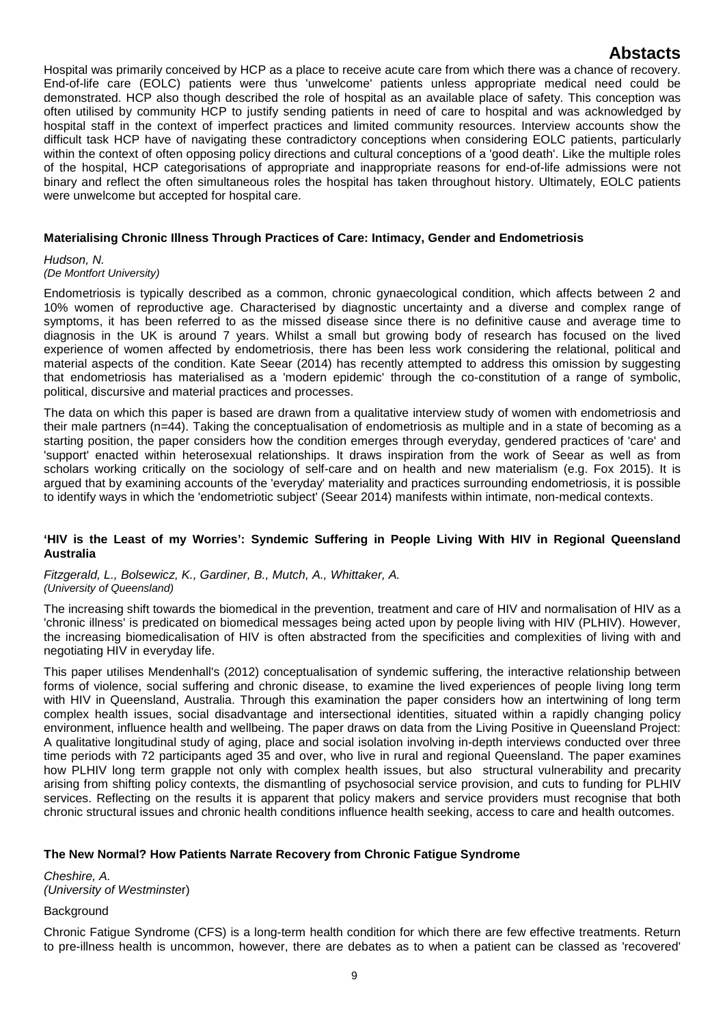Hospital was primarily conceived by HCP as a place to receive acute care from which there was a chance of recovery. End-of-life care (EOLC) patients were thus 'unwelcome' patients unless appropriate medical need could be demonstrated. HCP also though described the role of hospital as an available place of safety. This conception was often utilised by community HCP to justify sending patients in need of care to hospital and was acknowledged by hospital staff in the context of imperfect practices and limited community resources. Interview accounts show the difficult task HCP have of navigating these contradictory conceptions when considering EOLC patients, particularly within the context of often opposing policy directions and cultural conceptions of a 'good death'. Like the multiple roles of the hospital, HCP categorisations of appropriate and inappropriate reasons for end-of-life admissions were not binary and reflect the often simultaneous roles the hospital has taken throughout history. Ultimately, EOLC patients were unwelcome but accepted for hospital care.

## **Materialising Chronic Illness Through Practices of Care: Intimacy, Gender and Endometriosis**

## *Hudson, N.*

### *(De Montfort University)*

Endometriosis is typically described as a common, chronic gynaecological condition, which affects between 2 and 10% women of reproductive age. Characterised by diagnostic uncertainty and a diverse and complex range of symptoms, it has been referred to as the missed disease since there is no definitive cause and average time to diagnosis in the UK is around 7 years. Whilst a small but growing body of research has focused on the lived experience of women affected by endometriosis, there has been less work considering the relational, political and material aspects of the condition. Kate Seear (2014) has recently attempted to address this omission by suggesting that endometriosis has materialised as a 'modern epidemic' through the co-constitution of a range of symbolic, political, discursive and material practices and processes.

The data on which this paper is based are drawn from a qualitative interview study of women with endometriosis and their male partners (n=44). Taking the conceptualisation of endometriosis as multiple and in a state of becoming as a starting position, the paper considers how the condition emerges through everyday, gendered practices of 'care' and 'support' enacted within heterosexual relationships. It draws inspiration from the work of Seear as well as from scholars working critically on the sociology of self-care and on health and new materialism (e.g. Fox 2015). It is argued that by examining accounts of the 'everyday' materiality and practices surrounding endometriosis, it is possible to identify ways in which the 'endometriotic subject' (Seear 2014) manifests within intimate, non-medical contexts.

### **'HIV is the Least of my Worries': Syndemic Suffering in People Living With HIV in Regional Queensland Australia**

*Fitzgerald, L., Bolsewicz, K., Gardiner, B., Mutch, A., Whittaker, A. (University of Queensland)*

The increasing shift towards the biomedical in the prevention, treatment and care of HIV and normalisation of HIV as a 'chronic illness' is predicated on biomedical messages being acted upon by people living with HIV (PLHIV). However, the increasing biomedicalisation of HIV is often abstracted from the specificities and complexities of living with and negotiating HIV in everyday life.

This paper utilises Mendenhall's (2012) conceptualisation of syndemic suffering, the interactive relationship between forms of violence, social suffering and chronic disease, to examine the lived experiences of people living long term with HIV in Queensland, Australia. Through this examination the paper considers how an intertwining of long term complex health issues, social disadvantage and intersectional identities, situated within a rapidly changing policy environment, influence health and wellbeing. The paper draws on data from the Living Positive in Queensland Project: A qualitative longitudinal study of aging, place and social isolation involving in-depth interviews conducted over three time periods with 72 participants aged 35 and over, who live in rural and regional Queensland. The paper examines how PLHIV long term grapple not only with complex health issues, but also structural vulnerability and precarity arising from shifting policy contexts, the dismantling of psychosocial service provision, and cuts to funding for PLHIV services. Reflecting on the results it is apparent that policy makers and service providers must recognise that both chronic structural issues and chronic health conditions influence health seeking, access to care and health outcomes.

## **The New Normal? How Patients Narrate Recovery from Chronic Fatigue Syndrome**

*Cheshire, A. (University of Westminste*r)

## **Background**

Chronic Fatigue Syndrome (CFS) is a long-term health condition for which there are few effective treatments. Return to pre-illness health is uncommon, however, there are debates as to when a patient can be classed as 'recovered'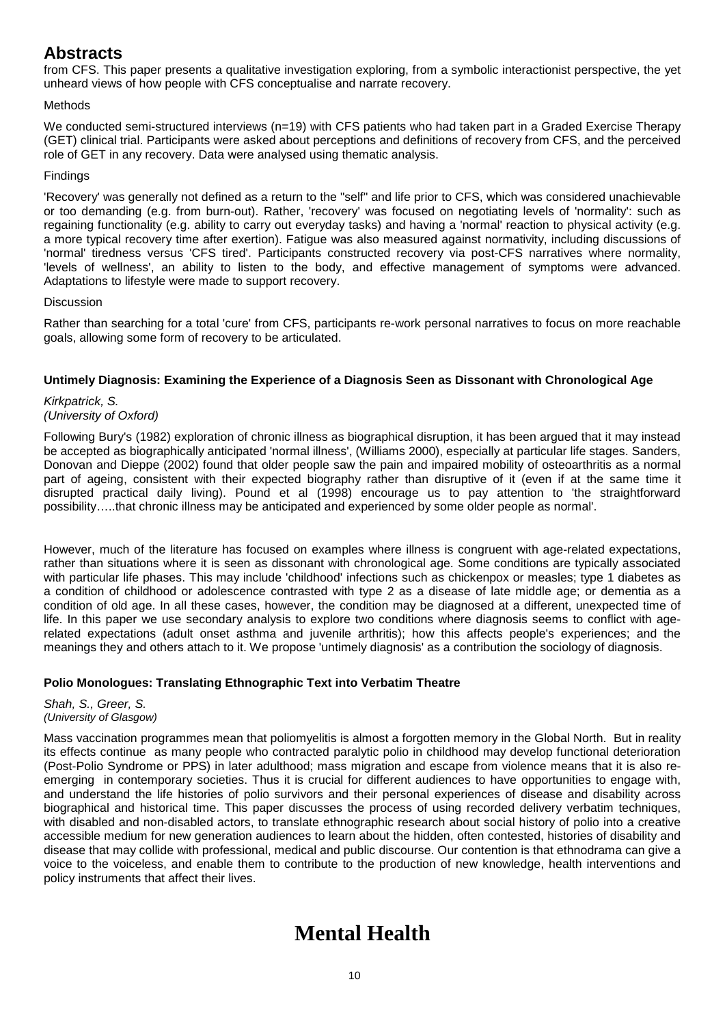from CFS. This paper presents a qualitative investigation exploring, from a symbolic interactionist perspective, the yet unheard views of how people with CFS conceptualise and narrate recovery.

## Methods

We conducted semi-structured interviews (n=19) with CFS patients who had taken part in a Graded Exercise Therapy (GET) clinical trial. Participants were asked about perceptions and definitions of recovery from CFS, and the perceived role of GET in any recovery. Data were analysed using thematic analysis.

## Findings

'Recovery' was generally not defined as a return to the "self" and life prior to CFS, which was considered unachievable or too demanding (e.g. from burn-out). Rather, 'recovery' was focused on negotiating levels of 'normality': such as regaining functionality (e.g. ability to carry out everyday tasks) and having a 'normal' reaction to physical activity (e.g. a more typical recovery time after exertion). Fatigue was also measured against normativity, including discussions of 'normal' tiredness versus 'CFS tired'. Participants constructed recovery via post-CFS narratives where normality, 'levels of wellness', an ability to listen to the body, and effective management of symptoms were advanced. Adaptations to lifestyle were made to support recovery.

## **Discussion**

Rather than searching for a total 'cure' from CFS, participants re-work personal narratives to focus on more reachable goals, allowing some form of recovery to be articulated.

## **Untimely Diagnosis: Examining the Experience of a Diagnosis Seen as Dissonant with Chronological Age**

*Kirkpatrick, S. (University of Oxford)*

Following Bury's (1982) exploration of chronic illness as biographical disruption, it has been argued that it may instead be accepted as biographically anticipated 'normal illness', (Williams 2000), especially at particular life stages. Sanders, Donovan and Dieppe (2002) found that older people saw the pain and impaired mobility of osteoarthritis as a normal part of ageing, consistent with their expected biography rather than disruptive of it (even if at the same time it disrupted practical daily living). Pound et al (1998) encourage us to pay attention to 'the straightforward possibility…..that chronic illness may be anticipated and experienced by some older people as normal'.

However, much of the literature has focused on examples where illness is congruent with age-related expectations, rather than situations where it is seen as dissonant with chronological age. Some conditions are typically associated with particular life phases. This may include 'childhood' infections such as chickenpox or measles; type 1 diabetes as a condition of childhood or adolescence contrasted with type 2 as a disease of late middle age; or dementia as a condition of old age. In all these cases, however, the condition may be diagnosed at a different, unexpected time of life. In this paper we use secondary analysis to explore two conditions where diagnosis seems to conflict with agerelated expectations (adult onset asthma and juvenile arthritis); how this affects people's experiences; and the meanings they and others attach to it. We propose 'untimely diagnosis' as a contribution the sociology of diagnosis.

## **Polio Monologues: Translating Ethnographic Text into Verbatim Theatre**

*Shah, S., Greer, S. (University of Glasgow)*

Mass vaccination programmes mean that poliomyelitis is almost a forgotten memory in the Global North. But in reality its effects continue as many people who contracted paralytic polio in childhood may develop functional deterioration (Post-Polio Syndrome or PPS) in later adulthood; mass migration and escape from violence means that it is also reemerging in contemporary societies. Thus it is crucial for different audiences to have opportunities to engage with, and understand the life histories of polio survivors and their personal experiences of disease and disability across biographical and historical time. This paper discusses the process of using recorded delivery verbatim techniques, with disabled and non-disabled actors, to translate ethnographic research about social history of polio into a creative accessible medium for new generation audiences to learn about the hidden, often contested, histories of disability and disease that may collide with professional, medical and public discourse. Our contention is that ethnodrama can give a voice to the voiceless, and enable them to contribute to the production of new knowledge, health interventions and policy instruments that affect their lives.

# **Mental Health**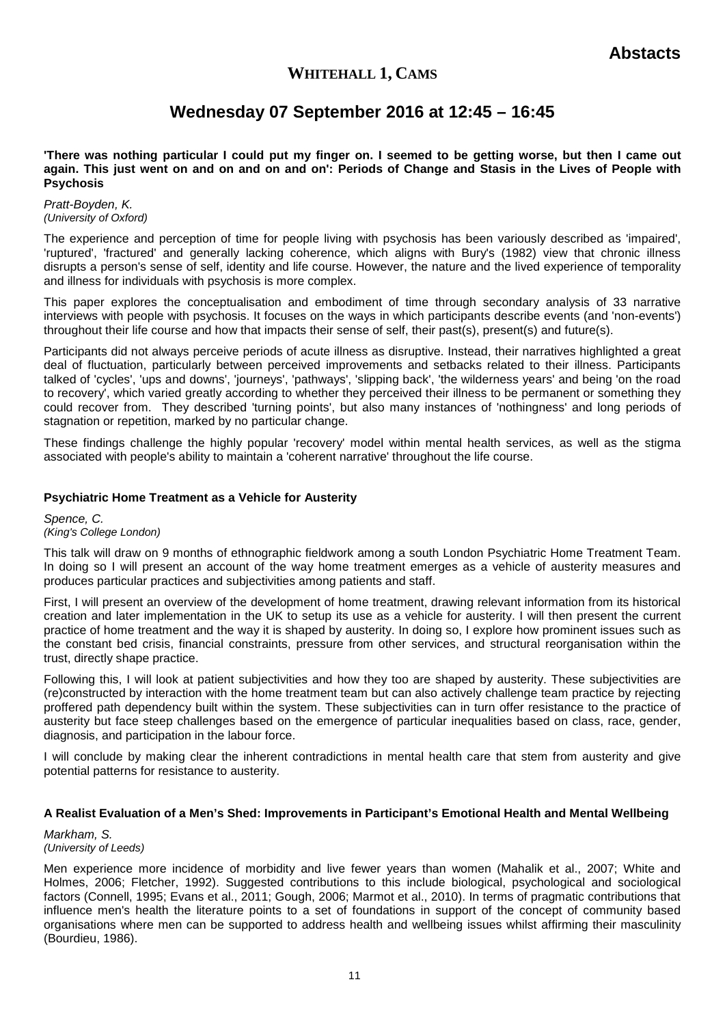# **WHITEHALL 1, CAMS**

# **Wednesday 07 September 2016 at 12:45 – 16:45**

**'There was nothing particular I could put my finger on. I seemed to be getting worse, but then I came out again. This just went on and on and on and on': Periods of Change and Stasis in the Lives of People with Psychosis**

#### *Pratt-Boyden, K. (University of Oxford)*

The experience and perception of time for people living with psychosis has been variously described as 'impaired', 'ruptured', 'fractured' and generally lacking coherence, which aligns with Bury's (1982) view that chronic illness disrupts a person's sense of self, identity and life course. However, the nature and the lived experience of temporality and illness for individuals with psychosis is more complex.

This paper explores the conceptualisation and embodiment of time through secondary analysis of 33 narrative interviews with people with psychosis. It focuses on the ways in which participants describe events (and 'non-events') throughout their life course and how that impacts their sense of self, their past(s), present(s) and future(s).

Participants did not always perceive periods of acute illness as disruptive. Instead, their narratives highlighted a great deal of fluctuation, particularly between perceived improvements and setbacks related to their illness. Participants talked of 'cycles', 'ups and downs', 'journeys', 'pathways', 'slipping back', 'the wilderness years' and being 'on the road to recovery', which varied greatly according to whether they perceived their illness to be permanent or something they could recover from. They described 'turning points', but also many instances of 'nothingness' and long periods of stagnation or repetition, marked by no particular change.

These findings challenge the highly popular 'recovery' model within mental health services, as well as the stigma associated with people's ability to maintain a 'coherent narrative' throughout the life course.

## **Psychiatric Home Treatment as a Vehicle for Austerity**

*Spence, C. (King's College London)*

This talk will draw on 9 months of ethnographic fieldwork among a south London Psychiatric Home Treatment Team. In doing so I will present an account of the way home treatment emerges as a vehicle of austerity measures and produces particular practices and subjectivities among patients and staff.

First, I will present an overview of the development of home treatment, drawing relevant information from its historical creation and later implementation in the UK to setup its use as a vehicle for austerity. I will then present the current practice of home treatment and the way it is shaped by austerity. In doing so, I explore how prominent issues such as the constant bed crisis, financial constraints, pressure from other services, and structural reorganisation within the trust, directly shape practice.

Following this, I will look at patient subjectivities and how they too are shaped by austerity. These subjectivities are (re)constructed by interaction with the home treatment team but can also actively challenge team practice by rejecting proffered path dependency built within the system. These subjectivities can in turn offer resistance to the practice of austerity but face steep challenges based on the emergence of particular inequalities based on class, race, gender, diagnosis, and participation in the labour force.

I will conclude by making clear the inherent contradictions in mental health care that stem from austerity and give potential patterns for resistance to austerity.

## **A Realist Evaluation of a Men's Shed: Improvements in Participant's Emotional Health and Mental Wellbeing**

*Markham, S. (University of Leeds)*

Men experience more incidence of morbidity and live fewer years than women (Mahalik et al., 2007; White and Holmes, 2006; Fletcher, 1992). Suggested contributions to this include biological, psychological and sociological factors (Connell, 1995; Evans et al., 2011; Gough, 2006; Marmot et al., 2010). In terms of pragmatic contributions that influence men's health the literature points to a set of foundations in support of the concept of community based organisations where men can be supported to address health and wellbeing issues whilst affirming their masculinity (Bourdieu, 1986).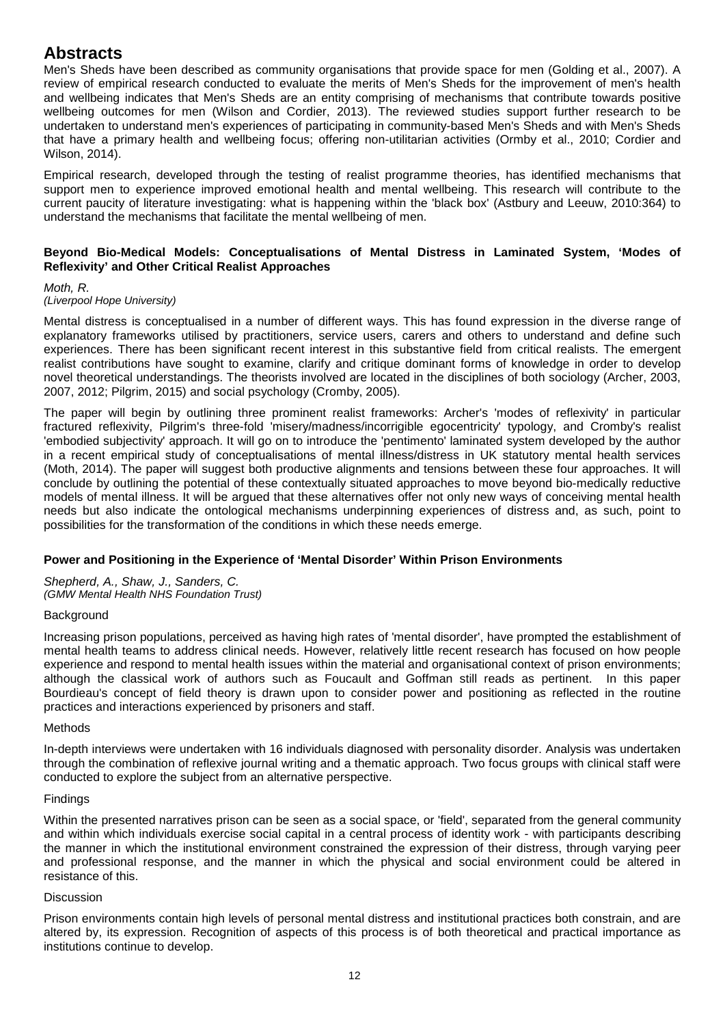Men's Sheds have been described as community organisations that provide space for men (Golding et al., 2007). A review of empirical research conducted to evaluate the merits of Men's Sheds for the improvement of men's health and wellbeing indicates that Men's Sheds are an entity comprising of mechanisms that contribute towards positive wellbeing outcomes for men (Wilson and Cordier, 2013). The reviewed studies support further research to be undertaken to understand men's experiences of participating in community-based Men's Sheds and with Men's Sheds that have a primary health and wellbeing focus; offering non-utilitarian activities (Ormby et al., 2010; Cordier and Wilson, 2014).

Empirical research, developed through the testing of realist programme theories, has identified mechanisms that support men to experience improved emotional health and mental wellbeing. This research will contribute to the current paucity of literature investigating: what is happening within the 'black box' (Astbury and Leeuw, 2010:364) to understand the mechanisms that facilitate the mental wellbeing of men.

### **Beyond Bio-Medical Models: Conceptualisations of Mental Distress in Laminated System, 'Modes of Reflexivity' and Other Critical Realist Approaches**

### *Moth, R.*

## *(Liverpool Hope University)*

Mental distress is conceptualised in a number of different ways. This has found expression in the diverse range of explanatory frameworks utilised by practitioners, service users, carers and others to understand and define such experiences. There has been significant recent interest in this substantive field from critical realists. The emergent realist contributions have sought to examine, clarify and critique dominant forms of knowledge in order to develop novel theoretical understandings. The theorists involved are located in the disciplines of both sociology (Archer, 2003, 2007, 2012; Pilgrim, 2015) and social psychology (Cromby, 2005).

The paper will begin by outlining three prominent realist frameworks: Archer's 'modes of reflexivity' in particular fractured reflexivity, Pilgrim's three-fold 'misery/madness/incorrigible egocentricity' typology, and Cromby's realist 'embodied subjectivity' approach. It will go on to introduce the 'pentimento' laminated system developed by the author in a recent empirical study of conceptualisations of mental illness/distress in UK statutory mental health services (Moth, 2014). The paper will suggest both productive alignments and tensions between these four approaches. It will conclude by outlining the potential of these contextually situated approaches to move beyond bio-medically reductive models of mental illness. It will be argued that these alternatives offer not only new ways of conceiving mental health needs but also indicate the ontological mechanisms underpinning experiences of distress and, as such, point to possibilities for the transformation of the conditions in which these needs emerge.

## **Power and Positioning in the Experience of 'Mental Disorder' Within Prison Environments**

*Shepherd, A., Shaw, J., Sanders, C. (GMW Mental Health NHS Foundation Trust)*

## **Background**

Increasing prison populations, perceived as having high rates of 'mental disorder', have prompted the establishment of mental health teams to address clinical needs. However, relatively little recent research has focused on how people experience and respond to mental health issues within the material and organisational context of prison environments; although the classical work of authors such as Foucault and Goffman still reads as pertinent. In this paper Bourdieau's concept of field theory is drawn upon to consider power and positioning as reflected in the routine practices and interactions experienced by prisoners and staff.

## Methods

In-depth interviews were undertaken with 16 individuals diagnosed with personality disorder. Analysis was undertaken through the combination of reflexive journal writing and a thematic approach. Two focus groups with clinical staff were conducted to explore the subject from an alternative perspective.

## Findings

Within the presented narratives prison can be seen as a social space, or 'field', separated from the general community and within which individuals exercise social capital in a central process of identity work - with participants describing the manner in which the institutional environment constrained the expression of their distress, through varying peer and professional response, and the manner in which the physical and social environment could be altered in resistance of this.

## **Discussion**

Prison environments contain high levels of personal mental distress and institutional practices both constrain, and are altered by, its expression. Recognition of aspects of this process is of both theoretical and practical importance as institutions continue to develop.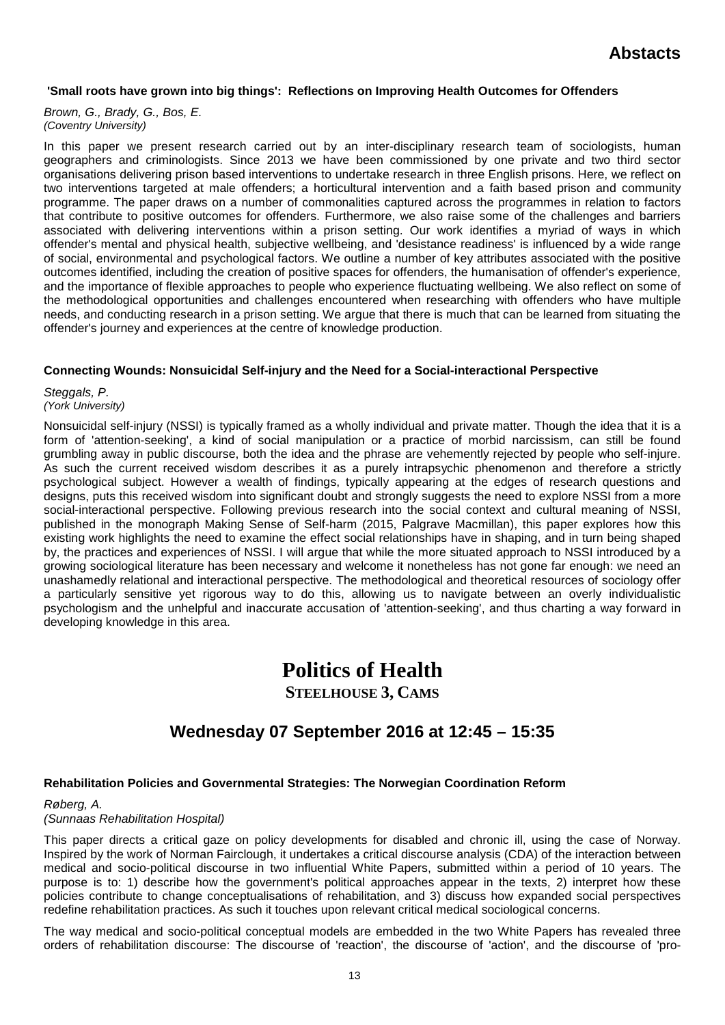### **'Small roots have grown into big things': Reflections on Improving Health Outcomes for Offenders**

*Brown, G., Brady, G., Bos, E. (Coventry University)*

In this paper we present research carried out by an inter-disciplinary research team of sociologists, human geographers and criminologists. Since 2013 we have been commissioned by one private and two third sector organisations delivering prison based interventions to undertake research in three English prisons. Here, we reflect on two interventions targeted at male offenders; a horticultural intervention and a faith based prison and community programme. The paper draws on a number of commonalities captured across the programmes in relation to factors that contribute to positive outcomes for offenders. Furthermore, we also raise some of the challenges and barriers associated with delivering interventions within a prison setting. Our work identifies a myriad of ways in which offender's mental and physical health, subjective wellbeing, and 'desistance readiness' is influenced by a wide range of social, environmental and psychological factors. We outline a number of key attributes associated with the positive outcomes identified, including the creation of positive spaces for offenders, the humanisation of offender's experience, and the importance of flexible approaches to people who experience fluctuating wellbeing. We also reflect on some of the methodological opportunities and challenges encountered when researching with offenders who have multiple needs, and conducting research in a prison setting. We argue that there is much that can be learned from situating the offender's journey and experiences at the centre of knowledge production.

### **Connecting Wounds: Nonsuicidal Self-injury and the Need for a Social-interactional Perspective**

*Steggals, P. (York University)*

Nonsuicidal self-injury (NSSI) is typically framed as a wholly individual and private matter. Though the idea that it is a form of 'attention-seeking', a kind of social manipulation or a practice of morbid narcissism, can still be found grumbling away in public discourse, both the idea and the phrase are vehemently rejected by people who self-injure. As such the current received wisdom describes it as a purely intrapsychic phenomenon and therefore a strictly psychological subject. However a wealth of findings, typically appearing at the edges of research questions and designs, puts this received wisdom into significant doubt and strongly suggests the need to explore NSSI from a more social-interactional perspective. Following previous research into the social context and cultural meaning of NSSI, published in the monograph Making Sense of Self-harm (2015, Palgrave Macmillan), this paper explores how this existing work highlights the need to examine the effect social relationships have in shaping, and in turn being shaped by, the practices and experiences of NSSI. I will argue that while the more situated approach to NSSI introduced by a growing sociological literature has been necessary and welcome it nonetheless has not gone far enough: we need an unashamedly relational and interactional perspective. The methodological and theoretical resources of sociology offer a particularly sensitive yet rigorous way to do this, allowing us to navigate between an overly individualistic psychologism and the unhelpful and inaccurate accusation of 'attention-seeking', and thus charting a way forward in developing knowledge in this area.

# **Politics of Health**

**STEELHOUSE 3, CAMS**

# **Wednesday 07 September 2016 at 12:45 – 15:35**

## **Rehabilitation Policies and Governmental Strategies: The Norwegian Coordination Reform**

*Røberg, A. (Sunnaas Rehabilitation Hospital)*

This paper directs a critical gaze on policy developments for disabled and chronic ill, using the case of Norway. Inspired by the work of Norman Fairclough, it undertakes a critical discourse analysis (CDA) of the interaction between medical and socio-political discourse in two influential White Papers, submitted within a period of 10 years. The purpose is to: 1) describe how the government's political approaches appear in the texts, 2) interpret how these policies contribute to change conceptualisations of rehabilitation, and 3) discuss how expanded social perspectives redefine rehabilitation practices. As such it touches upon relevant critical medical sociological concerns.

The way medical and socio-political conceptual models are embedded in the two White Papers has revealed three orders of rehabilitation discourse: The discourse of 'reaction', the discourse of 'action', and the discourse of 'pro-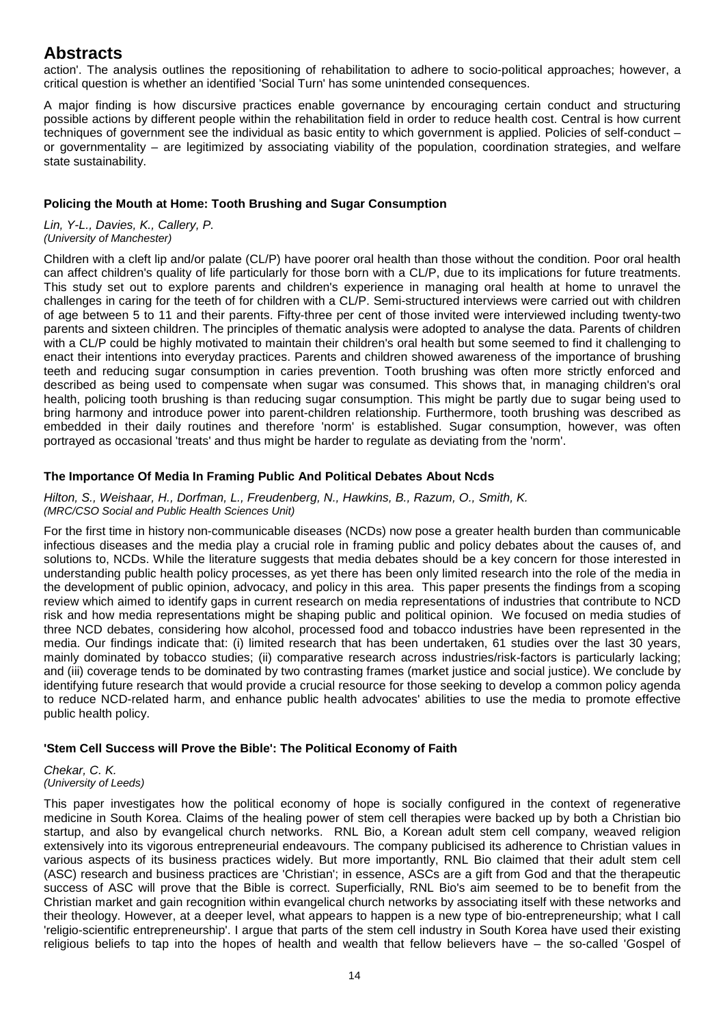action'. The analysis outlines the repositioning of rehabilitation to adhere to socio-political approaches; however, a critical question is whether an identified 'Social Turn' has some unintended consequences.

A major finding is how discursive practices enable governance by encouraging certain conduct and structuring possible actions by different people within the rehabilitation field in order to reduce health cost. Central is how current techniques of government see the individual as basic entity to which government is applied. Policies of self-conduct – or governmentality – are legitimized by associating viability of the population, coordination strategies, and welfare state sustainability.

### **Policing the Mouth at Home: Tooth Brushing and Sugar Consumption**

*Lin, Y-L., Davies, K., Callery, P. (University of Manchester)*

Children with a cleft lip and/or palate (CL/P) have poorer oral health than those without the condition. Poor oral health can affect children's quality of life particularly for those born with a CL/P, due to its implications for future treatments. This study set out to explore parents and children's experience in managing oral health at home to unravel the challenges in caring for the teeth of for children with a CL/P. Semi-structured interviews were carried out with children of age between 5 to 11 and their parents. Fifty-three per cent of those invited were interviewed including twenty-two parents and sixteen children. The principles of thematic analysis were adopted to analyse the data. Parents of children with a CL/P could be highly motivated to maintain their children's oral health but some seemed to find it challenging to enact their intentions into everyday practices. Parents and children showed awareness of the importance of brushing teeth and reducing sugar consumption in caries prevention. Tooth brushing was often more strictly enforced and described as being used to compensate when sugar was consumed. This shows that, in managing children's oral health, policing tooth brushing is than reducing sugar consumption. This might be partly due to sugar being used to bring harmony and introduce power into parent-children relationship. Furthermore, tooth brushing was described as embedded in their daily routines and therefore 'norm' is established. Sugar consumption, however, was often portrayed as occasional 'treats' and thus might be harder to regulate as deviating from the 'norm'.

## **The Importance Of Media In Framing Public And Political Debates About Ncds**

### *Hilton, S., Weishaar, H., Dorfman, L., Freudenberg, N., Hawkins, B., Razum, O., Smith, K. (MRC/CSO Social and Public Health Sciences Unit)*

For the first time in history non-communicable diseases (NCDs) now pose a greater health burden than communicable infectious diseases and the media play a crucial role in framing public and policy debates about the causes of, and solutions to, NCDs. While the literature suggests that media debates should be a key concern for those interested in understanding public health policy processes, as yet there has been only limited research into the role of the media in the development of public opinion, advocacy, and policy in this area. This paper presents the findings from a scoping review which aimed to identify gaps in current research on media representations of industries that contribute to NCD risk and how media representations might be shaping public and political opinion. We focused on media studies of three NCD debates, considering how alcohol, processed food and tobacco industries have been represented in the media. Our findings indicate that: (i) limited research that has been undertaken, 61 studies over the last 30 years, mainly dominated by tobacco studies; (ii) comparative research across industries/risk-factors is particularly lacking; and (iii) coverage tends to be dominated by two contrasting frames (market justice and social justice). We conclude by identifying future research that would provide a crucial resource for those seeking to develop a common policy agenda to reduce NCD-related harm, and enhance public health advocates' abilities to use the media to promote effective public health policy.

## **'Stem Cell Success will Prove the Bible': The Political Economy of Faith**

*Chekar, C. K. (University of Leeds)*

This paper investigates how the political economy of hope is socially configured in the context of regenerative medicine in South Korea. Claims of the healing power of stem cell therapies were backed up by both a Christian bio startup, and also by evangelical church networks. RNL Bio, a Korean adult stem cell company, weaved religion extensively into its vigorous entrepreneurial endeavours. The company publicised its adherence to Christian values in various aspects of its business practices widely. But more importantly, RNL Bio claimed that their adult stem cell (ASC) research and business practices are 'Christian'; in essence, ASCs are a gift from God and that the therapeutic success of ASC will prove that the Bible is correct. Superficially, RNL Bio's aim seemed to be to benefit from the Christian market and gain recognition within evangelical church networks by associating itself with these networks and their theology. However, at a deeper level, what appears to happen is a new type of bio-entrepreneurship; what I call 'religio-scientific entrepreneurship'. I argue that parts of the stem cell industry in South Korea have used their existing religious beliefs to tap into the hopes of health and wealth that fellow believers have – the so-called 'Gospel of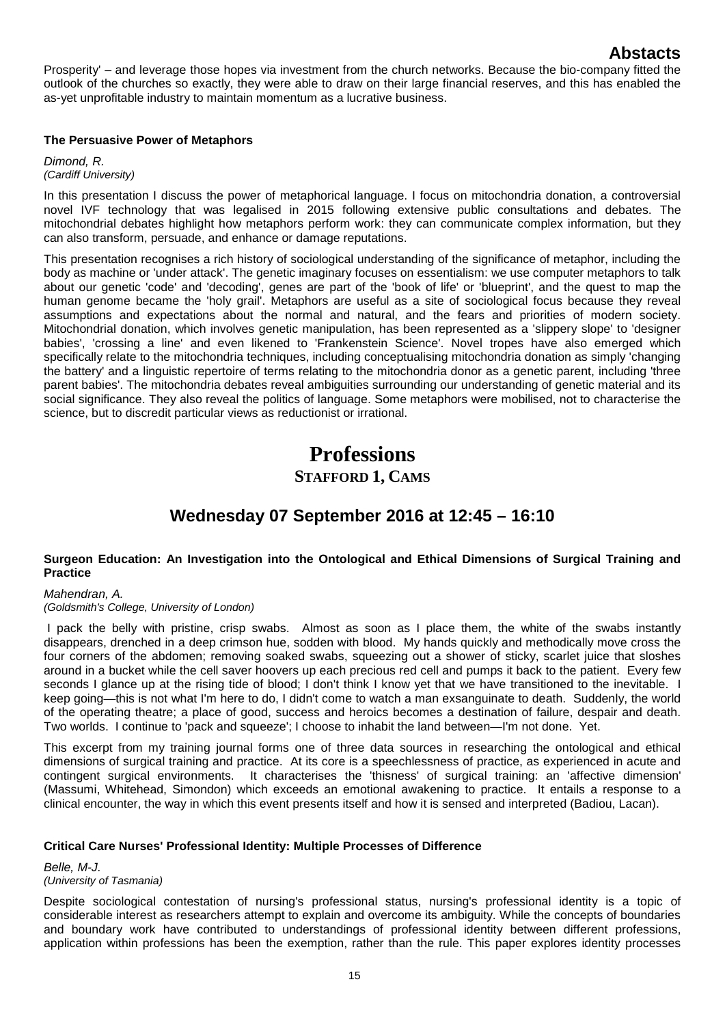Prosperity' – and leverage those hopes via investment from the church networks. Because the bio-company fitted the outlook of the churches so exactly, they were able to draw on their large financial reserves, and this has enabled the as-yet unprofitable industry to maintain momentum as a lucrative business.

### **The Persuasive Power of Metaphors**

*Dimond, R. (Cardiff University)*

In this presentation I discuss the power of metaphorical language. I focus on mitochondria donation, a controversial novel IVF technology that was legalised in 2015 following extensive public consultations and debates. The mitochondrial debates highlight how metaphors perform work: they can communicate complex information, but they can also transform, persuade, and enhance or damage reputations.

This presentation recognises a rich history of sociological understanding of the significance of metaphor, including the body as machine or 'under attack'. The genetic imaginary focuses on essentialism: we use computer metaphors to talk about our genetic 'code' and 'decoding', genes are part of the 'book of life' or 'blueprint', and the quest to map the human genome became the 'holy grail'. Metaphors are useful as a site of sociological focus because they reveal assumptions and expectations about the normal and natural, and the fears and priorities of modern society. Mitochondrial donation, which involves genetic manipulation, has been represented as a 'slippery slope' to 'designer babies', 'crossing a line' and even likened to 'Frankenstein Science'. Novel tropes have also emerged which specifically relate to the mitochondria techniques, including conceptualising mitochondria donation as simply 'changing the battery' and a linguistic repertoire of terms relating to the mitochondria donor as a genetic parent, including 'three parent babies'. The mitochondria debates reveal ambiguities surrounding our understanding of genetic material and its social significance. They also reveal the politics of language. Some metaphors were mobilised, not to characterise the science, but to discredit particular views as reductionist or irrational.

# **Professions STAFFORD 1, CAMS**

# **Wednesday 07 September 2016 at 12:45 – 16:10**

## **Surgeon Education: An Investigation into the Ontological and Ethical Dimensions of Surgical Training and Practice**

## *Mahendran, A.*

*(Goldsmith's College, University of London)*

I pack the belly with pristine, crisp swabs. Almost as soon as I place them, the white of the swabs instantly disappears, drenched in a deep crimson hue, sodden with blood. My hands quickly and methodically move cross the four corners of the abdomen; removing soaked swabs, squeezing out a shower of sticky, scarlet juice that sloshes around in a bucket while the cell saver hoovers up each precious red cell and pumps it back to the patient. Every few seconds I glance up at the rising tide of blood; I don't think I know yet that we have transitioned to the inevitable. I keep going—this is not what I'm here to do, I didn't come to watch a man exsanguinate to death. Suddenly, the world of the operating theatre; a place of good, success and heroics becomes a destination of failure, despair and death. Two worlds. I continue to 'pack and squeeze'; I choose to inhabit the land between—I'm not done. Yet.

This excerpt from my training journal forms one of three data sources in researching the ontological and ethical dimensions of surgical training and practice. At its core is a speechlessness of practice, as experienced in acute and contingent surgical environments. It characterises the 'thisness' of surgical training: an 'affective dimension' (Massumi, Whitehead, Simondon) which exceeds an emotional awakening to practice. It entails a response to a clinical encounter, the way in which this event presents itself and how it is sensed and interpreted (Badiou, Lacan).

## **Critical Care Nurses' Professional Identity: Multiple Processes of Difference**

*Belle, M-J. (University of Tasmania)*

Despite sociological contestation of nursing's professional status, nursing's professional identity is a topic of considerable interest as researchers attempt to explain and overcome its ambiguity. While the concepts of boundaries and boundary work have contributed to understandings of professional identity between different professions, application within professions has been the exemption, rather than the rule. This paper explores identity processes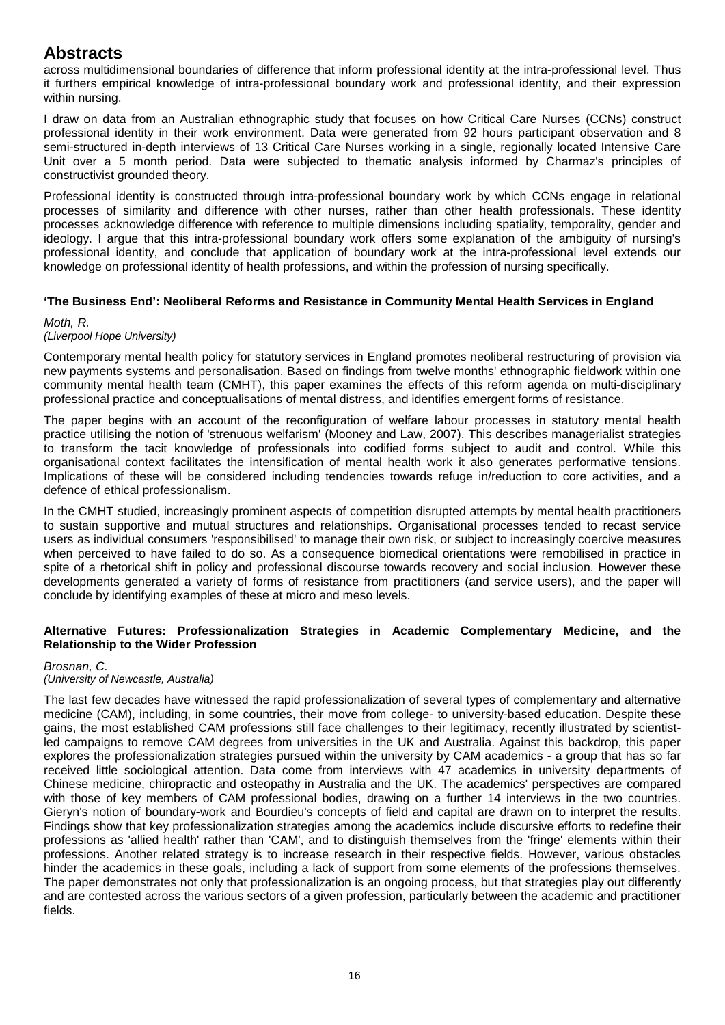across multidimensional boundaries of difference that inform professional identity at the intra-professional level. Thus it furthers empirical knowledge of intra-professional boundary work and professional identity, and their expression within nursing.

I draw on data from an Australian ethnographic study that focuses on how Critical Care Nurses (CCNs) construct professional identity in their work environment. Data were generated from 92 hours participant observation and 8 semi-structured in-depth interviews of 13 Critical Care Nurses working in a single, regionally located Intensive Care Unit over a 5 month period. Data were subjected to thematic analysis informed by Charmaz's principles of constructivist grounded theory.

Professional identity is constructed through intra-professional boundary work by which CCNs engage in relational processes of similarity and difference with other nurses, rather than other health professionals. These identity processes acknowledge difference with reference to multiple dimensions including spatiality, temporality, gender and ideology. I argue that this intra-professional boundary work offers some explanation of the ambiguity of nursing's professional identity, and conclude that application of boundary work at the intra-professional level extends our knowledge on professional identity of health professions, and within the profession of nursing specifically.

## **'The Business End': Neoliberal Reforms and Resistance in Community Mental Health Services in England**

### *Moth, R.*

## *(Liverpool Hope University)*

Contemporary mental health policy for statutory services in England promotes neoliberal restructuring of provision via new payments systems and personalisation. Based on findings from twelve months' ethnographic fieldwork within one community mental health team (CMHT), this paper examines the effects of this reform agenda on multi-disciplinary professional practice and conceptualisations of mental distress, and identifies emergent forms of resistance.

The paper begins with an account of the reconfiguration of welfare labour processes in statutory mental health practice utilising the notion of 'strenuous welfarism' (Mooney and Law, 2007). This describes managerialist strategies to transform the tacit knowledge of professionals into codified forms subject to audit and control. While this organisational context facilitates the intensification of mental health work it also generates performative tensions. Implications of these will be considered including tendencies towards refuge in/reduction to core activities, and a defence of ethical professionalism.

In the CMHT studied, increasingly prominent aspects of competition disrupted attempts by mental health practitioners to sustain supportive and mutual structures and relationships. Organisational processes tended to recast service users as individual consumers 'responsibilised' to manage their own risk, or subject to increasingly coercive measures when perceived to have failed to do so. As a consequence biomedical orientations were remobilised in practice in spite of a rhetorical shift in policy and professional discourse towards recovery and social inclusion. However these developments generated a variety of forms of resistance from practitioners (and service users), and the paper will conclude by identifying examples of these at micro and meso levels.

## **Alternative Futures: Professionalization Strategies in Academic Complementary Medicine, and the Relationship to the Wider Profession**

## *Brosnan, C.*

## *(University of Newcastle, Australia)*

The last few decades have witnessed the rapid professionalization of several types of complementary and alternative medicine (CAM), including, in some countries, their move from college- to university-based education. Despite these gains, the most established CAM professions still face challenges to their legitimacy, recently illustrated by scientistled campaigns to remove CAM degrees from universities in the UK and Australia. Against this backdrop, this paper explores the professionalization strategies pursued within the university by CAM academics - a group that has so far received little sociological attention. Data come from interviews with 47 academics in university departments of Chinese medicine, chiropractic and osteopathy in Australia and the UK. The academics' perspectives are compared with those of key members of CAM professional bodies, drawing on a further 14 interviews in the two countries. Gieryn's notion of boundary-work and Bourdieu's concepts of field and capital are drawn on to interpret the results. Findings show that key professionalization strategies among the academics include discursive efforts to redefine their professions as 'allied health' rather than 'CAM', and to distinguish themselves from the 'fringe' elements within their professions. Another related strategy is to increase research in their respective fields. However, various obstacles hinder the academics in these goals, including a lack of support from some elements of the professions themselves. The paper demonstrates not only that professionalization is an ongoing process, but that strategies play out differently and are contested across the various sectors of a given profession, particularly between the academic and practitioner fields.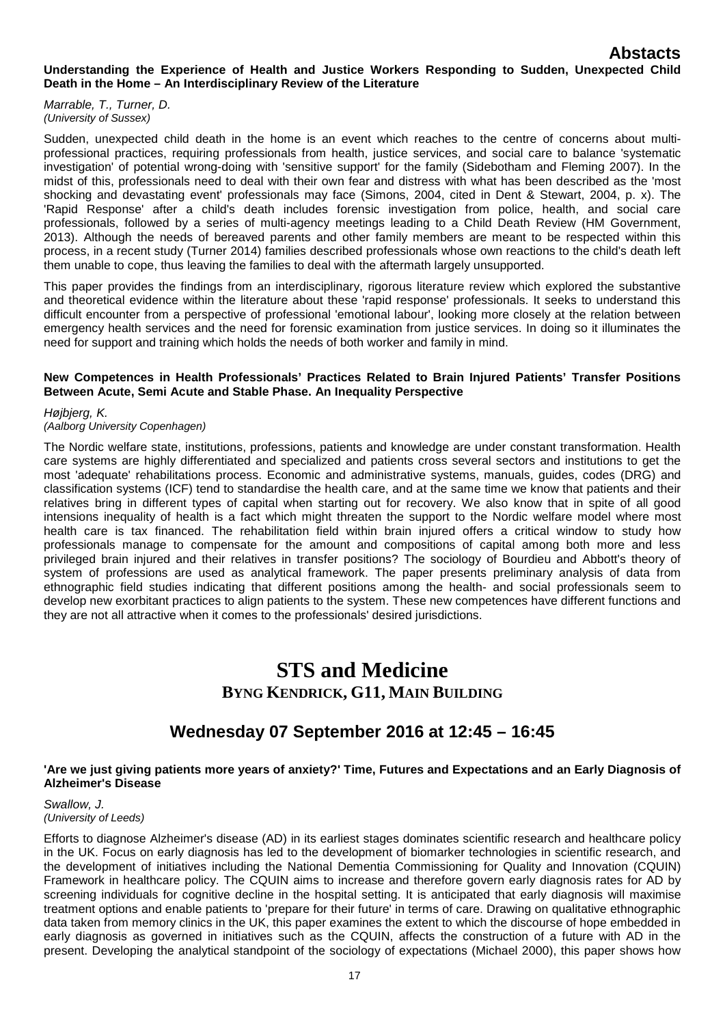### **Understanding the Experience of Health and Justice Workers Responding to Sudden, Unexpected Child Death in the Home – An Interdisciplinary Review of the Literature**

*Marrable, T., Turner, D. (University of Sussex)*

Sudden, unexpected child death in the home is an event which reaches to the centre of concerns about multiprofessional practices, requiring professionals from health, justice services, and social care to balance 'systematic investigation' of potential wrong-doing with 'sensitive support' for the family (Sidebotham and Fleming 2007). In the midst of this, professionals need to deal with their own fear and distress with what has been described as the 'most shocking and devastating event' professionals may face (Simons, 2004, cited in Dent & Stewart, 2004, p. x). The 'Rapid Response' after a child's death includes forensic investigation from police, health, and social care professionals, followed by a series of multi-agency meetings leading to a Child Death Review (HM Government, 2013). Although the needs of bereaved parents and other family members are meant to be respected within this process, in a recent study (Turner 2014) families described professionals whose own reactions to the child's death left them unable to cope, thus leaving the families to deal with the aftermath largely unsupported.

This paper provides the findings from an interdisciplinary, rigorous literature review which explored the substantive and theoretical evidence within the literature about these 'rapid response' professionals. It seeks to understand this difficult encounter from a perspective of professional 'emotional labour', looking more closely at the relation between emergency health services and the need for forensic examination from justice services. In doing so it illuminates the need for support and training which holds the needs of both worker and family in mind.

### **New Competences in Health Professionals' Practices Related to Brain Injured Patients' Transfer Positions Between Acute, Semi Acute and Stable Phase. An Inequality Perspective**

*Højbjerg, K.*

*(Aalborg University Copenhagen)*

The Nordic welfare state, institutions, professions, patients and knowledge are under constant transformation. Health care systems are highly differentiated and specialized and patients cross several sectors and institutions to get the most 'adequate' rehabilitations process. Economic and administrative systems, manuals, guides, codes (DRG) and classification systems (ICF) tend to standardise the health care, and at the same time we know that patients and their relatives bring in different types of capital when starting out for recovery. We also know that in spite of all good intensions inequality of health is a fact which might threaten the support to the Nordic welfare model where most health care is tax financed. The rehabilitation field within brain injured offers a critical window to study how professionals manage to compensate for the amount and compositions of capital among both more and less privileged brain injured and their relatives in transfer positions? The sociology of Bourdieu and Abbott's theory of system of professions are used as analytical framework. The paper presents preliminary analysis of data from ethnographic field studies indicating that different positions among the health- and social professionals seem to develop new exorbitant practices to align patients to the system. These new competences have different functions and they are not all attractive when it comes to the professionals' desired jurisdictions.

# **STS and Medicine BYNG KENDRICK, G11, MAIN BUILDING**

# **Wednesday 07 September 2016 at 12:45 – 16:45**

### **'Are we just giving patients more years of anxiety?' Time, Futures and Expectations and an Early Diagnosis of Alzheimer's Disease**

### *Swallow, J. (University of Leeds)*

Efforts to diagnose Alzheimer's disease (AD) in its earliest stages dominates scientific research and healthcare policy in the UK. Focus on early diagnosis has led to the development of biomarker technologies in scientific research, and the development of initiatives including the National Dementia Commissioning for Quality and Innovation (CQUIN) Framework in healthcare policy. The CQUIN aims to increase and therefore govern early diagnosis rates for AD by screening individuals for cognitive decline in the hospital setting. It is anticipated that early diagnosis will maximise treatment options and enable patients to 'prepare for their future' in terms of care. Drawing on qualitative ethnographic data taken from memory clinics in the UK, this paper examines the extent to which the discourse of hope embedded in early diagnosis as governed in initiatives such as the CQUIN, affects the construction of a future with AD in the present. Developing the analytical standpoint of the sociology of expectations (Michael 2000), this paper shows how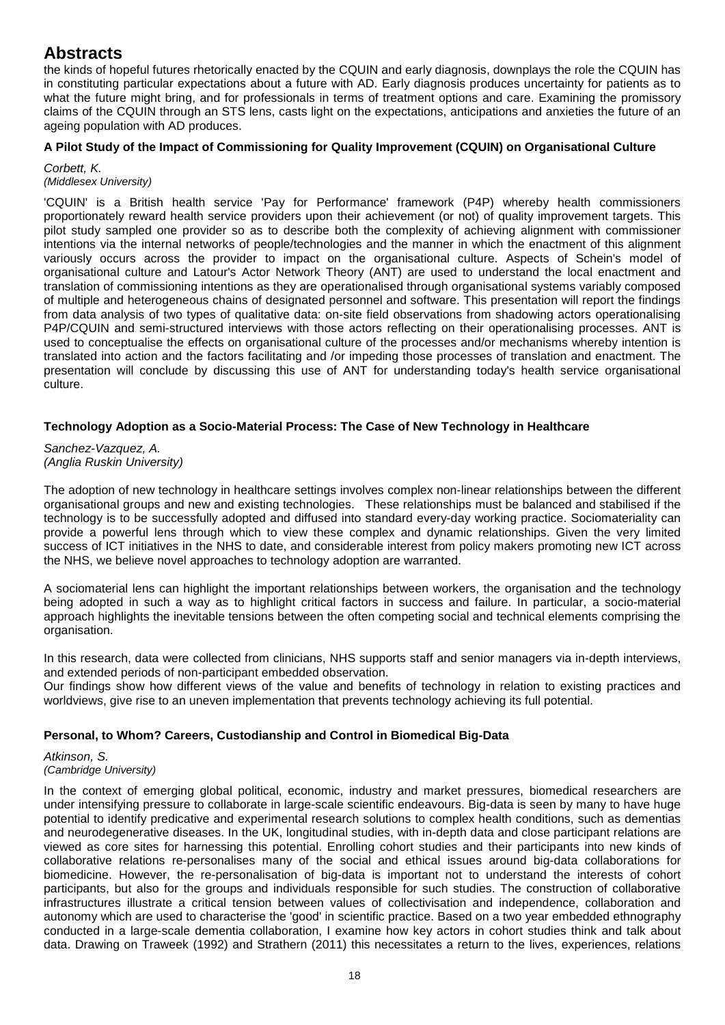the kinds of hopeful futures rhetorically enacted by the CQUIN and early diagnosis, downplays the role the CQUIN has in constituting particular expectations about a future with AD. Early diagnosis produces uncertainty for patients as to what the future might bring, and for professionals in terms of treatment options and care. Examining the promissory claims of the CQUIN through an STS lens, casts light on the expectations, anticipations and anxieties the future of an ageing population with AD produces.

## **A Pilot Study of the Impact of Commissioning for Quality Improvement (CQUIN) on Organisational Culture**

*Corbett, K. (Middlesex University)*

'CQUIN' is a British health service 'Pay for Performance' framework (P4P) whereby health commissioners proportionately reward health service providers upon their achievement (or not) of quality improvement targets. This pilot study sampled one provider so as to describe both the complexity of achieving alignment with commissioner intentions via the internal networks of people/technologies and the manner in which the enactment of this alignment variously occurs across the provider to impact on the organisational culture. Aspects of Schein's model of organisational culture and Latour's Actor Network Theory (ANT) are used to understand the local enactment and translation of commissioning intentions as they are operationalised through organisational systems variably composed of multiple and heterogeneous chains of designated personnel and software. This presentation will report the findings from data analysis of two types of qualitative data: on-site field observations from shadowing actors operationalising P4P/CQUIN and semi-structured interviews with those actors reflecting on their operationalising processes. ANT is used to conceptualise the effects on organisational culture of the processes and/or mechanisms whereby intention is translated into action and the factors facilitating and /or impeding those processes of translation and enactment. The presentation will conclude by discussing this use of ANT for understanding today's health service organisational culture.

## **Technology Adoption as a Socio-Material Process: The Case of New Technology in Healthcare**

*Sanchez-Vazquez, A. (Anglia Ruskin University)*

The adoption of new technology in healthcare settings involves complex non-linear relationships between the different organisational groups and new and existing technologies. These relationships must be balanced and stabilised if the technology is to be successfully adopted and diffused into standard every-day working practice. Sociomateriality can provide a powerful lens through which to view these complex and dynamic relationships. Given the very limited success of ICT initiatives in the NHS to date, and considerable interest from policy makers promoting new ICT across the NHS, we believe novel approaches to technology adoption are warranted.

A sociomaterial lens can highlight the important relationships between workers, the organisation and the technology being adopted in such a way as to highlight critical factors in success and failure. In particular, a socio-material approach highlights the inevitable tensions between the often competing social and technical elements comprising the organisation.

In this research, data were collected from clinicians, NHS supports staff and senior managers via in-depth interviews, and extended periods of non-participant embedded observation.

Our findings show how different views of the value and benefits of technology in relation to existing practices and worldviews, give rise to an uneven implementation that prevents technology achieving its full potential.

## **Personal, to Whom? Careers, Custodianship and Control in Biomedical Big-Data**

#### *Atkinson, S. (Cambridge University)*

In the context of emerging global political, economic, industry and market pressures, biomedical researchers are under intensifying pressure to collaborate in large-scale scientific endeavours. Big-data is seen by many to have huge potential to identify predicative and experimental research solutions to complex health conditions, such as dementias and neurodegenerative diseases. In the UK, longitudinal studies, with in-depth data and close participant relations are viewed as core sites for harnessing this potential. Enrolling cohort studies and their participants into new kinds of collaborative relations re-personalises many of the social and ethical issues around big-data collaborations for biomedicine. However, the re-personalisation of big-data is important not to understand the interests of cohort participants, but also for the groups and individuals responsible for such studies. The construction of collaborative infrastructures illustrate a critical tension between values of collectivisation and independence, collaboration and autonomy which are used to characterise the 'good' in scientific practice. Based on a two year embedded ethnography conducted in a large-scale dementia collaboration, I examine how key actors in cohort studies think and talk about data. Drawing on Traweek (1992) and Strathern (2011) this necessitates a return to the lives, experiences, relations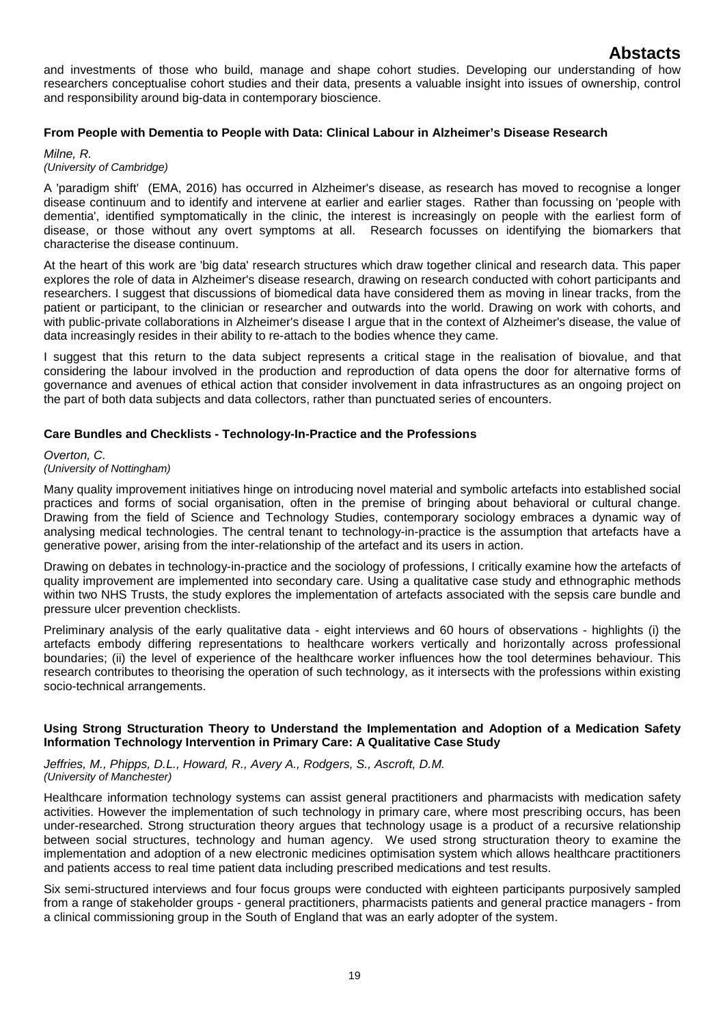and investments of those who build, manage and shape cohort studies. Developing our understanding of how researchers conceptualise cohort studies and their data, presents a valuable insight into issues of ownership, control and responsibility around big-data in contemporary bioscience.

### **From People with Dementia to People with Data: Clinical Labour in Alzheimer's Disease Research**

### *Milne, R.*

## *(University of Cambridge)*

A 'paradigm shift' (EMA, 2016) has occurred in Alzheimer's disease, as research has moved to recognise a longer disease continuum and to identify and intervene at earlier and earlier stages. Rather than focussing on 'people with dementia', identified symptomatically in the clinic, the interest is increasingly on people with the earliest form of disease, or those without any overt symptoms at all. Research focusses on identifying the biomarkers that characterise the disease continuum.

At the heart of this work are 'big data' research structures which draw together clinical and research data. This paper explores the role of data in Alzheimer's disease research, drawing on research conducted with cohort participants and researchers. I suggest that discussions of biomedical data have considered them as moving in linear tracks, from the patient or participant, to the clinician or researcher and outwards into the world. Drawing on work with cohorts, and with public-private collaborations in Alzheimer's disease I argue that in the context of Alzheimer's disease, the value of data increasingly resides in their ability to re-attach to the bodies whence they came.

I suggest that this return to the data subject represents a critical stage in the realisation of biovalue, and that considering the labour involved in the production and reproduction of data opens the door for alternative forms of governance and avenues of ethical action that consider involvement in data infrastructures as an ongoing project on the part of both data subjects and data collectors, rather than punctuated series of encounters.

### **Care Bundles and Checklists - Technology-In-Practice and the Professions**

### *Overton, C. (University of Nottingham)*

Many quality improvement initiatives hinge on introducing novel material and symbolic artefacts into established social practices and forms of social organisation, often in the premise of bringing about behavioral or cultural change. Drawing from the field of Science and Technology Studies, contemporary sociology embraces a dynamic way of analysing medical technologies. The central tenant to technology-in-practice is the assumption that artefacts have a generative power, arising from the inter-relationship of the artefact and its users in action.

Drawing on debates in technology-in-practice and the sociology of professions, I critically examine how the artefacts of quality improvement are implemented into secondary care. Using a qualitative case study and ethnographic methods within two NHS Trusts, the study explores the implementation of artefacts associated with the sepsis care bundle and pressure ulcer prevention checklists.

Preliminary analysis of the early qualitative data - eight interviews and 60 hours of observations - highlights (i) the artefacts embody differing representations to healthcare workers vertically and horizontally across professional boundaries; (ii) the level of experience of the healthcare worker influences how the tool determines behaviour. This research contributes to theorising the operation of such technology, as it intersects with the professions within existing socio-technical arrangements.

### **Using Strong Structuration Theory to Understand the Implementation and Adoption of a Medication Safety Information Technology Intervention in Primary Care: A Qualitative Case Study**

#### *Jeffries, M., Phipps, D.L., Howard, R., Avery A., Rodgers, S., Ascroft, D.M. (University of Manchester)*

Healthcare information technology systems can assist general practitioners and pharmacists with medication safety activities. However the implementation of such technology in primary care, where most prescribing occurs, has been under-researched. Strong structuration theory argues that technology usage is a product of a recursive relationship between social structures, technology and human agency. We used strong structuration theory to examine the implementation and adoption of a new electronic medicines optimisation system which allows healthcare practitioners and patients access to real time patient data including prescribed medications and test results.

Six semi-structured interviews and four focus groups were conducted with eighteen participants purposively sampled from a range of stakeholder groups - general practitioners, pharmacists patients and general practice managers - from a clinical commissioning group in the South of England that was an early adopter of the system.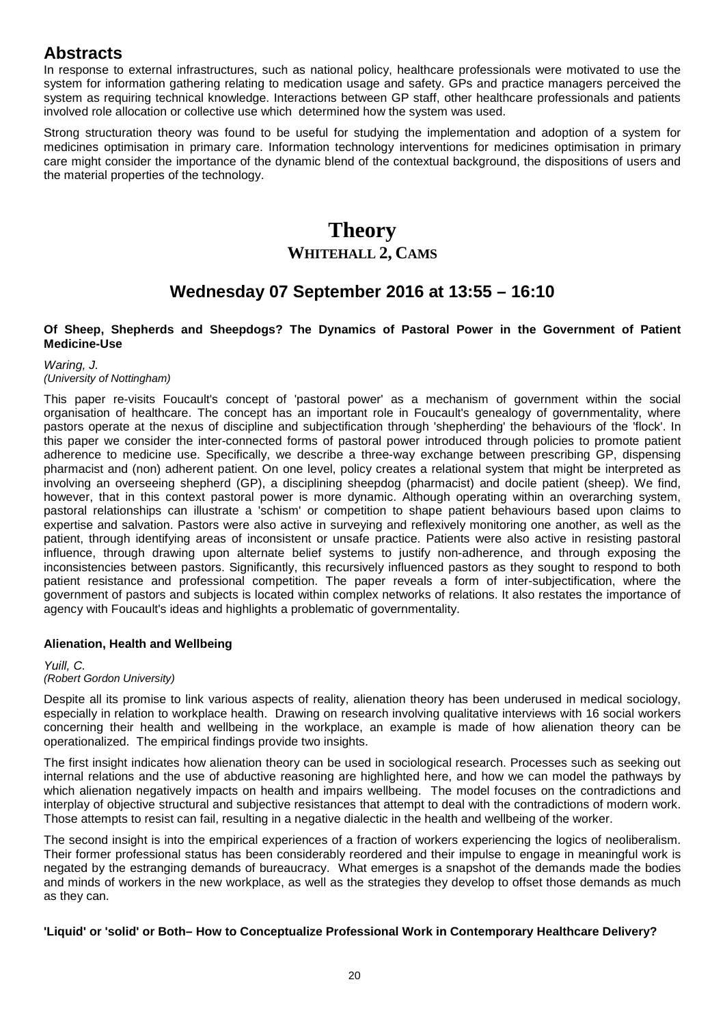In response to external infrastructures, such as national policy, healthcare professionals were motivated to use the system for information gathering relating to medication usage and safety. GPs and practice managers perceived the system as requiring technical knowledge. Interactions between GP staff, other healthcare professionals and patients involved role allocation or collective use which determined how the system was used.

Strong structuration theory was found to be useful for studying the implementation and adoption of a system for medicines optimisation in primary care. Information technology interventions for medicines optimisation in primary care might consider the importance of the dynamic blend of the contextual background, the dispositions of users and the material properties of the technology.

# **Theory WHITEHALL 2, CAMS**

# **Wednesday 07 September 2016 at 13:55 – 16:10**

### **Of Sheep, Shepherds and Sheepdogs? The Dynamics of Pastoral Power in the Government of Patient Medicine-Use**

*Waring, J.*

## *(University of Nottingham)*

This paper re-visits Foucault's concept of 'pastoral power' as a mechanism of government within the social organisation of healthcare. The concept has an important role in Foucault's genealogy of governmentality, where pastors operate at the nexus of discipline and subjectification through 'shepherding' the behaviours of the 'flock'. In this paper we consider the inter-connected forms of pastoral power introduced through policies to promote patient adherence to medicine use. Specifically, we describe a three-way exchange between prescribing GP, dispensing pharmacist and (non) adherent patient. On one level, policy creates a relational system that might be interpreted as involving an overseeing shepherd (GP), a disciplining sheepdog (pharmacist) and docile patient (sheep). We find, however, that in this context pastoral power is more dynamic. Although operating within an overarching system, pastoral relationships can illustrate a 'schism' or competition to shape patient behaviours based upon claims to expertise and salvation. Pastors were also active in surveying and reflexively monitoring one another, as well as the patient, through identifying areas of inconsistent or unsafe practice. Patients were also active in resisting pastoral influence, through drawing upon alternate belief systems to justify non-adherence, and through exposing the inconsistencies between pastors. Significantly, this recursively influenced pastors as they sought to respond to both patient resistance and professional competition. The paper reveals a form of inter-subjectification, where the government of pastors and subjects is located within complex networks of relations. It also restates the importance of agency with Foucault's ideas and highlights a problematic of governmentality.

## **Alienation, Health and Wellbeing**

# *Yuill, C.*

## *(Robert Gordon University)*

Despite all its promise to link various aspects of reality, alienation theory has been underused in medical sociology, especially in relation to workplace health. Drawing on research involving qualitative interviews with 16 social workers concerning their health and wellbeing in the workplace, an example is made of how alienation theory can be operationalized. The empirical findings provide two insights.

The first insight indicates how alienation theory can be used in sociological research. Processes such as seeking out internal relations and the use of abductive reasoning are highlighted here, and how we can model the pathways by which alienation negatively impacts on health and impairs wellbeing. The model focuses on the contradictions and interplay of objective structural and subjective resistances that attempt to deal with the contradictions of modern work. Those attempts to resist can fail, resulting in a negative dialectic in the health and wellbeing of the worker.

The second insight is into the empirical experiences of a fraction of workers experiencing the logics of neoliberalism. Their former professional status has been considerably reordered and their impulse to engage in meaningful work is negated by the estranging demands of bureaucracy. What emerges is a snapshot of the demands made the bodies and minds of workers in the new workplace, as well as the strategies they develop to offset those demands as much as they can.

## **'Liquid' or 'solid' or Both– How to Conceptualize Professional Work in Contemporary Healthcare Delivery?**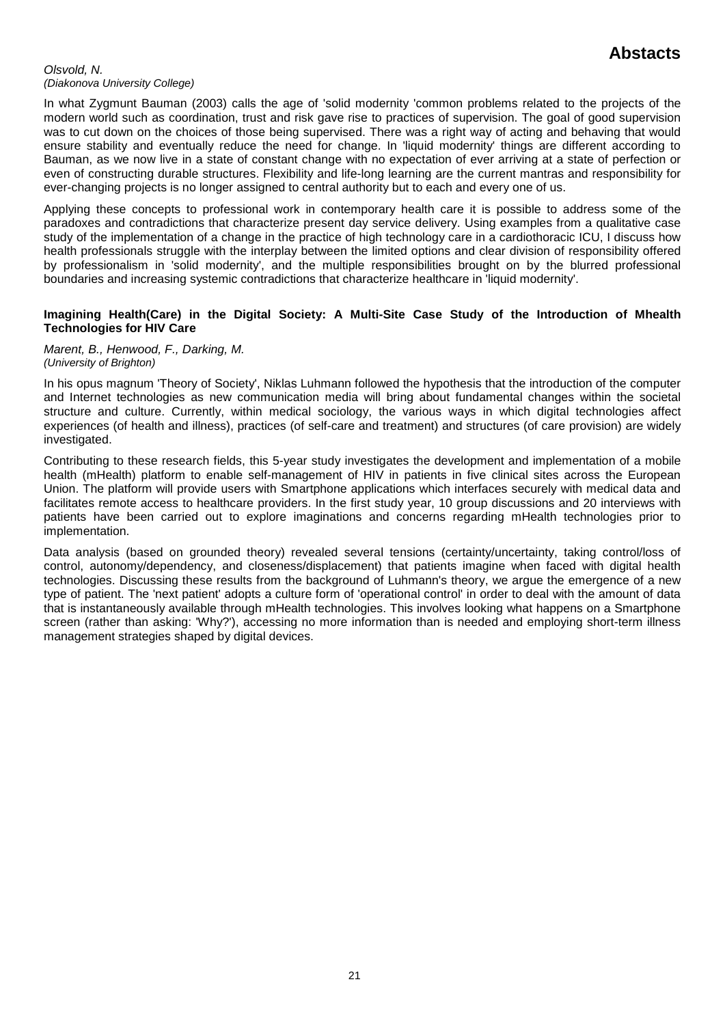#### *Olsvold, N. (Diakonova University College)*

In what Zygmunt Bauman (2003) calls the age of 'solid modernity 'common problems related to the projects of the modern world such as coordination, trust and risk gave rise to practices of supervision. The goal of good supervision was to cut down on the choices of those being supervised. There was a right way of acting and behaving that would ensure stability and eventually reduce the need for change. In 'liquid modernity' things are different according to Bauman, as we now live in a state of constant change with no expectation of ever arriving at a state of perfection or even of constructing durable structures. Flexibility and life-long learning are the current mantras and responsibility for ever-changing projects is no longer assigned to central authority but to each and every one of us.

Applying these concepts to professional work in contemporary health care it is possible to address some of the paradoxes and contradictions that characterize present day service delivery. Using examples from a qualitative case study of the implementation of a change in the practice of high technology care in a cardiothoracic ICU, I discuss how health professionals struggle with the interplay between the limited options and clear division of responsibility offered by professionalism in 'solid modernity', and the multiple responsibilities brought on by the blurred professional boundaries and increasing systemic contradictions that characterize healthcare in 'liquid modernity'.

### **Imagining Health(Care) in the Digital Society: A Multi-Site Case Study of the Introduction of Mhealth Technologies for HIV Care**

### *Marent, B., Henwood, F., Darking, M. (University of Brighton)*

In his opus magnum 'Theory of Society', Niklas Luhmann followed the hypothesis that the introduction of the computer and Internet technologies as new communication media will bring about fundamental changes within the societal structure and culture. Currently, within medical sociology, the various ways in which digital technologies affect experiences (of health and illness), practices (of self-care and treatment) and structures (of care provision) are widely investigated.

Contributing to these research fields, this 5-year study investigates the development and implementation of a mobile health (mHealth) platform to enable self-management of HIV in patients in five clinical sites across the European Union. The platform will provide users with Smartphone applications which interfaces securely with medical data and facilitates remote access to healthcare providers. In the first study year, 10 group discussions and 20 interviews with patients have been carried out to explore imaginations and concerns regarding mHealth technologies prior to implementation.

Data analysis (based on grounded theory) revealed several tensions (certainty/uncertainty, taking control/loss of control, autonomy/dependency, and closeness/displacement) that patients imagine when faced with digital health technologies. Discussing these results from the background of Luhmann's theory, we argue the emergence of a new type of patient. The 'next patient' adopts a culture form of 'operational control' in order to deal with the amount of data that is instantaneously available through mHealth technologies. This involves looking what happens on a Smartphone screen (rather than asking: 'Why?'), accessing no more information than is needed and employing short-term illness management strategies shaped by digital devices.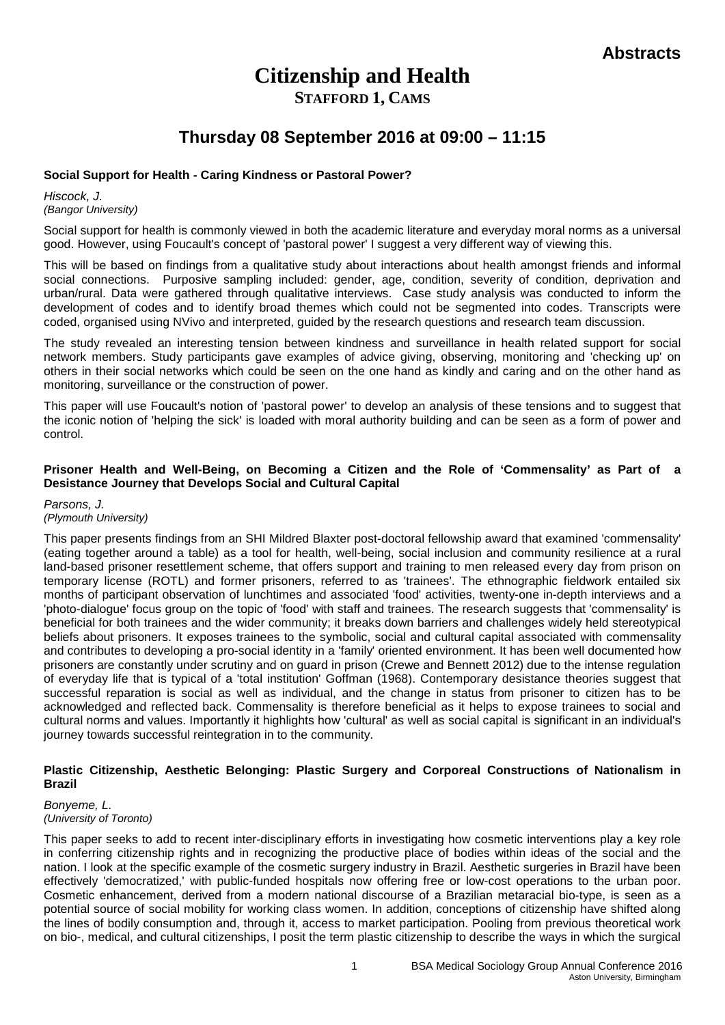# **Citizenship and Health STAFFORD 1, CAMS**

# **Thursday 08 September 2016 at 09:00 – 11:15**

## **Social Support for Health - Caring Kindness or Pastoral Power?**

*Hiscock, J. (Bangor University)*

Social support for health is commonly viewed in both the academic literature and everyday moral norms as a universal good. However, using Foucault's concept of 'pastoral power' I suggest a very different way of viewing this.

This will be based on findings from a qualitative study about interactions about health amongst friends and informal social connections. Purposive sampling included: gender, age, condition, severity of condition, deprivation and urban/rural. Data were gathered through qualitative interviews. Case study analysis was conducted to inform the development of codes and to identify broad themes which could not be segmented into codes. Transcripts were coded, organised using NVivo and interpreted, guided by the research questions and research team discussion.

The study revealed an interesting tension between kindness and surveillance in health related support for social network members. Study participants gave examples of advice giving, observing, monitoring and 'checking up' on others in their social networks which could be seen on the one hand as kindly and caring and on the other hand as monitoring, surveillance or the construction of power.

This paper will use Foucault's notion of 'pastoral power' to develop an analysis of these tensions and to suggest that the iconic notion of 'helping the sick' is loaded with moral authority building and can be seen as a form of power and control.

### **Prisoner Health and Well-Being, on Becoming a Citizen and the Role of 'Commensality' as Part of a Desistance Journey that Develops Social and Cultural Capital**

*Parsons, J. (Plymouth University)*

This paper presents findings from an SHI Mildred Blaxter post-doctoral fellowship award that examined 'commensality' (eating together around a table) as a tool for health, well-being, social inclusion and community resilience at a rural land-based prisoner resettlement scheme, that offers support and training to men released every day from prison on temporary license (ROTL) and former prisoners, referred to as 'trainees'. The ethnographic fieldwork entailed six months of participant observation of lunchtimes and associated 'food' activities, twenty-one in-depth interviews and a 'photo-dialogue' focus group on the topic of 'food' with staff and trainees. The research suggests that 'commensality' is beneficial for both trainees and the wider community; it breaks down barriers and challenges widely held stereotypical beliefs about prisoners. It exposes trainees to the symbolic, social and cultural capital associated with commensality and contributes to developing a pro-social identity in a 'family' oriented environment. It has been well documented how prisoners are constantly under scrutiny and on guard in prison (Crewe and Bennett 2012) due to the intense regulation of everyday life that is typical of a 'total institution' Goffman (1968). Contemporary desistance theories suggest that successful reparation is social as well as individual, and the change in status from prisoner to citizen has to be acknowledged and reflected back. Commensality is therefore beneficial as it helps to expose trainees to social and cultural norms and values. Importantly it highlights how 'cultural' as well as social capital is significant in an individual's journey towards successful reintegration in to the community.

### **Plastic Citizenship, Aesthetic Belonging: Plastic Surgery and Corporeal Constructions of Nationalism in Brazil**

### *Bonyeme, L. (University of Toronto)*

This paper seeks to add to recent inter-disciplinary efforts in investigating how cosmetic interventions play a key role in conferring citizenship rights and in recognizing the productive place of bodies within ideas of the social and the nation. I look at the specific example of the cosmetic surgery industry in Brazil. Aesthetic surgeries in Brazil have been effectively 'democratized,' with public-funded hospitals now offering free or low-cost operations to the urban poor. Cosmetic enhancement, derived from a modern national discourse of a Brazilian metaracial bio-type, is seen as a potential source of social mobility for working class women. In addition, conceptions of citizenship have shifted along the lines of bodily consumption and, through it, access to market participation. Pooling from previous theoretical work on bio-, medical, and cultural citizenships, I posit the term plastic citizenship to describe the ways in which the surgical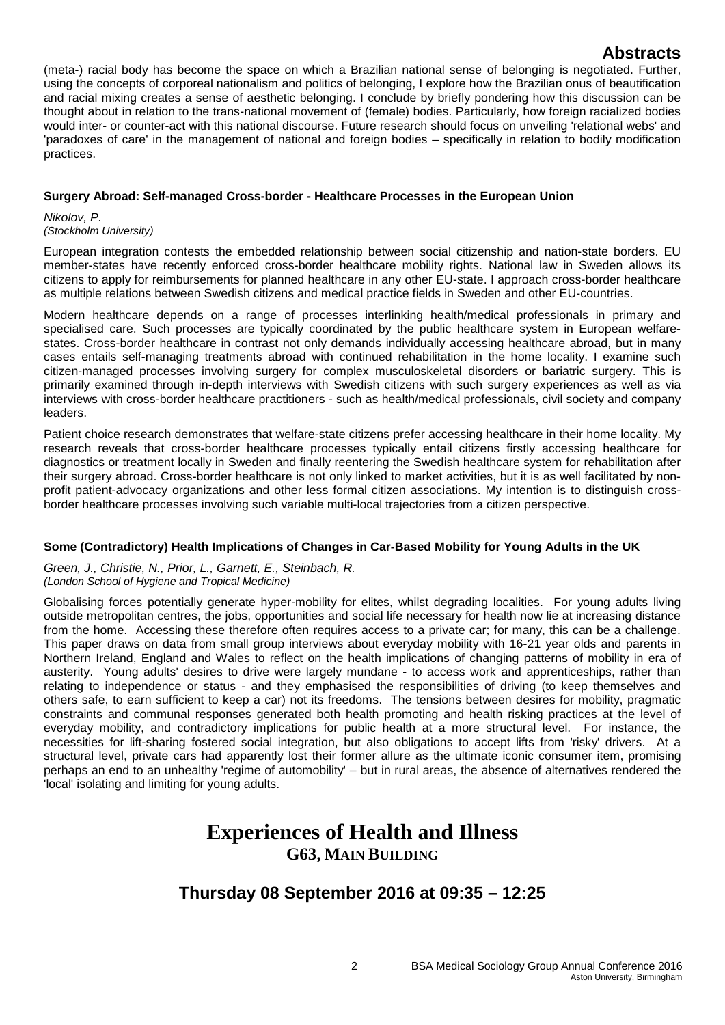(meta-) racial body has become the space on which a Brazilian national sense of belonging is negotiated. Further, using the concepts of corporeal nationalism and politics of belonging, I explore how the Brazilian onus of beautification and racial mixing creates a sense of aesthetic belonging. I conclude by briefly pondering how this discussion can be thought about in relation to the trans-national movement of (female) bodies. Particularly, how foreign racialized bodies would inter- or counter-act with this national discourse. Future research should focus on unveiling 'relational webs' and 'paradoxes of care' in the management of national and foreign bodies – specifically in relation to bodily modification practices.

## **Surgery Abroad: Self-managed Cross-border - Healthcare Processes in the European Union**

*Nikolov, P. (Stockholm University)*

European integration contests the embedded relationship between social citizenship and nation-state borders. EU member-states have recently enforced cross-border healthcare mobility rights. National law in Sweden allows its citizens to apply for reimbursements for planned healthcare in any other EU-state. I approach cross-border healthcare as multiple relations between Swedish citizens and medical practice fields in Sweden and other EU-countries.

Modern healthcare depends on a range of processes interlinking health/medical professionals in primary and specialised care. Such processes are typically coordinated by the public healthcare system in European welfarestates. Cross-border healthcare in contrast not only demands individually accessing healthcare abroad, but in many cases entails self-managing treatments abroad with continued rehabilitation in the home locality. I examine such citizen-managed processes involving surgery for complex musculoskeletal disorders or bariatric surgery. This is primarily examined through in-depth interviews with Swedish citizens with such surgery experiences as well as via interviews with cross-border healthcare practitioners - such as health/medical professionals, civil society and company leaders.

Patient choice research demonstrates that welfare-state citizens prefer accessing healthcare in their home locality. My research reveals that cross-border healthcare processes typically entail citizens firstly accessing healthcare for diagnostics or treatment locally in Sweden and finally reentering the Swedish healthcare system for rehabilitation after their surgery abroad. Cross-border healthcare is not only linked to market activities, but it is as well facilitated by nonprofit patient-advocacy organizations and other less formal citizen associations. My intention is to distinguish crossborder healthcare processes involving such variable multi-local trajectories from a citizen perspective.

## **Some (Contradictory) Health Implications of Changes in Car-Based Mobility for Young Adults in the UK**

*Green, J., Christie, N., Prior, L., Garnett, E., Steinbach, R. (London School of Hygiene and Tropical Medicine)*

Globalising forces potentially generate hyper-mobility for elites, whilst degrading localities. For young adults living outside metropolitan centres, the jobs, opportunities and social life necessary for health now lie at increasing distance from the home. Accessing these therefore often requires access to a private car; for many, this can be a challenge. This paper draws on data from small group interviews about everyday mobility with 16-21 year olds and parents in Northern Ireland, England and Wales to reflect on the health implications of changing patterns of mobility in era of austerity. Young adults' desires to drive were largely mundane - to access work and apprenticeships, rather than relating to independence or status - and they emphasised the responsibilities of driving (to keep themselves and others safe, to earn sufficient to keep a car) not its freedoms. The tensions between desires for mobility, pragmatic constraints and communal responses generated both health promoting and health risking practices at the level of everyday mobility, and contradictory implications for public health at a more structural level. For instance, the necessities for lift-sharing fostered social integration, but also obligations to accept lifts from 'risky' drivers. At a structural level, private cars had apparently lost their former allure as the ultimate iconic consumer item, promising perhaps an end to an unhealthy 'regime of automobility' – but in rural areas, the absence of alternatives rendered the 'local' isolating and limiting for young adults.

# **Experiences of Health and Illness G63, MAIN BUILDING**

# **Thursday 08 September 2016 at 09:35 – 12:25**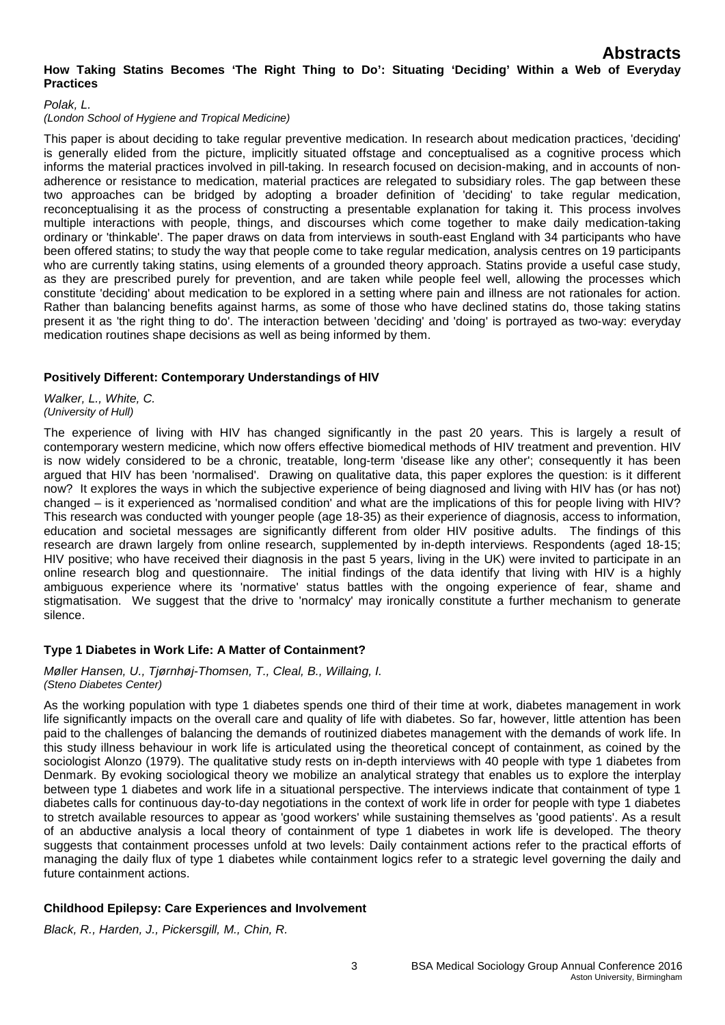### *Polak, L.*

### *(London School of Hygiene and Tropical Medicine)*

This paper is about deciding to take regular preventive medication. In research about medication practices, 'deciding' is generally elided from the picture, implicitly situated offstage and conceptualised as a cognitive process which informs the material practices involved in pill-taking. In research focused on decision-making, and in accounts of nonadherence or resistance to medication, material practices are relegated to subsidiary roles. The gap between these two approaches can be bridged by adopting a broader definition of 'deciding' to take regular medication, reconceptualising it as the process of constructing a presentable explanation for taking it. This process involves multiple interactions with people, things, and discourses which come together to make daily medication-taking ordinary or 'thinkable'. The paper draws on data from interviews in south-east England with 34 participants who have been offered statins; to study the way that people come to take regular medication, analysis centres on 19 participants who are currently taking statins, using elements of a grounded theory approach. Statins provide a useful case study, as they are prescribed purely for prevention, and are taken while people feel well, allowing the processes which constitute 'deciding' about medication to be explored in a setting where pain and illness are not rationales for action. Rather than balancing benefits against harms, as some of those who have declined statins do, those taking statins present it as 'the right thing to do'. The interaction between 'deciding' and 'doing' is portrayed as two-way: everyday medication routines shape decisions as well as being informed by them.

## **Positively Different: Contemporary Understandings of HIV**

*Walker, L., White, C. (University of Hull)*

The experience of living with HIV has changed significantly in the past 20 years. This is largely a result of contemporary western medicine, which now offers effective biomedical methods of HIV treatment and prevention. HIV is now widely considered to be a chronic, treatable, long-term 'disease like any other'; consequently it has been argued that HIV has been 'normalised'. Drawing on qualitative data, this paper explores the question: is it different now? It explores the ways in which the subjective experience of being diagnosed and living with HIV has (or has not) changed – is it experienced as 'normalised condition' and what are the implications of this for people living with HIV? This research was conducted with younger people (age 18-35) as their experience of diagnosis, access to information, education and societal messages are significantly different from older HIV positive adults. The findings of this research are drawn largely from online research, supplemented by in-depth interviews. Respondents (aged 18-15; HIV positive; who have received their diagnosis in the past 5 years, living in the UK) were invited to participate in an online research blog and questionnaire. The initial findings of the data identify that living with HIV is a highly ambiguous experience where its 'normative' status battles with the ongoing experience of fear, shame and stigmatisation. We suggest that the drive to 'normalcy' may ironically constitute a further mechanism to generate silence.

## **Type 1 Diabetes in Work Life: A Matter of Containment?**

### *Møller Hansen, U., Tjørnhøj-Thomsen, T., Cleal, B., Willaing, I. (Steno Diabetes Center)*

As the working population with type 1 diabetes spends one third of their time at work, diabetes management in work life significantly impacts on the overall care and quality of life with diabetes. So far, however, little attention has been paid to the challenges of balancing the demands of routinized diabetes management with the demands of work life. In this study illness behaviour in work life is articulated using the theoretical concept of containment, as coined by the sociologist Alonzo (1979). The qualitative study rests on in-depth interviews with 40 people with type 1 diabetes from Denmark. By evoking sociological theory we mobilize an analytical strategy that enables us to explore the interplay between type 1 diabetes and work life in a situational perspective. The interviews indicate that containment of type 1 diabetes calls for continuous day-to-day negotiations in the context of work life in order for people with type 1 diabetes to stretch available resources to appear as 'good workers' while sustaining themselves as 'good patients'. As a result of an abductive analysis a local theory of containment of type 1 diabetes in work life is developed. The theory suggests that containment processes unfold at two levels: Daily containment actions refer to the practical efforts of managing the daily flux of type 1 diabetes while containment logics refer to a strategic level governing the daily and future containment actions.

## **Childhood Epilepsy: Care Experiences and Involvement**

*Black, R., Harden, J., Pickersgill, M., Chin, R.*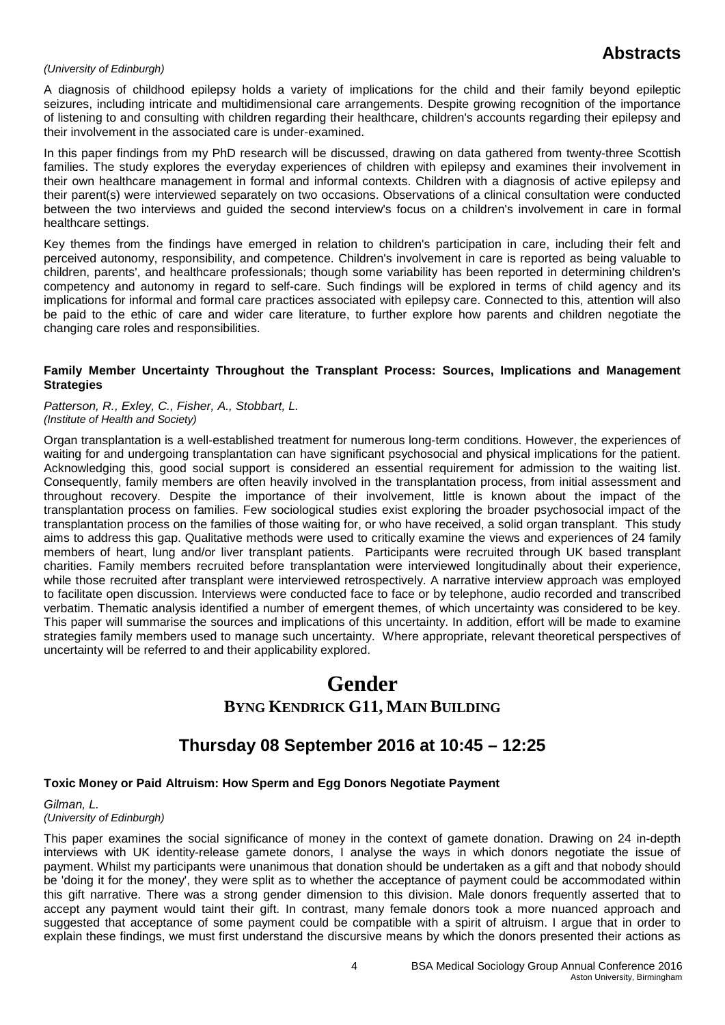### *(University of Edinburgh)*

A diagnosis of childhood epilepsy holds a variety of implications for the child and their family beyond epileptic seizures, including intricate and multidimensional care arrangements. Despite growing recognition of the importance of listening to and consulting with children regarding their healthcare, children's accounts regarding their epilepsy and their involvement in the associated care is under-examined.

In this paper findings from my PhD research will be discussed, drawing on data gathered from twenty-three Scottish families. The study explores the everyday experiences of children with epilepsy and examines their involvement in their own healthcare management in formal and informal contexts. Children with a diagnosis of active epilepsy and their parent(s) were interviewed separately on two occasions. Observations of a clinical consultation were conducted between the two interviews and guided the second interview's focus on a children's involvement in care in formal healthcare settings.

Key themes from the findings have emerged in relation to children's participation in care, including their felt and perceived autonomy, responsibility, and competence. Children's involvement in care is reported as being valuable to children, parents', and healthcare professionals; though some variability has been reported in determining children's competency and autonomy in regard to self-care. Such findings will be explored in terms of child agency and its implications for informal and formal care practices associated with epilepsy care. Connected to this, attention will also be paid to the ethic of care and wider care literature, to further explore how parents and children negotiate the changing care roles and responsibilities.

### **Family Member Uncertainty Throughout the Transplant Process: Sources, Implications and Management Strategies**

*Patterson, R., Exley, C., Fisher, A., Stobbart, L. (Institute of Health and Society)*

Organ transplantation is a well-established treatment for numerous long-term conditions. However, the experiences of waiting for and undergoing transplantation can have significant psychosocial and physical implications for the patient. Acknowledging this, good social support is considered an essential requirement for admission to the waiting list. Consequently, family members are often heavily involved in the transplantation process, from initial assessment and throughout recovery. Despite the importance of their involvement, little is known about the impact of the transplantation process on families. Few sociological studies exist exploring the broader psychosocial impact of the transplantation process on the families of those waiting for, or who have received, a solid organ transplant. This study aims to address this gap. Qualitative methods were used to critically examine the views and experiences of 24 family members of heart, lung and/or liver transplant patients. Participants were recruited through UK based transplant charities. Family members recruited before transplantation were interviewed longitudinally about their experience, while those recruited after transplant were interviewed retrospectively. A narrative interview approach was employed to facilitate open discussion. Interviews were conducted face to face or by telephone, audio recorded and transcribed verbatim. Thematic analysis identified a number of emergent themes, of which uncertainty was considered to be key. This paper will summarise the sources and implications of this uncertainty. In addition, effort will be made to examine strategies family members used to manage such uncertainty. Where appropriate, relevant theoretical perspectives of uncertainty will be referred to and their applicability explored.

# **Gender BYNG KENDRICK G11, MAIN BUILDING**

# **Thursday 08 September 2016 at 10:45 – 12:25**

## **Toxic Money or Paid Altruism: How Sperm and Egg Donors Negotiate Payment**

*Gilman, L. (University of Edinburgh)*

This paper examines the social significance of money in the context of gamete donation. Drawing on 24 in-depth interviews with UK identity-release gamete donors, I analyse the ways in which donors negotiate the issue of payment. Whilst my participants were unanimous that donation should be undertaken as a gift and that nobody should be 'doing it for the money', they were split as to whether the acceptance of payment could be accommodated within this gift narrative. There was a strong gender dimension to this division. Male donors frequently asserted that to accept any payment would taint their gift. In contrast, many female donors took a more nuanced approach and suggested that acceptance of some payment could be compatible with a spirit of altruism. I argue that in order to explain these findings, we must first understand the discursive means by which the donors presented their actions as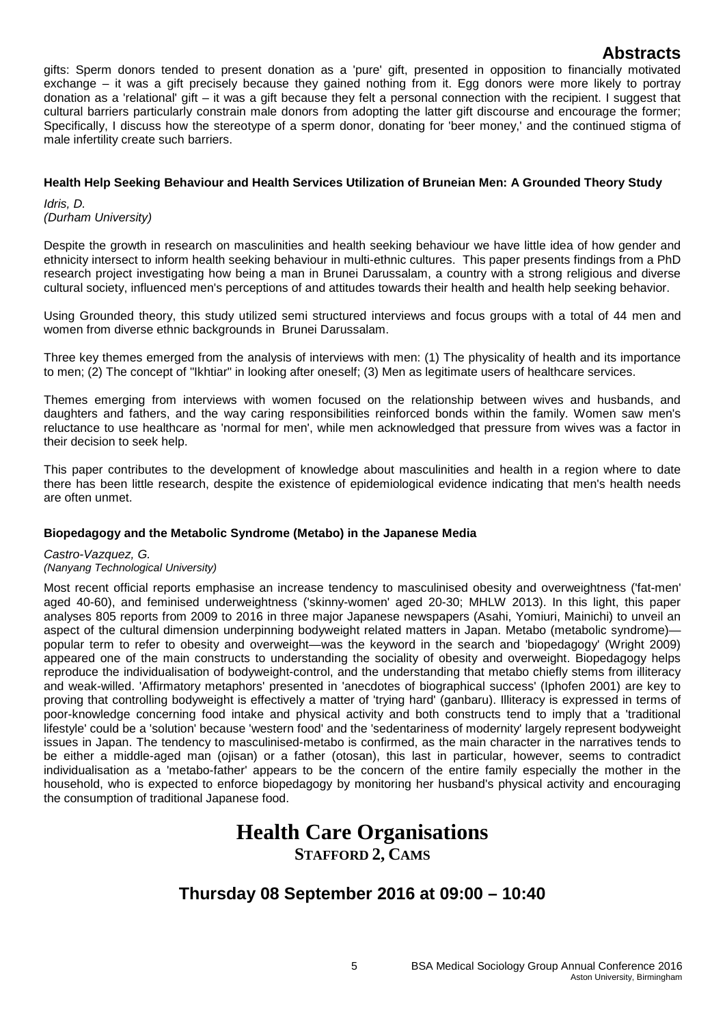gifts: Sperm donors tended to present donation as a 'pure' gift, presented in opposition to financially motivated exchange – it was a gift precisely because they gained nothing from it. Egg donors were more likely to portray donation as a 'relational' gift – it was a gift because they felt a personal connection with the recipient. I suggest that cultural barriers particularly constrain male donors from adopting the latter gift discourse and encourage the former; Specifically, I discuss how the stereotype of a sperm donor, donating for 'beer money,' and the continued stigma of male infertility create such barriers.

## **Health Help Seeking Behaviour and Health Services Utilization of Bruneian Men: A Grounded Theory Study**

*Idris, D. (Durham University)*

Despite the growth in research on masculinities and health seeking behaviour we have little idea of how gender and ethnicity intersect to inform health seeking behaviour in multi-ethnic cultures. This paper presents findings from a PhD research project investigating how being a man in Brunei Darussalam, a country with a strong religious and diverse cultural society, influenced men's perceptions of and attitudes towards their health and health help seeking behavior.

Using Grounded theory, this study utilized semi structured interviews and focus groups with a total of 44 men and women from diverse ethnic backgrounds in Brunei Darussalam.

Three key themes emerged from the analysis of interviews with men: (1) The physicality of health and its importance to men; (2) The concept of "Ikhtiar" in looking after oneself; (3) Men as legitimate users of healthcare services.

Themes emerging from interviews with women focused on the relationship between wives and husbands, and daughters and fathers, and the way caring responsibilities reinforced bonds within the family. Women saw men's reluctance to use healthcare as 'normal for men', while men acknowledged that pressure from wives was a factor in their decision to seek help.

This paper contributes to the development of knowledge about masculinities and health in a region where to date there has been little research, despite the existence of epidemiological evidence indicating that men's health needs are often unmet.

## **Biopedagogy and the Metabolic Syndrome (Metabo) in the Japanese Media**

## *Castro-Vazquez, G.*

## *(Nanyang Technological University)*

Most recent official reports emphasise an increase tendency to masculinised obesity and overweightness ('fat-men' aged 40-60), and feminised underweightness ('skinny-women' aged 20-30; MHLW 2013). In this light, this paper analyses 805 reports from 2009 to 2016 in three major Japanese newspapers (Asahi, Yomiuri, Mainichi) to unveil an aspect of the cultural dimension underpinning bodyweight related matters in Japan. Metabo (metabolic syndrome) popular term to refer to obesity and overweight—was the keyword in the search and 'biopedagogy' (Wright 2009) appeared one of the main constructs to understanding the sociality of obesity and overweight. Biopedagogy helps reproduce the individualisation of bodyweight-control, and the understanding that metabo chiefly stems from illiteracy and weak-willed. 'Affirmatory metaphors' presented in 'anecdotes of biographical success' (Iphofen 2001) are key to proving that controlling bodyweight is effectively a matter of 'trying hard' (ganbaru). Illiteracy is expressed in terms of poor-knowledge concerning food intake and physical activity and both constructs tend to imply that a 'traditional lifestyle' could be a 'solution' because 'western food' and the 'sedentariness of modernity' largely represent bodyweight issues in Japan. The tendency to masculinised-metabo is confirmed, as the main character in the narratives tends to be either a middle-aged man (ojisan) or a father (otosan), this last in particular, however, seems to contradict individualisation as a 'metabo-father' appears to be the concern of the entire family especially the mother in the household, who is expected to enforce biopedagogy by monitoring her husband's physical activity and encouraging the consumption of traditional Japanese food.

# **Health Care Organisations STAFFORD 2, CAMS**

# **Thursday 08 September 2016 at 09:00 – 10:40**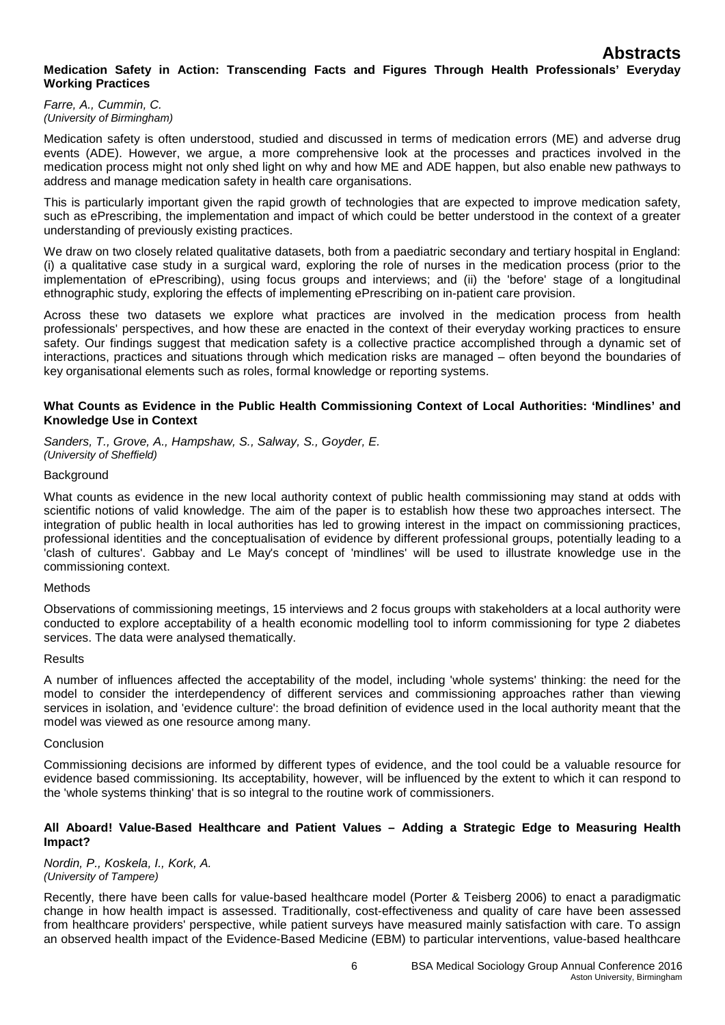## **Medication Safety in Action: Transcending Facts and Figures Through Health Professionals' Everyday Working Practices**

*Farre, A., Cummin, C. (University of Birmingham)*

Medication safety is often understood, studied and discussed in terms of medication errors (ME) and adverse drug events (ADE). However, we argue, a more comprehensive look at the processes and practices involved in the medication process might not only shed light on why and how ME and ADE happen, but also enable new pathways to address and manage medication safety in health care organisations.

This is particularly important given the rapid growth of technologies that are expected to improve medication safety, such as ePrescribing, the implementation and impact of which could be better understood in the context of a greater understanding of previously existing practices.

We draw on two closely related qualitative datasets, both from a paediatric secondary and tertiary hospital in England: (i) a qualitative case study in a surgical ward, exploring the role of nurses in the medication process (prior to the implementation of ePrescribing), using focus groups and interviews; and (ii) the 'before' stage of a longitudinal ethnographic study, exploring the effects of implementing ePrescribing on in-patient care provision.

Across these two datasets we explore what practices are involved in the medication process from health professionals' perspectives, and how these are enacted in the context of their everyday working practices to ensure safety. Our findings suggest that medication safety is a collective practice accomplished through a dynamic set of interactions, practices and situations through which medication risks are managed – often beyond the boundaries of key organisational elements such as roles, formal knowledge or reporting systems.

### **What Counts as Evidence in the Public Health Commissioning Context of Local Authorities: 'Mindlines' and Knowledge Use in Context**

*Sanders, T., Grove, A., Hampshaw, S., Salway, S., Goyder, E. (University of Sheffield)*

### **Background**

What counts as evidence in the new local authority context of public health commissioning may stand at odds with scientific notions of valid knowledge. The aim of the paper is to establish how these two approaches intersect. The integration of public health in local authorities has led to growing interest in the impact on commissioning practices, professional identities and the conceptualisation of evidence by different professional groups, potentially leading to a 'clash of cultures'. Gabbay and Le May's concept of 'mindlines' will be used to illustrate knowledge use in the commissioning context.

### Methods

Observations of commissioning meetings, 15 interviews and 2 focus groups with stakeholders at a local authority were conducted to explore acceptability of a health economic modelling tool to inform commissioning for type 2 diabetes services. The data were analysed thematically.

### **Results**

A number of influences affected the acceptability of the model, including 'whole systems' thinking: the need for the model to consider the interdependency of different services and commissioning approaches rather than viewing services in isolation, and 'evidence culture': the broad definition of evidence used in the local authority meant that the model was viewed as one resource among many.

### Conclusion

Commissioning decisions are informed by different types of evidence, and the tool could be a valuable resource for evidence based commissioning. Its acceptability, however, will be influenced by the extent to which it can respond to the 'whole systems thinking' that is so integral to the routine work of commissioners.

### **All Aboard! Value-Based Healthcare and Patient Values – Adding a Strategic Edge to Measuring Health Impact?**

*Nordin, P., Koskela, I., Kork, A. (University of Tampere)*

Recently, there have been calls for value-based healthcare model (Porter & Teisberg 2006) to enact a paradigmatic change in how health impact is assessed. Traditionally, cost-effectiveness and quality of care have been assessed from healthcare providers' perspective, while patient surveys have measured mainly satisfaction with care. To assign an observed health impact of the Evidence-Based Medicine (EBM) to particular interventions, value-based healthcare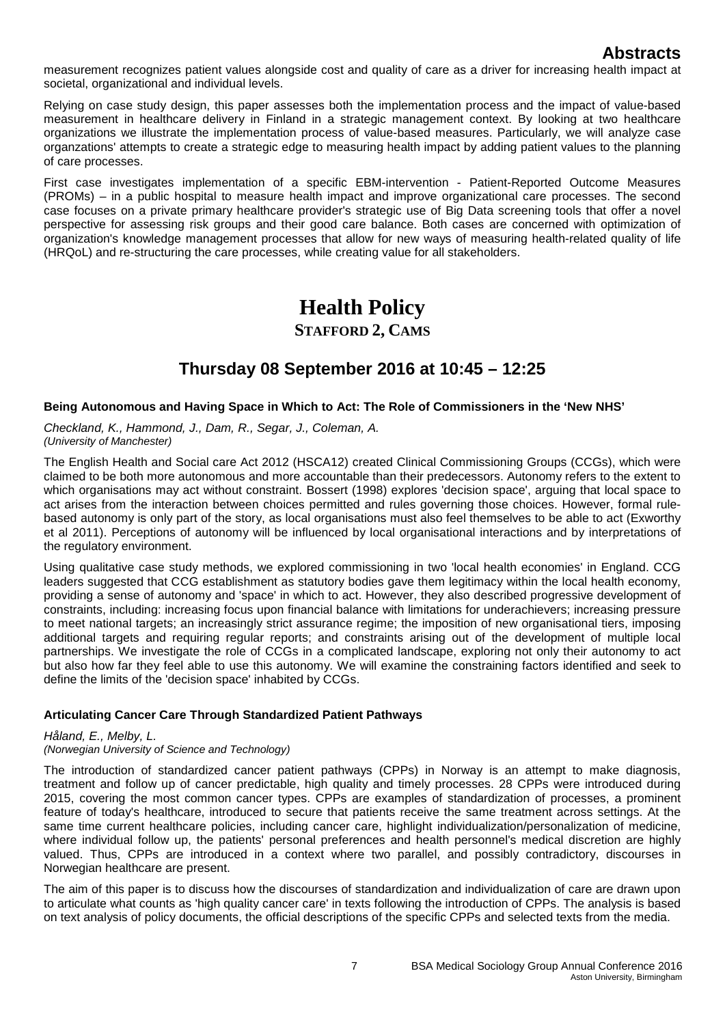measurement recognizes patient values alongside cost and quality of care as a driver for increasing health impact at societal, organizational and individual levels.

Relying on case study design, this paper assesses both the implementation process and the impact of value-based measurement in healthcare delivery in Finland in a strategic management context. By looking at two healthcare organizations we illustrate the implementation process of value-based measures. Particularly, we will analyze case organzations' attempts to create a strategic edge to measuring health impact by adding patient values to the planning of care processes.

First case investigates implementation of a specific EBM-intervention - Patient-Reported Outcome Measures (PROMs) – in a public hospital to measure health impact and improve organizational care processes. The second case focuses on a private primary healthcare provider's strategic use of Big Data screening tools that offer a novel perspective for assessing risk groups and their good care balance. Both cases are concerned with optimization of organization's knowledge management processes that allow for new ways of measuring health-related quality of life (HRQoL) and re-structuring the care processes, while creating value for all stakeholders.

# **Health Policy STAFFORD 2, CAMS**

# **Thursday 08 September 2016 at 10:45 – 12:25**

## **Being Autonomous and Having Space in Which to Act: The Role of Commissioners in the 'New NHS'**

*Checkland, K., Hammond, J., Dam, R., Segar, J., Coleman, A. (University of Manchester)*

The English Health and Social care Act 2012 (HSCA12) created Clinical Commissioning Groups (CCGs), which were claimed to be both more autonomous and more accountable than their predecessors. Autonomy refers to the extent to which organisations may act without constraint. Bossert (1998) explores 'decision space', arguing that local space to act arises from the interaction between choices permitted and rules governing those choices. However, formal rulebased autonomy is only part of the story, as local organisations must also feel themselves to be able to act (Exworthy et al 2011). Perceptions of autonomy will be influenced by local organisational interactions and by interpretations of the regulatory environment.

Using qualitative case study methods, we explored commissioning in two 'local health economies' in England. CCG leaders suggested that CCG establishment as statutory bodies gave them legitimacy within the local health economy, providing a sense of autonomy and 'space' in which to act. However, they also described progressive development of constraints, including: increasing focus upon financial balance with limitations for underachievers; increasing pressure to meet national targets; an increasingly strict assurance regime; the imposition of new organisational tiers, imposing additional targets and requiring regular reports; and constraints arising out of the development of multiple local partnerships. We investigate the role of CCGs in a complicated landscape, exploring not only their autonomy to act but also how far they feel able to use this autonomy. We will examine the constraining factors identified and seek to define the limits of the 'decision space' inhabited by CCGs.

## **Articulating Cancer Care Through Standardized Patient Pathways**

*Håland, E., Melby, L.*

## *(Norwegian University of Science and Technology)*

The introduction of standardized cancer patient pathways (CPPs) in Norway is an attempt to make diagnosis, treatment and follow up of cancer predictable, high quality and timely processes. 28 CPPs were introduced during 2015, covering the most common cancer types. CPPs are examples of standardization of processes, a prominent feature of today's healthcare, introduced to secure that patients receive the same treatment across settings. At the same time current healthcare policies, including cancer care, highlight individualization/personalization of medicine, where individual follow up, the patients' personal preferences and health personnel's medical discretion are highly valued. Thus, CPPs are introduced in a context where two parallel, and possibly contradictory, discourses in Norwegian healthcare are present.

The aim of this paper is to discuss how the discourses of standardization and individualization of care are drawn upon to articulate what counts as 'high quality cancer care' in texts following the introduction of CPPs. The analysis is based on text analysis of policy documents, the official descriptions of the specific CPPs and selected texts from the media.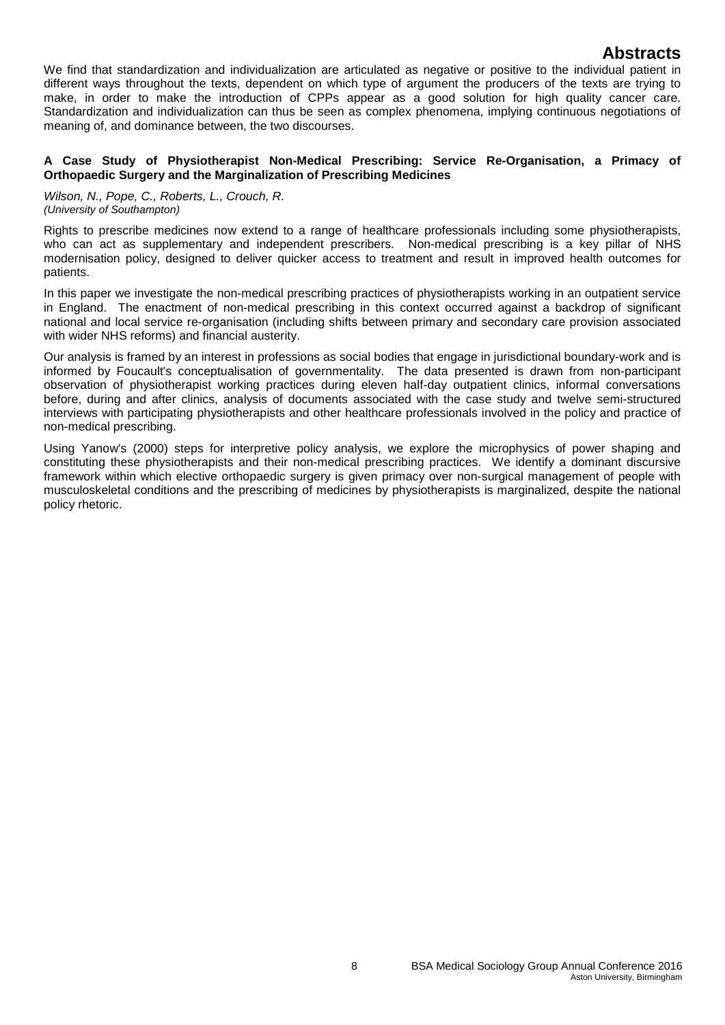We find that standardization and individualization are articulated as negative or positive to the individual patient in different ways throughout the texts, dependent on which type of argument the producers of the texts are trying to make, in order to make the introduction of CPPs appear as a good solution for high quality cancer care. Standardization and individualization can thus be seen as complex phenomena, implying continuous negotiations of meaning of, and dominance between, the two discourses.

### **A Case Study of Physiotherapist Non-Medical Prescribing: Service Re-Organisation, a Primacy of Orthopaedic Surgery and the Marginalization of Prescribing Medicines**

*Wilson, N., Pope, C., Roberts, L., Crouch, R. (University of Southampton)*

Rights to prescribe medicines now extend to a range of healthcare professionals including some physiotherapists, who can act as supplementary and independent prescribers. Non-medical prescribing is a key pillar of NHS modernisation policy, designed to deliver quicker access to treatment and result in improved health outcomes for patients.

In this paper we investigate the non-medical prescribing practices of physiotherapists working in an outpatient service in England. The enactment of non-medical prescribing in this context occurred against a backdrop of significant national and local service re-organisation (including shifts between primary and secondary care provision associated with wider NHS reforms) and financial austerity.

Our analysis is framed by an interest in professions as social bodies that engage in jurisdictional boundary-work and is informed by Foucault's conceptualisation of governmentality. The data presented is drawn from non-participant observation of physiotherapist working practices during eleven half-day outpatient clinics, informal conversations before, during and after clinics, analysis of documents associated with the case study and twelve semi-structured interviews with participating physiotherapists and other healthcare professionals involved in the policy and practice of non-medical prescribing.

Using Yanow's (2000) steps for interpretive policy analysis, we explore the microphysics of power shaping and constituting these physiotherapists and their non-medical prescribing practices. We identify a dominant discursive framework within which elective orthopaedic surgery is given primacy over non-surgical management of people with musculoskeletal conditions and the prescribing of medicines by physiotherapists is marginalized, despite the national policy rhetoric.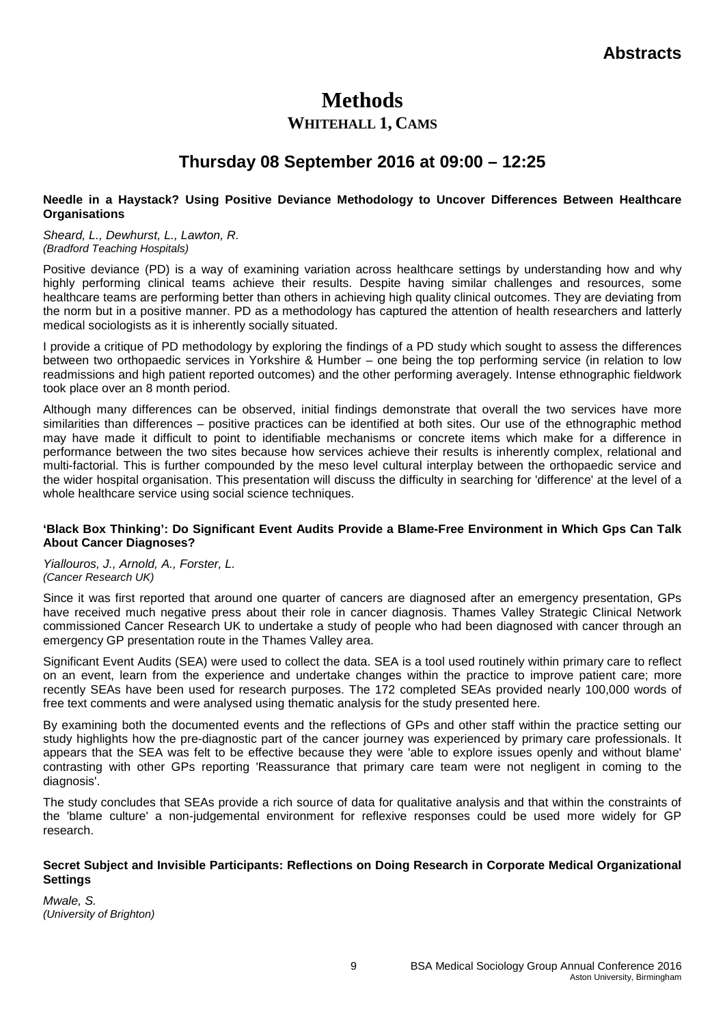# **Methods**

## **WHITEHALL 1, CAMS**

# **Thursday 08 September 2016 at 09:00 – 12:25**

### **Needle in a Haystack? Using Positive Deviance Methodology to Uncover Differences Between Healthcare Organisations**

*Sheard, L., Dewhurst, L., Lawton, R. (Bradford Teaching Hospitals)*

Positive deviance (PD) is a way of examining variation across healthcare settings by understanding how and why highly performing clinical teams achieve their results. Despite having similar challenges and resources, some healthcare teams are performing better than others in achieving high quality clinical outcomes. They are deviating from the norm but in a positive manner. PD as a methodology has captured the attention of health researchers and latterly medical sociologists as it is inherently socially situated.

I provide a critique of PD methodology by exploring the findings of a PD study which sought to assess the differences between two orthopaedic services in Yorkshire & Humber – one being the top performing service (in relation to low readmissions and high patient reported outcomes) and the other performing averagely. Intense ethnographic fieldwork took place over an 8 month period.

Although many differences can be observed, initial findings demonstrate that overall the two services have more similarities than differences – positive practices can be identified at both sites. Our use of the ethnographic method may have made it difficult to point to identifiable mechanisms or concrete items which make for a difference in performance between the two sites because how services achieve their results is inherently complex, relational and multi-factorial. This is further compounded by the meso level cultural interplay between the orthopaedic service and the wider hospital organisation. This presentation will discuss the difficulty in searching for 'difference' at the level of a whole healthcare service using social science techniques.

## **'Black Box Thinking': Do Significant Event Audits Provide a Blame-Free Environment in Which Gps Can Talk About Cancer Diagnoses?**

*Yiallouros, J., Arnold, A., Forster, L. (Cancer Research UK)*

Since it was first reported that around one quarter of cancers are diagnosed after an emergency presentation, GPs have received much negative press about their role in cancer diagnosis. Thames Valley Strategic Clinical Network commissioned Cancer Research UK to undertake a study of people who had been diagnosed with cancer through an emergency GP presentation route in the Thames Valley area.

Significant Event Audits (SEA) were used to collect the data. SEA is a tool used routinely within primary care to reflect on an event, learn from the experience and undertake changes within the practice to improve patient care; more recently SEAs have been used for research purposes. The 172 completed SEAs provided nearly 100,000 words of free text comments and were analysed using thematic analysis for the study presented here.

By examining both the documented events and the reflections of GPs and other staff within the practice setting our study highlights how the pre-diagnostic part of the cancer journey was experienced by primary care professionals. It appears that the SEA was felt to be effective because they were 'able to explore issues openly and without blame' contrasting with other GPs reporting 'Reassurance that primary care team were not negligent in coming to the diagnosis'.

The study concludes that SEAs provide a rich source of data for qualitative analysis and that within the constraints of the 'blame culture' a non-judgemental environment for reflexive responses could be used more widely for GP research.

## **Secret Subject and Invisible Participants: Reflections on Doing Research in Corporate Medical Organizational Settings**

*Mwale, S. (University of Brighton)*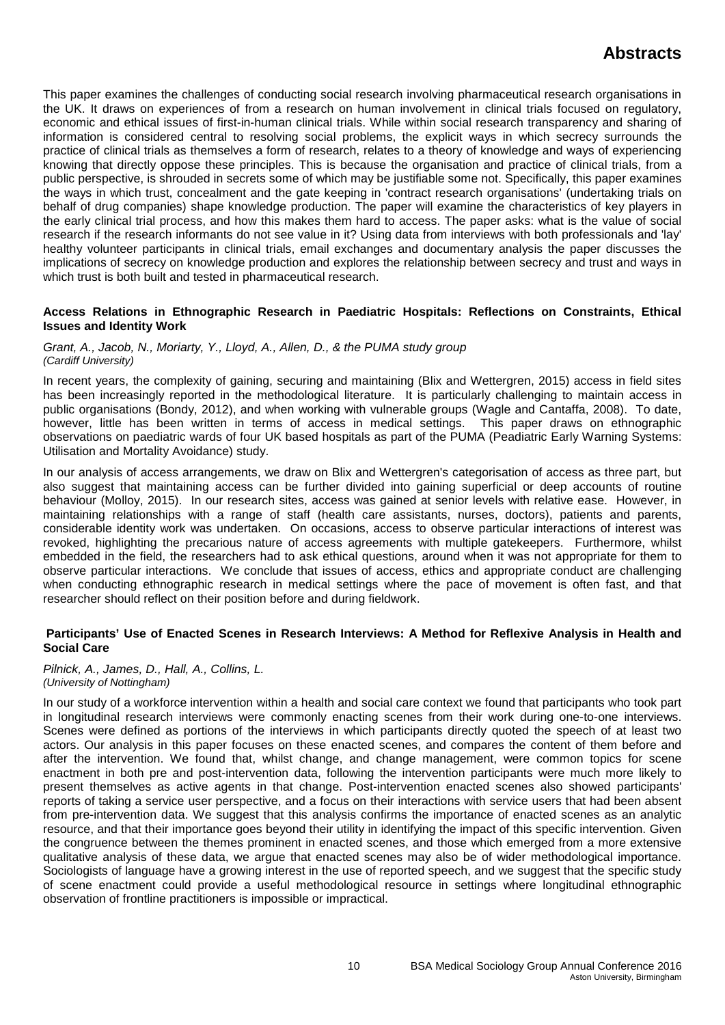This paper examines the challenges of conducting social research involving pharmaceutical research organisations in the UK. It draws on experiences of from a research on human involvement in clinical trials focused on regulatory, economic and ethical issues of first-in-human clinical trials. While within social research transparency and sharing of information is considered central to resolving social problems, the explicit ways in which secrecy surrounds the practice of clinical trials as themselves a form of research, relates to a theory of knowledge and ways of experiencing knowing that directly oppose these principles. This is because the organisation and practice of clinical trials, from a public perspective, is shrouded in secrets some of which may be justifiable some not. Specifically, this paper examines the ways in which trust, concealment and the gate keeping in 'contract research organisations' (undertaking trials on behalf of drug companies) shape knowledge production. The paper will examine the characteristics of key players in the early clinical trial process, and how this makes them hard to access. The paper asks: what is the value of social research if the research informants do not see value in it? Using data from interviews with both professionals and 'lay' healthy volunteer participants in clinical trials, email exchanges and documentary analysis the paper discusses the implications of secrecy on knowledge production and explores the relationship between secrecy and trust and ways in which trust is both built and tested in pharmaceutical research.

### **Access Relations in Ethnographic Research in Paediatric Hospitals: Reflections on Constraints, Ethical Issues and Identity Work**

### *Grant, A., Jacob, N., Moriarty, Y., Lloyd, A., Allen, D., & the PUMA study group (Cardiff University)*

In recent years, the complexity of gaining, securing and maintaining (Blix and Wettergren, 2015) access in field sites has been increasingly reported in the methodological literature. It is particularly challenging to maintain access in public organisations (Bondy, 2012), and when working with vulnerable groups (Wagle and Cantaffa, 2008). To date, however, little has been written in terms of access in medical settings. This paper draws on ethnographic observations on paediatric wards of four UK based hospitals as part of the PUMA (Peadiatric Early Warning Systems: Utilisation and Mortality Avoidance) study.

In our analysis of access arrangements, we draw on Blix and Wettergren's categorisation of access as three part, but also suggest that maintaining access can be further divided into gaining superficial or deep accounts of routine behaviour (Molloy, 2015). In our research sites, access was gained at senior levels with relative ease. However, in maintaining relationships with a range of staff (health care assistants, nurses, doctors), patients and parents, considerable identity work was undertaken. On occasions, access to observe particular interactions of interest was revoked, highlighting the precarious nature of access agreements with multiple gatekeepers. Furthermore, whilst embedded in the field, the researchers had to ask ethical questions, around when it was not appropriate for them to observe particular interactions. We conclude that issues of access, ethics and appropriate conduct are challenging when conducting ethnographic research in medical settings where the pace of movement is often fast, and that researcher should reflect on their position before and during fieldwork.

## **Participants' Use of Enacted Scenes in Research Interviews: A Method for Reflexive Analysis in Health and Social Care**

### *Pilnick, A., James, D., Hall, A., Collins, L. (University of Nottingham)*

In our study of a workforce intervention within a health and social care context we found that participants who took part in longitudinal research interviews were commonly enacting scenes from their work during one-to-one interviews. Scenes were defined as portions of the interviews in which participants directly quoted the speech of at least two actors. Our analysis in this paper focuses on these enacted scenes, and compares the content of them before and after the intervention. We found that, whilst change, and change management, were common topics for scene enactment in both pre and post-intervention data, following the intervention participants were much more likely to present themselves as active agents in that change. Post-intervention enacted scenes also showed participants' reports of taking a service user perspective, and a focus on their interactions with service users that had been absent from pre-intervention data. We suggest that this analysis confirms the importance of enacted scenes as an analytic resource, and that their importance goes beyond their utility in identifying the impact of this specific intervention. Given the congruence between the themes prominent in enacted scenes, and those which emerged from a more extensive qualitative analysis of these data, we argue that enacted scenes may also be of wider methodological importance. Sociologists of language have a growing interest in the use of reported speech, and we suggest that the specific study of scene enactment could provide a useful methodological resource in settings where longitudinal ethnographic observation of frontline practitioners is impossible or impractical.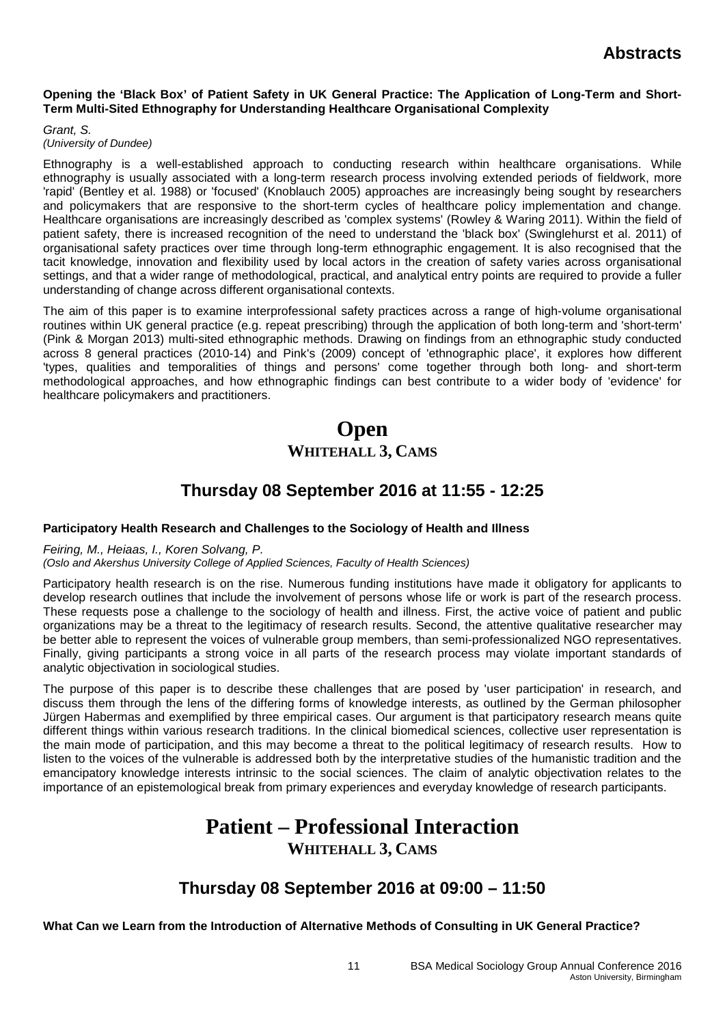## **Opening the 'Black Box' of Patient Safety in UK General Practice: The Application of Long-Term and Short-Term Multi-Sited Ethnography for Understanding Healthcare Organisational Complexity**

*Grant, S. (University of Dundee)*

Ethnography is a well-established approach to conducting research within healthcare organisations. While ethnography is usually associated with a long-term research process involving extended periods of fieldwork, more 'rapid' (Bentley et al. 1988) or 'focused' (Knoblauch 2005) approaches are increasingly being sought by researchers and policymakers that are responsive to the short-term cycles of healthcare policy implementation and change. Healthcare organisations are increasingly described as 'complex systems' (Rowley & Waring 2011). Within the field of patient safety, there is increased recognition of the need to understand the 'black box' (Swinglehurst et al. 2011) of organisational safety practices over time through long-term ethnographic engagement. It is also recognised that the tacit knowledge, innovation and flexibility used by local actors in the creation of safety varies across organisational settings, and that a wider range of methodological, practical, and analytical entry points are required to provide a fuller understanding of change across different organisational contexts.

The aim of this paper is to examine interprofessional safety practices across a range of high-volume organisational routines within UK general practice (e.g. repeat prescribing) through the application of both long-term and 'short-term' (Pink & Morgan 2013) multi-sited ethnographic methods. Drawing on findings from an ethnographic study conducted across 8 general practices (2010-14) and Pink's (2009) concept of 'ethnographic place', it explores how different 'types, qualities and temporalities of things and persons' come together through both long- and short-term methodological approaches, and how ethnographic findings can best contribute to a wider body of 'evidence' for healthcare policymakers and practitioners.

# **Open WHITEHALL 3, CAMS**

# **Thursday 08 September 2016 at 11:55 - 12:25**

## **Participatory Health Research and Challenges to the Sociology of Health and Illness**

## *Feiring, M., Heiaas, I., Koren Solvang, P.*

*(Oslo and Akershus University College of Applied Sciences, Faculty of Health Sciences)*

Participatory health research is on the rise. Numerous funding institutions have made it obligatory for applicants to develop research outlines that include the involvement of persons whose life or work is part of the research process. These requests pose a challenge to the sociology of health and illness. First, the active voice of patient and public organizations may be a threat to the legitimacy of research results. Second, the attentive qualitative researcher may be better able to represent the voices of vulnerable group members, than semi-professionalized NGO representatives. Finally, giving participants a strong voice in all parts of the research process may violate important standards of analytic objectivation in sociological studies.

The purpose of this paper is to describe these challenges that are posed by 'user participation' in research, and discuss them through the lens of the differing forms of knowledge interests, as outlined by the German philosopher Jürgen Habermas and exemplified by three empirical cases. Our argument is that participatory research means quite different things within various research traditions. In the clinical biomedical sciences, collective user representation is the main mode of participation, and this may become a threat to the political legitimacy of research results. How to listen to the voices of the vulnerable is addressed both by the interpretative studies of the humanistic tradition and the emancipatory knowledge interests intrinsic to the social sciences. The claim of analytic objectivation relates to the importance of an epistemological break from primary experiences and everyday knowledge of research participants.

# **Patient – Professional Interaction WHITEHALL 3, CAMS**

# **Thursday 08 September 2016 at 09:00 – 11:50**

**What Can we Learn from the Introduction of Alternative Methods of Consulting in UK General Practice?**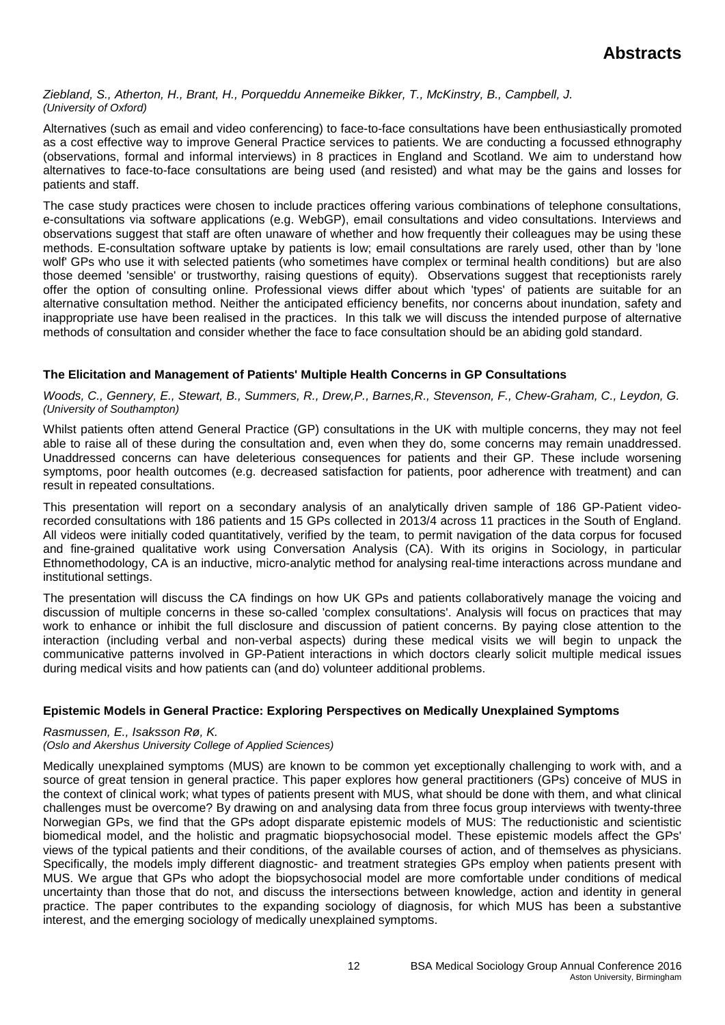### *Ziebland, S., Atherton, H., Brant, H., Porqueddu Annemeike Bikker, T., McKinstry, B., Campbell, J. (University of Oxford)*

Alternatives (such as email and video conferencing) to face-to-face consultations have been enthusiastically promoted as a cost effective way to improve General Practice services to patients. We are conducting a focussed ethnography (observations, formal and informal interviews) in 8 practices in England and Scotland. We aim to understand how alternatives to face-to-face consultations are being used (and resisted) and what may be the gains and losses for patients and staff.

The case study practices were chosen to include practices offering various combinations of telephone consultations, e-consultations via software applications (e.g. WebGP), email consultations and video consultations. Interviews and observations suggest that staff are often unaware of whether and how frequently their colleagues may be using these methods. E-consultation software uptake by patients is low; email consultations are rarely used, other than by 'lone wolf' GPs who use it with selected patients (who sometimes have complex or terminal health conditions) but are also those deemed 'sensible' or trustworthy, raising questions of equity). Observations suggest that receptionists rarely offer the option of consulting online. Professional views differ about which 'types' of patients are suitable for an alternative consultation method. Neither the anticipated efficiency benefits, nor concerns about inundation, safety and inappropriate use have been realised in the practices. In this talk we will discuss the intended purpose of alternative methods of consultation and consider whether the face to face consultation should be an abiding gold standard.

## **The Elicitation and Management of Patients' Multiple Health Concerns in GP Consultations**

Woods, C., Gennery, E., Stewart, B., Summers, R., Drew,P., Barnes,R., Stevenson, F., Chew-Graham, C., Leydon, G. *(University of Southampton)*

Whilst patients often attend General Practice (GP) consultations in the UK with multiple concerns, they may not feel able to raise all of these during the consultation and, even when they do, some concerns may remain unaddressed. Unaddressed concerns can have deleterious consequences for patients and their GP. These include worsening symptoms, poor health outcomes (e.g. decreased satisfaction for patients, poor adherence with treatment) and can result in repeated consultations.

This presentation will report on a secondary analysis of an analytically driven sample of 186 GP-Patient videorecorded consultations with 186 patients and 15 GPs collected in 2013/4 across 11 practices in the South of England. All videos were initially coded quantitatively, verified by the team, to permit navigation of the data corpus for focused and fine-grained qualitative work using Conversation Analysis (CA). With its origins in Sociology, in particular Ethnomethodology, CA is an inductive, micro-analytic method for analysing real-time interactions across mundane and institutional settings.

The presentation will discuss the CA findings on how UK GPs and patients collaboratively manage the voicing and discussion of multiple concerns in these so-called 'complex consultations'. Analysis will focus on practices that may work to enhance or inhibit the full disclosure and discussion of patient concerns. By paying close attention to the interaction (including verbal and non-verbal aspects) during these medical visits we will begin to unpack the communicative patterns involved in GP-Patient interactions in which doctors clearly solicit multiple medical issues during medical visits and how patients can (and do) volunteer additional problems.

## **Epistemic Models in General Practice: Exploring Perspectives on Medically Unexplained Symptoms**

## *Rasmussen, E., Isaksson Rø, K.*

## *(Oslo and Akershus University College of Applied Sciences)*

Medically unexplained symptoms (MUS) are known to be common yet exceptionally challenging to work with, and a source of great tension in general practice. This paper explores how general practitioners (GPs) conceive of MUS in the context of clinical work; what types of patients present with MUS, what should be done with them, and what clinical challenges must be overcome? By drawing on and analysing data from three focus group interviews with twenty-three Norwegian GPs, we find that the GPs adopt disparate epistemic models of MUS: The reductionistic and scientistic biomedical model, and the holistic and pragmatic biopsychosocial model. These epistemic models affect the GPs' views of the typical patients and their conditions, of the available courses of action, and of themselves as physicians. Specifically, the models imply different diagnostic- and treatment strategies GPs employ when patients present with MUS. We argue that GPs who adopt the biopsychosocial model are more comfortable under conditions of medical uncertainty than those that do not, and discuss the intersections between knowledge, action and identity in general practice. The paper contributes to the expanding sociology of diagnosis, for which MUS has been a substantive interest, and the emerging sociology of medically unexplained symptoms.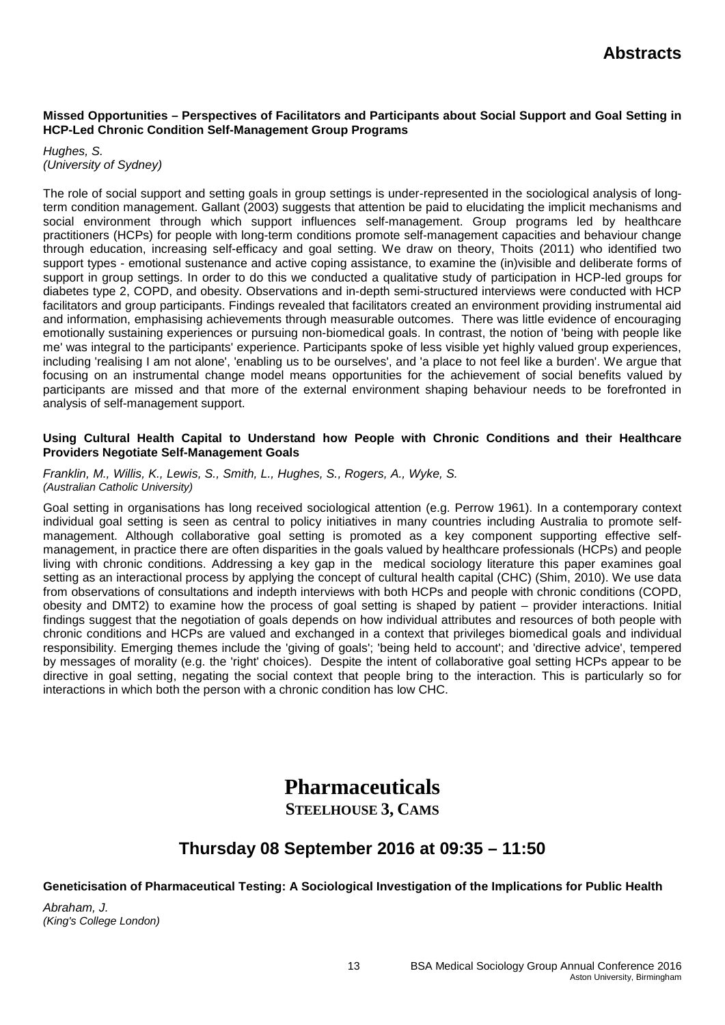### **Missed Opportunities – Perspectives of Facilitators and Participants about Social Support and Goal Setting in HCP-Led Chronic Condition Self-Management Group Programs**

*Hughes, S. (University of Sydney)*

The role of social support and setting goals in group settings is under-represented in the sociological analysis of longterm condition management. Gallant (2003) suggests that attention be paid to elucidating the implicit mechanisms and social environment through which support influences self-management. Group programs led by healthcare practitioners (HCPs) for people with long-term conditions promote self-management capacities and behaviour change through education, increasing self-efficacy and goal setting. We draw on theory, Thoits (2011) who identified two support types - emotional sustenance and active coping assistance, to examine the (in)visible and deliberate forms of support in group settings. In order to do this we conducted a qualitative study of participation in HCP-led groups for diabetes type 2, COPD, and obesity. Observations and in-depth semi-structured interviews were conducted with HCP facilitators and group participants. Findings revealed that facilitators created an environment providing instrumental aid and information, emphasising achievements through measurable outcomes. There was little evidence of encouraging emotionally sustaining experiences or pursuing non-biomedical goals. In contrast, the notion of 'being with people like me' was integral to the participants' experience. Participants spoke of less visible yet highly valued group experiences, including 'realising I am not alone', 'enabling us to be ourselves', and 'a place to not feel like a burden'. We argue that focusing on an instrumental change model means opportunities for the achievement of social benefits valued by participants are missed and that more of the external environment shaping behaviour needs to be forefronted in analysis of self-management support.

### **Using Cultural Health Capital to Understand how People with Chronic Conditions and their Healthcare Providers Negotiate Self-Management Goals**

*Franklin, M., Willis, K., Lewis, S., Smith, L., Hughes, S., Rogers, A., Wyke, S. (Australian Catholic University)*

Goal setting in organisations has long received sociological attention (e.g. Perrow 1961). In a contemporary context individual goal setting is seen as central to policy initiatives in many countries including Australia to promote selfmanagement. Although collaborative goal setting is promoted as a key component supporting effective selfmanagement, in practice there are often disparities in the goals valued by healthcare professionals (HCPs) and people living with chronic conditions. Addressing a key gap in the medical sociology literature this paper examines goal setting as an interactional process by applying the concept of cultural health capital (CHC) (Shim, 2010). We use data from observations of consultations and indepth interviews with both HCPs and people with chronic conditions (COPD, obesity and DMT2) to examine how the process of goal setting is shaped by patient – provider interactions. Initial findings suggest that the negotiation of goals depends on how individual attributes and resources of both people with chronic conditions and HCPs are valued and exchanged in a context that privileges biomedical goals and individual responsibility. Emerging themes include the 'giving of goals'; 'being held to account'; and 'directive advice', tempered by messages of morality (e.g. the 'right' choices). Despite the intent of collaborative goal setting HCPs appear to be directive in goal setting, negating the social context that people bring to the interaction. This is particularly so for interactions in which both the person with a chronic condition has low CHC.

# **Pharmaceuticals**

## **STEELHOUSE 3, CAMS**

# **Thursday 08 September 2016 at 09:35 – 11:50**

## **Geneticisation of Pharmaceutical Testing: A Sociological Investigation of the Implications for Public Health**

*Abraham, J. (King's College London)*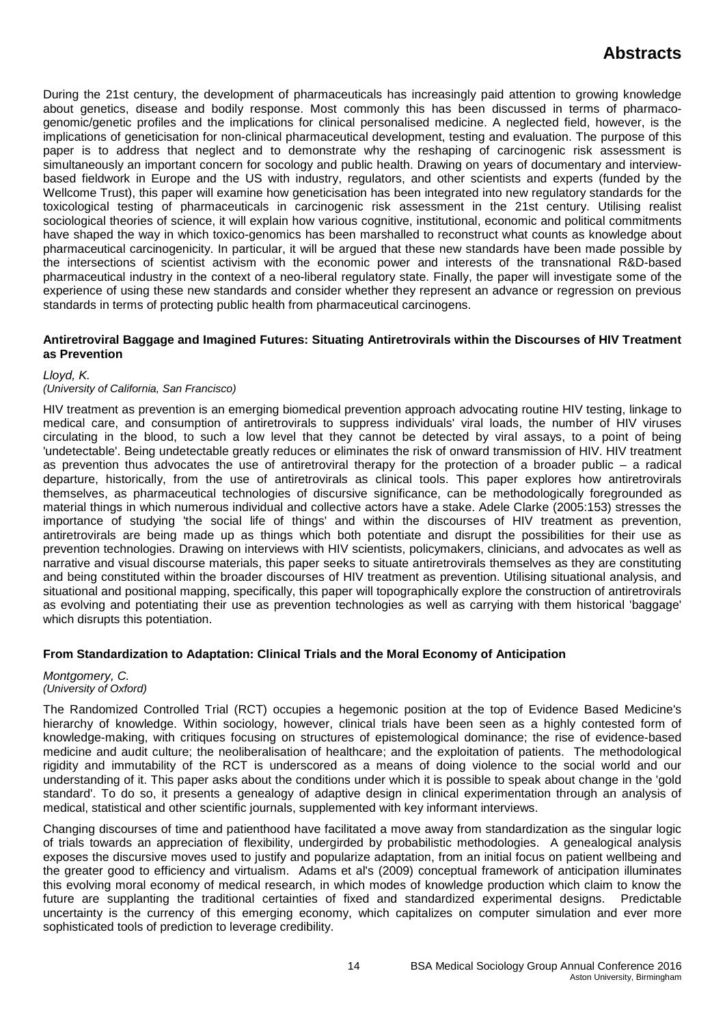During the 21st century, the development of pharmaceuticals has increasingly paid attention to growing knowledge about genetics, disease and bodily response. Most commonly this has been discussed in terms of pharmacogenomic/genetic profiles and the implications for clinical personalised medicine. A neglected field, however, is the implications of geneticisation for non-clinical pharmaceutical development, testing and evaluation. The purpose of this paper is to address that neglect and to demonstrate why the reshaping of carcinogenic risk assessment is simultaneously an important concern for socology and public health. Drawing on years of documentary and interviewbased fieldwork in Europe and the US with industry, regulators, and other scientists and experts (funded by the Wellcome Trust), this paper will examine how geneticisation has been integrated into new regulatory standards for the toxicological testing of pharmaceuticals in carcinogenic risk assessment in the 21st century. Utilising realist sociological theories of science, it will explain how various cognitive, institutional, economic and political commitments have shaped the way in which toxico-genomics has been marshalled to reconstruct what counts as knowledge about pharmaceutical carcinogenicity. In particular, it will be argued that these new standards have been made possible by the intersections of scientist activism with the economic power and interests of the transnational R&D-based pharmaceutical industry in the context of a neo-liberal regulatory state. Finally, the paper will investigate some of the experience of using these new standards and consider whether they represent an advance or regression on previous standards in terms of protecting public health from pharmaceutical carcinogens.

### **Antiretroviral Baggage and Imagined Futures: Situating Antiretrovirals within the Discourses of HIV Treatment as Prevention**

### *Lloyd, K.*

### *(University of California, San Francisco)*

HIV treatment as prevention is an emerging biomedical prevention approach advocating routine HIV testing, linkage to medical care, and consumption of antiretrovirals to suppress individuals' viral loads, the number of HIV viruses circulating in the blood, to such a low level that they cannot be detected by viral assays, to a point of being 'undetectable'. Being undetectable greatly reduces or eliminates the risk of onward transmission of HIV. HIV treatment as prevention thus advocates the use of antiretroviral therapy for the protection of a broader public – a radical departure, historically, from the use of antiretrovirals as clinical tools. This paper explores how antiretrovirals themselves, as pharmaceutical technologies of discursive significance, can be methodologically foregrounded as material things in which numerous individual and collective actors have a stake. Adele Clarke (2005:153) stresses the importance of studying 'the social life of things' and within the discourses of HIV treatment as prevention, antiretrovirals are being made up as things which both potentiate and disrupt the possibilities for their use as prevention technologies. Drawing on interviews with HIV scientists, policymakers, clinicians, and advocates as well as narrative and visual discourse materials, this paper seeks to situate antiretrovirals themselves as they are constituting and being constituted within the broader discourses of HIV treatment as prevention. Utilising situational analysis, and situational and positional mapping, specifically, this paper will topographically explore the construction of antiretrovirals as evolving and potentiating their use as prevention technologies as well as carrying with them historical 'baggage' which disrupts this potentiation.

## **From Standardization to Adaptation: Clinical Trials and the Moral Economy of Anticipation**

### *Montgomery, C. (University of Oxford)*

The Randomized Controlled Trial (RCT) occupies a hegemonic position at the top of Evidence Based Medicine's hierarchy of knowledge. Within sociology, however, clinical trials have been seen as a highly contested form of knowledge-making, with critiques focusing on structures of epistemological dominance; the rise of evidence-based medicine and audit culture; the neoliberalisation of healthcare; and the exploitation of patients. The methodological rigidity and immutability of the RCT is underscored as a means of doing violence to the social world and our understanding of it. This paper asks about the conditions under which it is possible to speak about change in the 'gold standard'. To do so, it presents a genealogy of adaptive design in clinical experimentation through an analysis of medical, statistical and other scientific journals, supplemented with key informant interviews.

Changing discourses of time and patienthood have facilitated a move away from standardization as the singular logic of trials towards an appreciation of flexibility, undergirded by probabilistic methodologies. A genealogical analysis exposes the discursive moves used to justify and popularize adaptation, from an initial focus on patient wellbeing and the greater good to efficiency and virtualism. Adams et al's (2009) conceptual framework of anticipation illuminates this evolving moral economy of medical research, in which modes of knowledge production which claim to know the future are supplanting the traditional certainties of fixed and standardized experimental designs. Predictable uncertainty is the currency of this emerging economy, which capitalizes on computer simulation and ever more sophisticated tools of prediction to leverage credibility.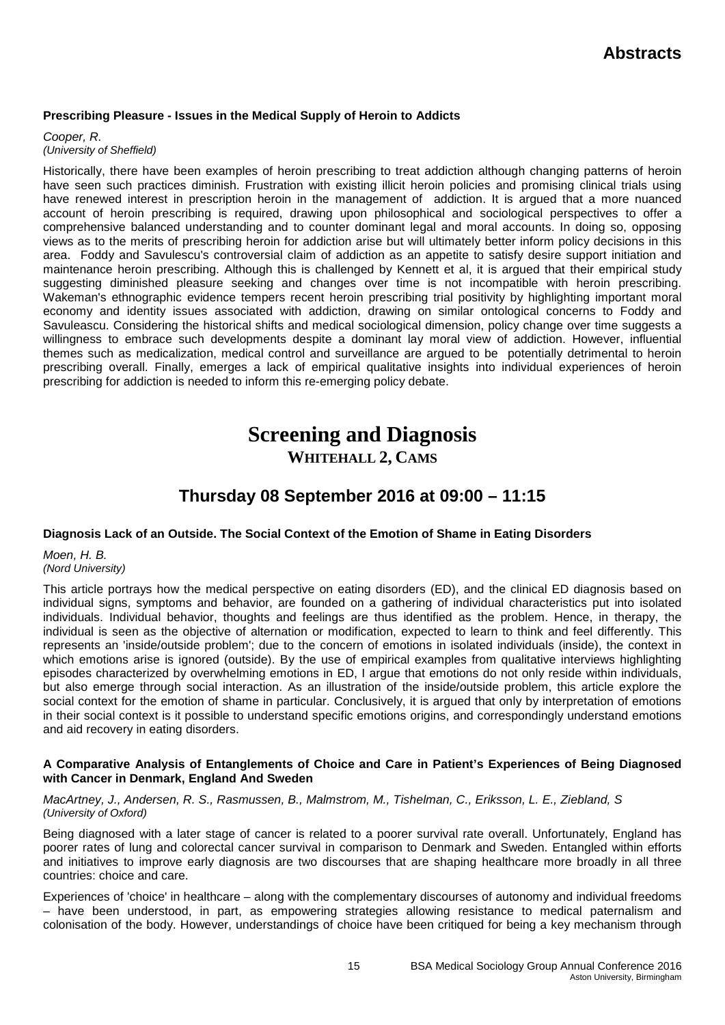## **Prescribing Pleasure - Issues in the Medical Supply of Heroin to Addicts**

*Cooper, R. (University of Sheffield)*

Historically, there have been examples of heroin prescribing to treat addiction although changing patterns of heroin have seen such practices diminish. Frustration with existing illicit heroin policies and promising clinical trials using have renewed interest in prescription heroin in the management of addiction. It is argued that a more nuanced account of heroin prescribing is required, drawing upon philosophical and sociological perspectives to offer a comprehensive balanced understanding and to counter dominant legal and moral accounts. In doing so, opposing views as to the merits of prescribing heroin for addiction arise but will ultimately better inform policy decisions in this area. Foddy and Savulescu's controversial claim of addiction as an appetite to satisfy desire support initiation and maintenance heroin prescribing. Although this is challenged by Kennett et al, it is argued that their empirical study suggesting diminished pleasure seeking and changes over time is not incompatible with heroin prescribing. Wakeman's ethnographic evidence tempers recent heroin prescribing trial positivity by highlighting important moral economy and identity issues associated with addiction, drawing on similar ontological concerns to Foddy and Savuleascu. Considering the historical shifts and medical sociological dimension, policy change over time suggests a willingness to embrace such developments despite a dominant lay moral view of addiction. However, influential themes such as medicalization, medical control and surveillance are argued to be potentially detrimental to heroin prescribing overall. Finally, emerges a lack of empirical qualitative insights into individual experiences of heroin prescribing for addiction is needed to inform this re-emerging policy debate.

# **Screening and Diagnosis WHITEHALL 2, CAMS**

# **Thursday 08 September 2016 at 09:00 – 11:15**

## **Diagnosis Lack of an Outside. The Social Context of the Emotion of Shame in Eating Disorders**

*Moen, H. B. (Nord University)*

This article portrays how the medical perspective on eating disorders (ED), and the clinical ED diagnosis based on individual signs, symptoms and behavior, are founded on a gathering of individual characteristics put into isolated individuals. Individual behavior, thoughts and feelings are thus identified as the problem. Hence, in therapy, the individual is seen as the objective of alternation or modification, expected to learn to think and feel differently. This represents an 'inside/outside problem'; due to the concern of emotions in isolated individuals (inside), the context in which emotions arise is ignored (outside). By the use of empirical examples from qualitative interviews highlighting episodes characterized by overwhelming emotions in ED, I argue that emotions do not only reside within individuals, but also emerge through social interaction. As an illustration of the inside/outside problem, this article explore the social context for the emotion of shame in particular. Conclusively, it is argued that only by interpretation of emotions in their social context is it possible to understand specific emotions origins, and correspondingly understand emotions and aid recovery in eating disorders.

### **A Comparative Analysis of Entanglements of Choice and Care in Patient's Experiences of Being Diagnosed with Cancer in Denmark, England And Sweden**

*MacArtney, J., Andersen, R. S., Rasmussen, B., Malmstrom, M., Tishelman, C., Eriksson, L. E., Ziebland, S (University of Oxford)*

Being diagnosed with a later stage of cancer is related to a poorer survival rate overall. Unfortunately, England has poorer rates of lung and colorectal cancer survival in comparison to Denmark and Sweden. Entangled within efforts and initiatives to improve early diagnosis are two discourses that are shaping healthcare more broadly in all three countries: choice and care.

Experiences of 'choice' in healthcare – along with the complementary discourses of autonomy and individual freedoms – have been understood, in part, as empowering strategies allowing resistance to medical paternalism and colonisation of the body. However, understandings of choice have been critiqued for being a key mechanism through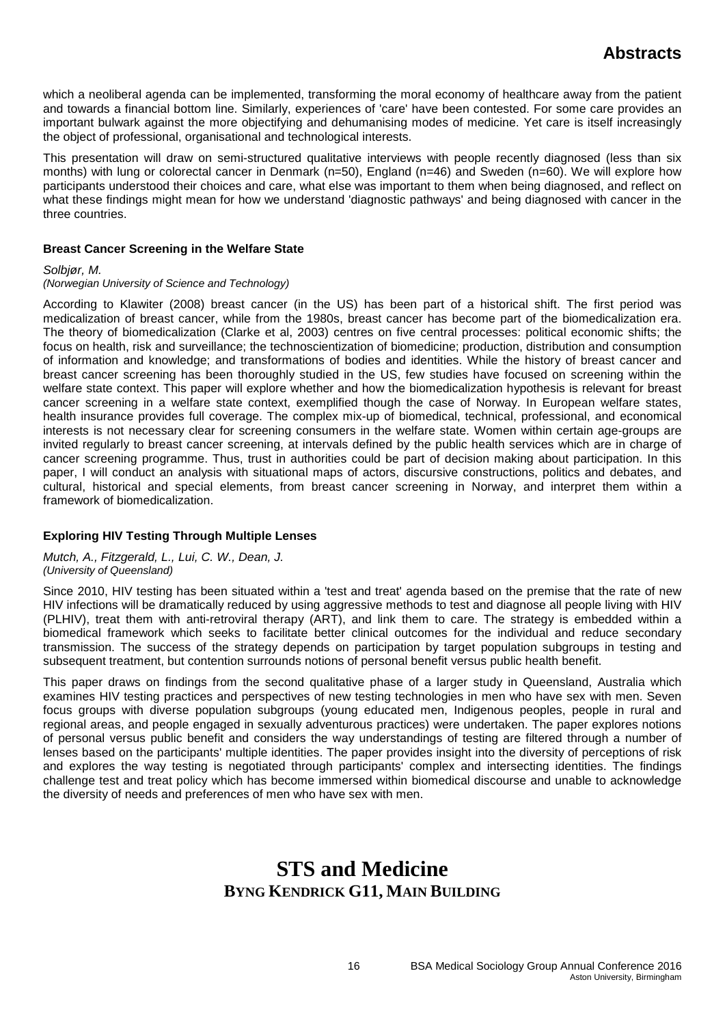which a neoliberal agenda can be implemented, transforming the moral economy of healthcare away from the patient and towards a financial bottom line. Similarly, experiences of 'care' have been contested. For some care provides an important bulwark against the more objectifying and dehumanising modes of medicine. Yet care is itself increasingly the object of professional, organisational and technological interests.

This presentation will draw on semi-structured qualitative interviews with people recently diagnosed (less than six months) with lung or colorectal cancer in Denmark (n=50), England (n=46) and Sweden (n=60). We will explore how participants understood their choices and care, what else was important to them when being diagnosed, and reflect on what these findings might mean for how we understand 'diagnostic pathways' and being diagnosed with cancer in the three countries.

### **Breast Cancer Screening in the Welfare State**

*Solbjør, M.*

### *(Norwegian University of Science and Technology)*

According to Klawiter (2008) breast cancer (in the US) has been part of a historical shift. The first period was medicalization of breast cancer, while from the 1980s, breast cancer has become part of the biomedicalization era. The theory of biomedicalization (Clarke et al, 2003) centres on five central processes: political economic shifts; the focus on health, risk and surveillance; the technoscientization of biomedicine; production, distribution and consumption of information and knowledge; and transformations of bodies and identities. While the history of breast cancer and breast cancer screening has been thoroughly studied in the US, few studies have focused on screening within the welfare state context. This paper will explore whether and how the biomedicalization hypothesis is relevant for breast cancer screening in a welfare state context, exemplified though the case of Norway. In European welfare states, health insurance provides full coverage. The complex mix-up of biomedical, technical, professional, and economical interests is not necessary clear for screening consumers in the welfare state. Women within certain age-groups are invited regularly to breast cancer screening, at intervals defined by the public health services which are in charge of cancer screening programme. Thus, trust in authorities could be part of decision making about participation. In this paper, I will conduct an analysis with situational maps of actors, discursive constructions, politics and debates, and cultural, historical and special elements, from breast cancer screening in Norway, and interpret them within a framework of biomedicalization.

## **Exploring HIV Testing Through Multiple Lenses**

*Mutch, A., Fitzgerald, L., Lui, C. W., Dean, J. (University of Queensland)*

Since 2010, HIV testing has been situated within a 'test and treat' agenda based on the premise that the rate of new HIV infections will be dramatically reduced by using aggressive methods to test and diagnose all people living with HIV (PLHIV), treat them with anti-retroviral therapy (ART), and link them to care. The strategy is embedded within a biomedical framework which seeks to facilitate better clinical outcomes for the individual and reduce secondary transmission. The success of the strategy depends on participation by target population subgroups in testing and subsequent treatment, but contention surrounds notions of personal benefit versus public health benefit.

This paper draws on findings from the second qualitative phase of a larger study in Queensland, Australia which examines HIV testing practices and perspectives of new testing technologies in men who have sex with men. Seven focus groups with diverse population subgroups (young educated men, Indigenous peoples, people in rural and regional areas, and people engaged in sexually adventurous practices) were undertaken. The paper explores notions of personal versus public benefit and considers the way understandings of testing are filtered through a number of lenses based on the participants' multiple identities. The paper provides insight into the diversity of perceptions of risk and explores the way testing is negotiated through participants' complex and intersecting identities. The findings challenge test and treat policy which has become immersed within biomedical discourse and unable to acknowledge the diversity of needs and preferences of men who have sex with men.

# **STS and Medicine BYNG KENDRICK G11, MAIN BUILDING**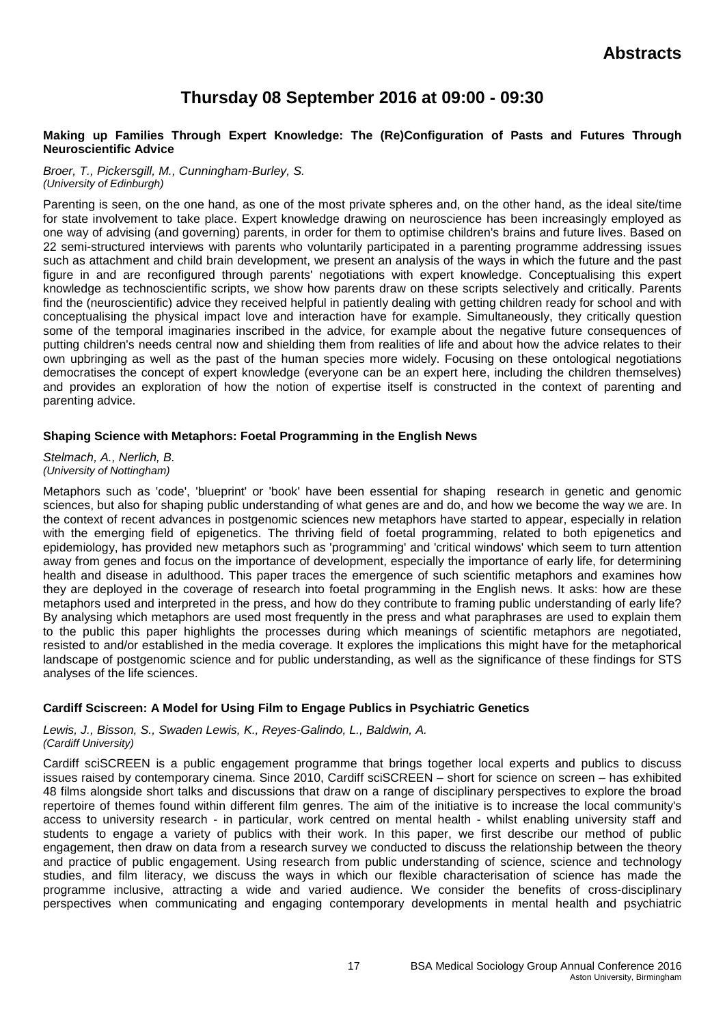# **Thursday 08 September 2016 at 09:00 - 09:30**

### **Making up Families Through Expert Knowledge: The (Re)Configuration of Pasts and Futures Through Neuroscientific Advice**

*Broer, T., Pickersgill, M., Cunningham-Burley, S. (University of Edinburgh)*

Parenting is seen, on the one hand, as one of the most private spheres and, on the other hand, as the ideal site/time for state involvement to take place. Expert knowledge drawing on neuroscience has been increasingly employed as one way of advising (and governing) parents, in order for them to optimise children's brains and future lives. Based on 22 semi-structured interviews with parents who voluntarily participated in a parenting programme addressing issues such as attachment and child brain development, we present an analysis of the ways in which the future and the past figure in and are reconfigured through parents' negotiations with expert knowledge. Conceptualising this expert knowledge as technoscientific scripts, we show how parents draw on these scripts selectively and critically. Parents find the (neuroscientific) advice they received helpful in patiently dealing with getting children ready for school and with conceptualising the physical impact love and interaction have for example. Simultaneously, they critically question some of the temporal imaginaries inscribed in the advice, for example about the negative future consequences of putting children's needs central now and shielding them from realities of life and about how the advice relates to their own upbringing as well as the past of the human species more widely. Focusing on these ontological negotiations democratises the concept of expert knowledge (everyone can be an expert here, including the children themselves) and provides an exploration of how the notion of expertise itself is constructed in the context of parenting and parenting advice.

## **Shaping Science with Metaphors: Foetal Programming in the English News**

*Stelmach, A., Nerlich, B. (University of Nottingham)*

Metaphors such as 'code', 'blueprint' or 'book' have been essential for shaping research in genetic and genomic sciences, but also for shaping public understanding of what genes are and do, and how we become the way we are. In the context of recent advances in postgenomic sciences new metaphors have started to appear, especially in relation with the emerging field of epigenetics. The thriving field of foetal programming, related to both epigenetics and epidemiology, has provided new metaphors such as 'programming' and 'critical windows' which seem to turn attention away from genes and focus on the importance of development, especially the importance of early life, for determining health and disease in adulthood. This paper traces the emergence of such scientific metaphors and examines how they are deployed in the coverage of research into foetal programming in the English news. It asks: how are these metaphors used and interpreted in the press, and how do they contribute to framing public understanding of early life? By analysing which metaphors are used most frequently in the press and what paraphrases are used to explain them to the public this paper highlights the processes during which meanings of scientific metaphors are negotiated, resisted to and/or established in the media coverage. It explores the implications this might have for the metaphorical landscape of postgenomic science and for public understanding, as well as the significance of these findings for STS analyses of the life sciences.

## **Cardiff Sciscreen: A Model for Using Film to Engage Publics in Psychiatric Genetics**

*Lewis, J., Bisson, S., Swaden Lewis, K., Reyes-Galindo, L., Baldwin, A. (Cardiff University)*

Cardiff sciSCREEN is a public engagement programme that brings together local experts and publics to discuss issues raised by contemporary cinema. Since 2010, Cardiff sciSCREEN – short for science on screen – has exhibited 48 films alongside short talks and discussions that draw on a range of disciplinary perspectives to explore the broad repertoire of themes found within different film genres. The aim of the initiative is to increase the local community's access to university research - in particular, work centred on mental health - whilst enabling university staff and students to engage a variety of publics with their work. In this paper, we first describe our method of public engagement, then draw on data from a research survey we conducted to discuss the relationship between the theory and practice of public engagement. Using research from public understanding of science, science and technology studies, and film literacy, we discuss the ways in which our flexible characterisation of science has made the programme inclusive, attracting a wide and varied audience. We consider the benefits of cross-disciplinary perspectives when communicating and engaging contemporary developments in mental health and psychiatric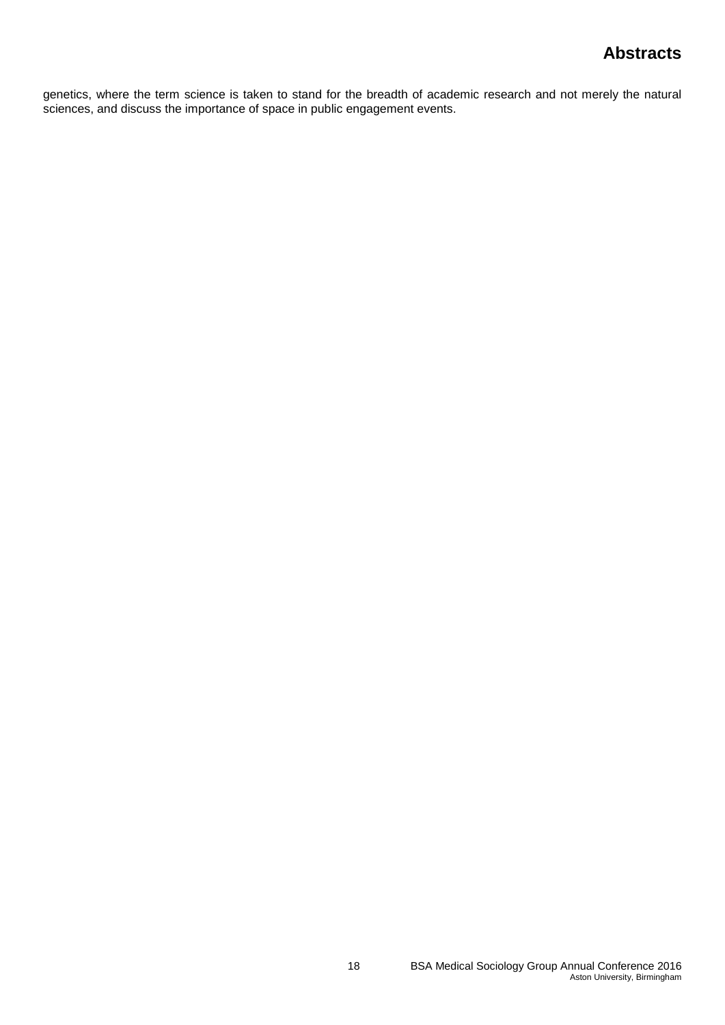genetics, where the term science is taken to stand for the breadth of academic research and not merely the natural sciences, and discuss the importance of space in public engagement events.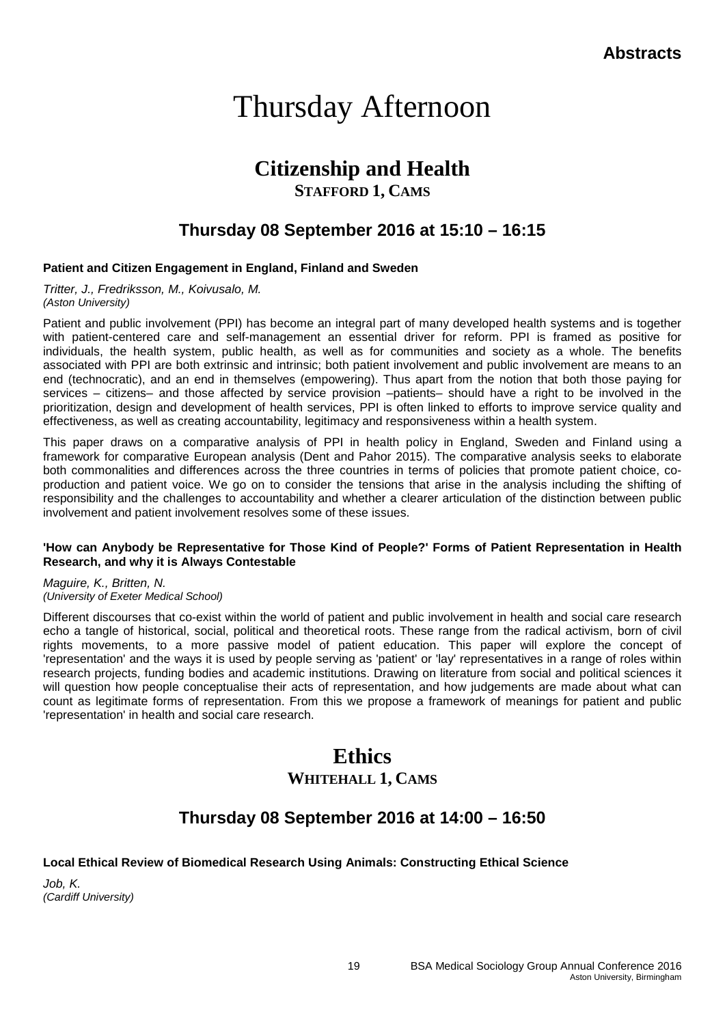# Thursday Afternoon

# **Citizenship and Health**

**STAFFORD 1, CAMS**

# **Thursday 08 September 2016 at 15:10 – 16:15**

## **Patient and Citizen Engagement in England, Finland and Sweden**

*Tritter, J., Fredriksson, M., Koivusalo, M. (Aston University)*

Patient and public involvement (PPI) has become an integral part of many developed health systems and is together with patient-centered care and self-management an essential driver for reform. PPI is framed as positive for individuals, the health system, public health, as well as for communities and society as a whole. The benefits associated with PPI are both extrinsic and intrinsic; both patient involvement and public involvement are means to an end (technocratic), and an end in themselves (empowering). Thus apart from the notion that both those paying for services – citizens– and those affected by service provision –patients– should have a right to be involved in the prioritization, design and development of health services, PPI is often linked to efforts to improve service quality and effectiveness, as well as creating accountability, legitimacy and responsiveness within a health system.

This paper draws on a comparative analysis of PPI in health policy in England, Sweden and Finland using a framework for comparative European analysis (Dent and Pahor 2015). The comparative analysis seeks to elaborate both commonalities and differences across the three countries in terms of policies that promote patient choice, coproduction and patient voice. We go on to consider the tensions that arise in the analysis including the shifting of responsibility and the challenges to accountability and whether a clearer articulation of the distinction between public involvement and patient involvement resolves some of these issues.

### **'How can Anybody be Representative for Those Kind of People?' Forms of Patient Representation in Health Research, and why it is Always Contestable**

*Maguire, K., Britten, N. (University of Exeter Medical School)*

Different discourses that co-exist within the world of patient and public involvement in health and social care research echo a tangle of historical, social, political and theoretical roots. These range from the radical activism, born of civil rights movements, to a more passive model of patient education. This paper will explore the concept of 'representation' and the ways it is used by people serving as 'patient' or 'lay' representatives in a range of roles within research projects, funding bodies and academic institutions. Drawing on literature from social and political sciences it will question how people conceptualise their acts of representation, and how judgements are made about what can count as legitimate forms of representation. From this we propose a framework of meanings for patient and public 'representation' in health and social care research.

# **Ethics WHITEHALL 1, CAMS**

# **Thursday 08 September 2016 at 14:00 – 16:50**

## **Local Ethical Review of Biomedical Research Using Animals: Constructing Ethical Science**

*Job, K. (Cardiff University)*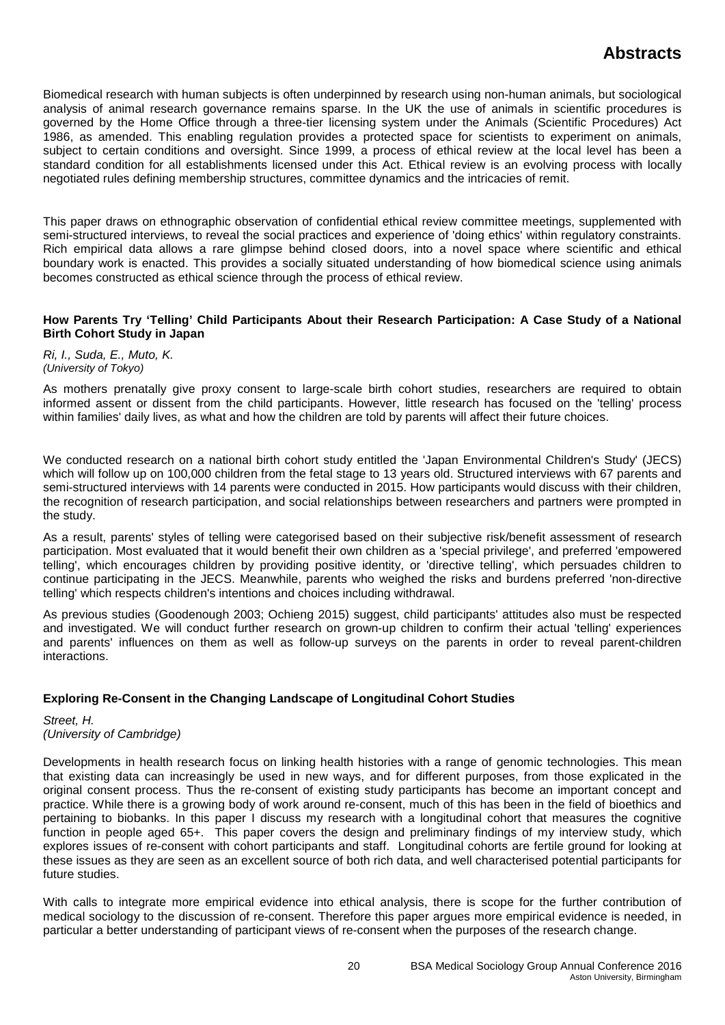Biomedical research with human subjects is often underpinned by research using non-human animals, but sociological analysis of animal research governance remains sparse. In the UK the use of animals in scientific procedures is governed by the Home Office through a three-tier licensing system under the Animals (Scientific Procedures) Act 1986, as amended. This enabling regulation provides a protected space for scientists to experiment on animals, subject to certain conditions and oversight. Since 1999, a process of ethical review at the local level has been a standard condition for all establishments licensed under this Act. Ethical review is an evolving process with locally negotiated rules defining membership structures, committee dynamics and the intricacies of remit.

This paper draws on ethnographic observation of confidential ethical review committee meetings, supplemented with semi-structured interviews, to reveal the social practices and experience of 'doing ethics' within regulatory constraints. Rich empirical data allows a rare glimpse behind closed doors, into a novel space where scientific and ethical boundary work is enacted. This provides a socially situated understanding of how biomedical science using animals becomes constructed as ethical science through the process of ethical review.

### **How Parents Try 'Telling' Child Participants About their Research Participation: A Case Study of a National Birth Cohort Study in Japan**

#### *Ri, I., Suda, E., Muto, K. (University of Tokyo)*

As mothers prenatally give proxy consent to large-scale birth cohort studies, researchers are required to obtain informed assent or dissent from the child participants. However, little research has focused on the 'telling' process within families' daily lives, as what and how the children are told by parents will affect their future choices.

We conducted research on a national birth cohort study entitled the 'Japan Environmental Children's Study' (JECS) which will follow up on 100,000 children from the fetal stage to 13 years old. Structured interviews with 67 parents and semi-structured interviews with 14 parents were conducted in 2015. How participants would discuss with their children, the recognition of research participation, and social relationships between researchers and partners were prompted in the study.

As a result, parents' styles of telling were categorised based on their subjective risk/benefit assessment of research participation. Most evaluated that it would benefit their own children as a 'special privilege', and preferred 'empowered telling', which encourages children by providing positive identity, or 'directive telling', which persuades children to continue participating in the JECS. Meanwhile, parents who weighed the risks and burdens preferred 'non-directive telling' which respects children's intentions and choices including withdrawal.

As previous studies (Goodenough 2003; Ochieng 2015) suggest, child participants' attitudes also must be respected and investigated. We will conduct further research on grown-up children to confirm their actual 'telling' experiences and parents' influences on them as well as follow-up surveys on the parents in order to reveal parent-children interactions.

## **Exploring Re-Consent in the Changing Landscape of Longitudinal Cohort Studies**

*Street, H. (University of Cambridge)*

Developments in health research focus on linking health histories with a range of genomic technologies. This mean that existing data can increasingly be used in new ways, and for different purposes, from those explicated in the original consent process. Thus the re-consent of existing study participants has become an important concept and practice. While there is a growing body of work around re-consent, much of this has been in the field of bioethics and pertaining to biobanks. In this paper I discuss my research with a longitudinal cohort that measures the cognitive function in people aged 65+. This paper covers the design and preliminary findings of my interview study, which explores issues of re-consent with cohort participants and staff. Longitudinal cohorts are fertile ground for looking at these issues as they are seen as an excellent source of both rich data, and well characterised potential participants for future studies.

With calls to integrate more empirical evidence into ethical analysis, there is scope for the further contribution of medical sociology to the discussion of re-consent. Therefore this paper argues more empirical evidence is needed, in particular a better understanding of participant views of re-consent when the purposes of the research change.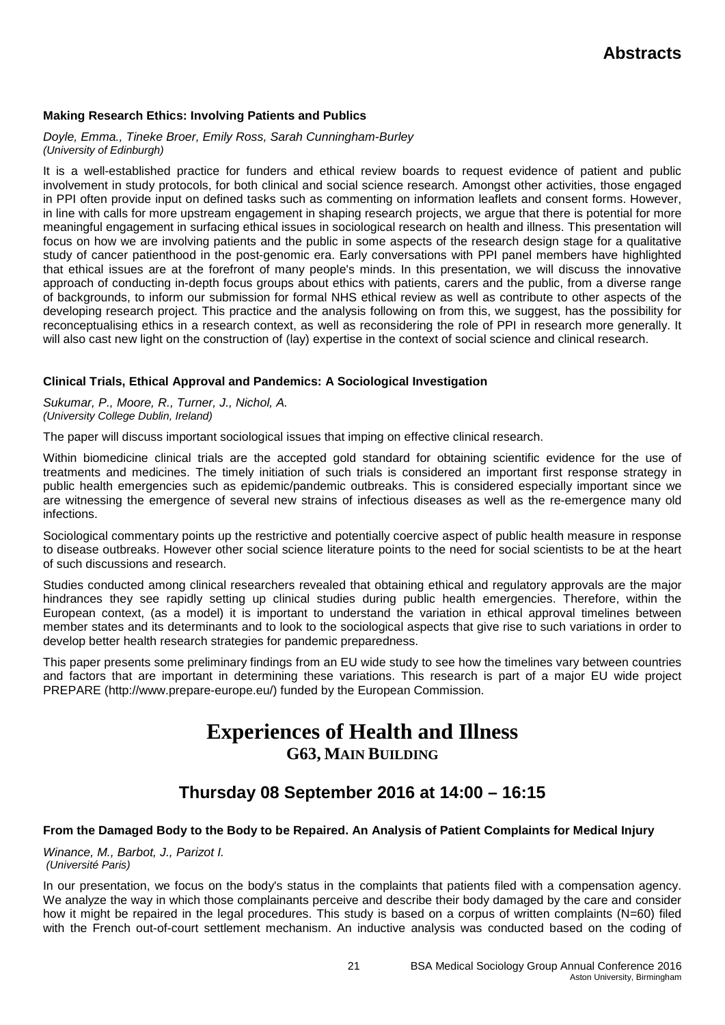## **Making Research Ethics: Involving Patients and Publics**

## *Doyle, Emma., Tineke Broer, Emily Ross, Sarah Cunningham-Burley (University of Edinburgh)*

It is a well-established practice for funders and ethical review boards to request evidence of patient and public involvement in study protocols, for both clinical and social science research. Amongst other activities, those engaged in PPI often provide input on defined tasks such as commenting on information leaflets and consent forms. However, in line with calls for more upstream engagement in shaping research projects, we argue that there is potential for more meaningful engagement in surfacing ethical issues in sociological research on health and illness. This presentation will focus on how we are involving patients and the public in some aspects of the research design stage for a qualitative study of cancer patienthood in the post-genomic era. Early conversations with PPI panel members have highlighted that ethical issues are at the forefront of many people's minds. In this presentation, we will discuss the innovative approach of conducting in-depth focus groups about ethics with patients, carers and the public, from a diverse range of backgrounds, to inform our submission for formal NHS ethical review as well as contribute to other aspects of the developing research project. This practice and the analysis following on from this, we suggest, has the possibility for reconceptualising ethics in a research context, as well as reconsidering the role of PPI in research more generally. It will also cast new light on the construction of (lay) expertise in the context of social science and clinical research.

## **Clinical Trials, Ethical Approval and Pandemics: A Sociological Investigation**

*Sukumar, P., Moore, R., Turner, J., Nichol, A. (University College Dublin, Ireland)*

The paper will discuss important sociological issues that imping on effective clinical research.

Within biomedicine clinical trials are the accepted gold standard for obtaining scientific evidence for the use of treatments and medicines. The timely initiation of such trials is considered an important first response strategy in public health emergencies such as epidemic/pandemic outbreaks. This is considered especially important since we are witnessing the emergence of several new strains of infectious diseases as well as the re-emergence many old infections.

Sociological commentary points up the restrictive and potentially coercive aspect of public health measure in response to disease outbreaks. However other social science literature points to the need for social scientists to be at the heart of such discussions and research.

Studies conducted among clinical researchers revealed that obtaining ethical and regulatory approvals are the major hindrances they see rapidly setting up clinical studies during public health emergencies. Therefore, within the European context, (as a model) it is important to understand the variation in ethical approval timelines between member states and its determinants and to look to the sociological aspects that give rise to such variations in order to develop better health research strategies for pandemic preparedness.

This paper presents some preliminary findings from an EU wide study to see how the timelines vary between countries and factors that are important in determining these variations. This research is part of a major EU wide project PREPARE (http://www.prepare-europe.eu/) funded by the European Commission.

# **Experiences of Health and Illness G63, MAIN BUILDING**

# **Thursday 08 September 2016 at 14:00 – 16:15**

## **From the Damaged Body to the Body to be Repaired. An Analysis of Patient Complaints for Medical Injury**

*Winance, M., Barbot, J., Parizot I. (Université Paris)*

In our presentation, we focus on the body's status in the complaints that patients filed with a compensation agency. We analyze the way in which those complainants perceive and describe their body damaged by the care and consider how it might be repaired in the legal procedures. This study is based on a corpus of written complaints (N=60) filed with the French out-of-court settlement mechanism. An inductive analysis was conducted based on the coding of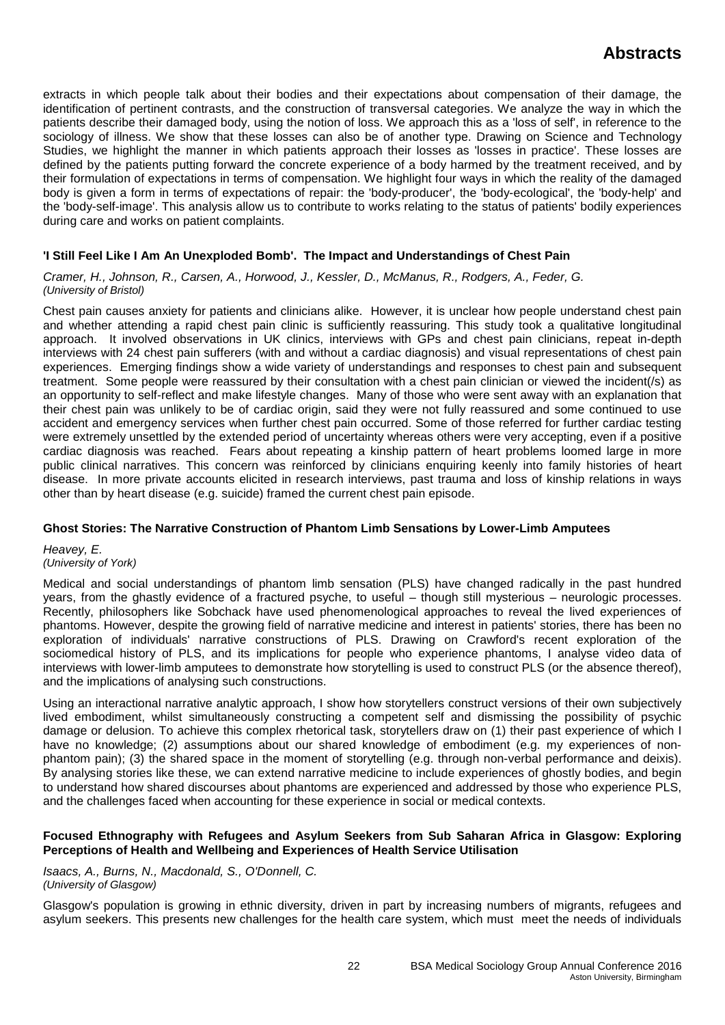extracts in which people talk about their bodies and their expectations about compensation of their damage, the identification of pertinent contrasts, and the construction of transversal categories. We analyze the way in which the patients describe their damaged body, using the notion of loss. We approach this as a 'loss of self', in reference to the sociology of illness. We show that these losses can also be of another type. Drawing on Science and Technology Studies, we highlight the manner in which patients approach their losses as 'losses in practice'. These losses are defined by the patients putting forward the concrete experience of a body harmed by the treatment received, and by their formulation of expectations in terms of compensation. We highlight four ways in which the reality of the damaged body is given a form in terms of expectations of repair: the 'body-producer', the 'body-ecological', the 'body-help' and the 'body-self-image'. This analysis allow us to contribute to works relating to the status of patients' bodily experiences during care and works on patient complaints.

## **'I Still Feel Like I Am An Unexploded Bomb'. The Impact and Understandings of Chest Pain**

### *Cramer, H., Johnson, R., Carsen, A., Horwood, J., Kessler, D., McManus, R., Rodgers, A., Feder, G. (University of Bristol)*

Chest pain causes anxiety for patients and clinicians alike. However, it is unclear how people understand chest pain and whether attending a rapid chest pain clinic is sufficiently reassuring. This study took a qualitative longitudinal approach. It involved observations in UK clinics, interviews with GPs and chest pain clinicians, repeat in-depth interviews with 24 chest pain sufferers (with and without a cardiac diagnosis) and visual representations of chest pain experiences. Emerging findings show a wide variety of understandings and responses to chest pain and subsequent treatment. Some people were reassured by their consultation with a chest pain clinician or viewed the incident(/s) as an opportunity to self-reflect and make lifestyle changes. Many of those who were sent away with an explanation that their chest pain was unlikely to be of cardiac origin, said they were not fully reassured and some continued to use accident and emergency services when further chest pain occurred. Some of those referred for further cardiac testing were extremely unsettled by the extended period of uncertainty whereas others were very accepting, even if a positive cardiac diagnosis was reached. Fears about repeating a kinship pattern of heart problems loomed large in more public clinical narratives. This concern was reinforced by clinicians enquiring keenly into family histories of heart disease. In more private accounts elicited in research interviews, past trauma and loss of kinship relations in ways other than by heart disease (e.g. suicide) framed the current chest pain episode.

## **Ghost Stories: The Narrative Construction of Phantom Limb Sensations by Lower-Limb Amputees**

*Heavey, E. (University of York)*

Medical and social understandings of phantom limb sensation (PLS) have changed radically in the past hundred years, from the ghastly evidence of a fractured psyche, to useful – though still mysterious – neurologic processes. Recently, philosophers like Sobchack have used phenomenological approaches to reveal the lived experiences of phantoms. However, despite the growing field of narrative medicine and interest in patients' stories, there has been no exploration of individuals' narrative constructions of PLS. Drawing on Crawford's recent exploration of the sociomedical history of PLS, and its implications for people who experience phantoms, I analyse video data of interviews with lower-limb amputees to demonstrate how storytelling is used to construct PLS (or the absence thereof), and the implications of analysing such constructions.

Using an interactional narrative analytic approach, I show how storytellers construct versions of their own subjectively lived embodiment, whilst simultaneously constructing a competent self and dismissing the possibility of psychic damage or delusion. To achieve this complex rhetorical task, storytellers draw on (1) their past experience of which I have no knowledge; (2) assumptions about our shared knowledge of embodiment (e.g. my experiences of nonphantom pain); (3) the shared space in the moment of storytelling (e.g. through non-verbal performance and deixis). By analysing stories like these, we can extend narrative medicine to include experiences of ghostly bodies, and begin to understand how shared discourses about phantoms are experienced and addressed by those who experience PLS, and the challenges faced when accounting for these experience in social or medical contexts.

### **Focused Ethnography with Refugees and Asylum Seekers from Sub Saharan Africa in Glasgow: Exploring Perceptions of Health and Wellbeing and Experiences of Health Service Utilisation**

*Isaacs, A., Burns, N., Macdonald, S., O'Donnell, C. (University of Glasgow)*

Glasgow's population is growing in ethnic diversity, driven in part by increasing numbers of migrants, refugees and asylum seekers. This presents new challenges for the health care system, which must meet the needs of individuals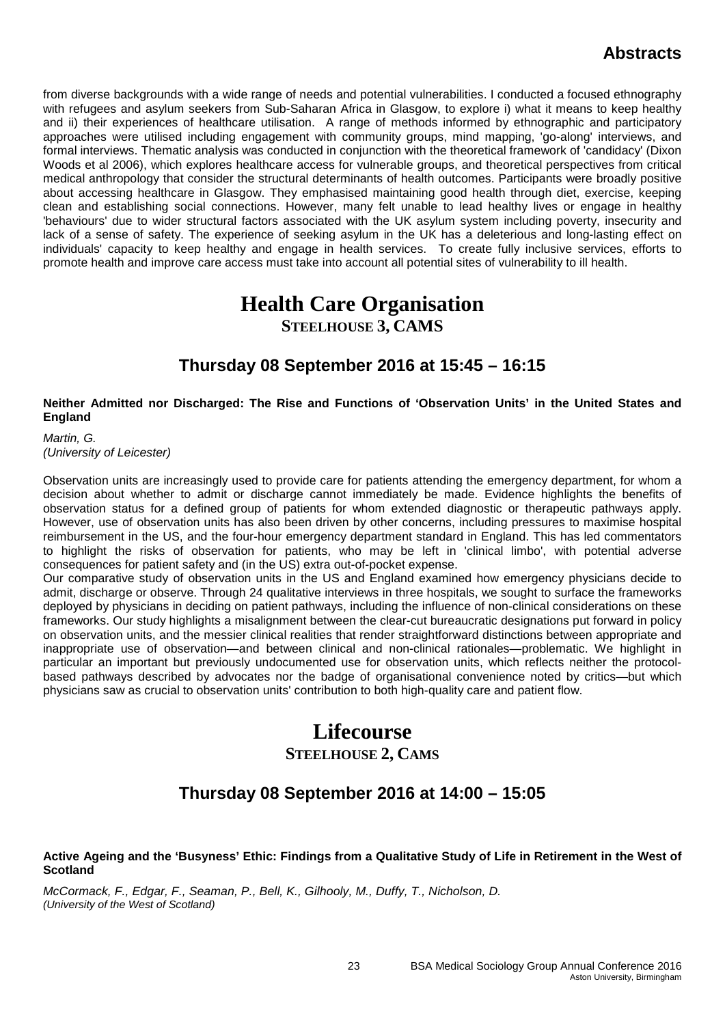from diverse backgrounds with a wide range of needs and potential vulnerabilities. I conducted a focused ethnography with refugees and asylum seekers from Sub-Saharan Africa in Glasgow, to explore i) what it means to keep healthy and ii) their experiences of healthcare utilisation. A range of methods informed by ethnographic and participatory approaches were utilised including engagement with community groups, mind mapping, 'go-along' interviews, and formal interviews. Thematic analysis was conducted in conjunction with the theoretical framework of 'candidacy' (Dixon Woods et al 2006), which explores healthcare access for vulnerable groups, and theoretical perspectives from critical medical anthropology that consider the structural determinants of health outcomes. Participants were broadly positive about accessing healthcare in Glasgow. They emphasised maintaining good health through diet, exercise, keeping clean and establishing social connections. However, many felt unable to lead healthy lives or engage in healthy 'behaviours' due to wider structural factors associated with the UK asylum system including poverty, insecurity and lack of a sense of safety. The experience of seeking asylum in the UK has a deleterious and long-lasting effect on individuals' capacity to keep healthy and engage in health services. To create fully inclusive services, efforts to promote health and improve care access must take into account all potential sites of vulnerability to ill health.

# **Health Care Organisation STEELHOUSE 3, CAMS**

# **Thursday 08 September 2016 at 15:45 – 16:15**

## **Neither Admitted nor Discharged: The Rise and Functions of 'Observation Units' in the United States and England**

*Martin, G. (University of Leicester)*

Observation units are increasingly used to provide care for patients attending the emergency department, for whom a decision about whether to admit or discharge cannot immediately be made. Evidence highlights the benefits of observation status for a defined group of patients for whom extended diagnostic or therapeutic pathways apply. However, use of observation units has also been driven by other concerns, including pressures to maximise hospital reimbursement in the US, and the four-hour emergency department standard in England. This has led commentators to highlight the risks of observation for patients, who may be left in 'clinical limbo', with potential adverse consequences for patient safety and (in the US) extra out-of-pocket expense.

Our comparative study of observation units in the US and England examined how emergency physicians decide to admit, discharge or observe. Through 24 qualitative interviews in three hospitals, we sought to surface the frameworks deployed by physicians in deciding on patient pathways, including the influence of non-clinical considerations on these frameworks. Our study highlights a misalignment between the clear-cut bureaucratic designations put forward in policy on observation units, and the messier clinical realities that render straightforward distinctions between appropriate and inappropriate use of observation—and between clinical and non-clinical rationales—problematic. We highlight in particular an important but previously undocumented use for observation units, which reflects neither the protocolbased pathways described by advocates nor the badge of organisational convenience noted by critics—but which physicians saw as crucial to observation units' contribution to both high-quality care and patient flow.

# **Lifecourse STEELHOUSE 2, CAMS**

# **Thursday 08 September 2016 at 14:00 – 15:05**

### **Active Ageing and the 'Busyness' Ethic: Findings from a Qualitative Study of Life in Retirement in the West of Scotland**

*McCormack, F., Edgar, F., Seaman, P., Bell, K., Gilhooly, M., Duffy, T., Nicholson, D. (University of the West of Scotland)*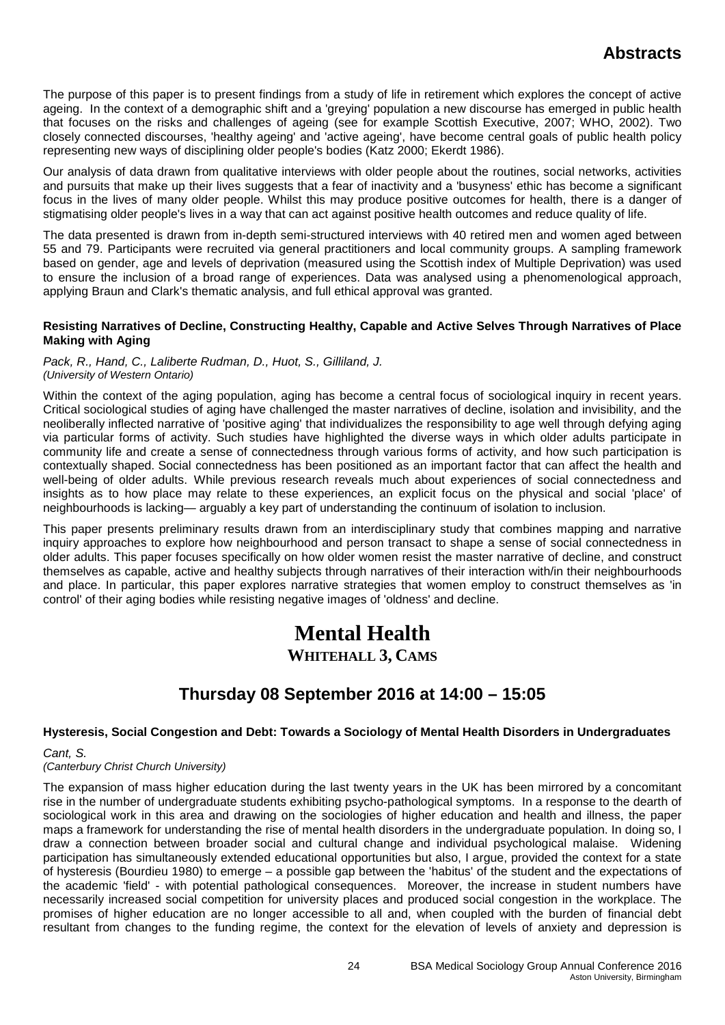The purpose of this paper is to present findings from a study of life in retirement which explores the concept of active ageing. In the context of a demographic shift and a 'greying' population a new discourse has emerged in public health that focuses on the risks and challenges of ageing (see for example Scottish Executive, 2007; WHO, 2002). Two closely connected discourses, 'healthy ageing' and 'active ageing', have become central goals of public health policy representing new ways of disciplining older people's bodies (Katz 2000; Ekerdt 1986).

Our analysis of data drawn from qualitative interviews with older people about the routines, social networks, activities and pursuits that make up their lives suggests that a fear of inactivity and a 'busyness' ethic has become a significant focus in the lives of many older people. Whilst this may produce positive outcomes for health, there is a danger of stigmatising older people's lives in a way that can act against positive health outcomes and reduce quality of life.

The data presented is drawn from in-depth semi-structured interviews with 40 retired men and women aged between 55 and 79. Participants were recruited via general practitioners and local community groups. A sampling framework based on gender, age and levels of deprivation (measured using the Scottish index of Multiple Deprivation) was used to ensure the inclusion of a broad range of experiences. Data was analysed using a phenomenological approach, applying Braun and Clark's thematic analysis, and full ethical approval was granted.

### **Resisting Narratives of Decline, Constructing Healthy, Capable and Active Selves Through Narratives of Place Making with Aging**

*Pack, R., Hand, C., Laliberte Rudman, D., Huot, S., Gilliland, J. (University of Western Ontario)*

Within the context of the aging population, aging has become a central focus of sociological inquiry in recent years. Critical sociological studies of aging have challenged the master narratives of decline, isolation and invisibility, and the neoliberally inflected narrative of 'positive aging' that individualizes the responsibility to age well through defying aging via particular forms of activity. Such studies have highlighted the diverse ways in which older adults participate in community life and create a sense of connectedness through various forms of activity, and how such participation is contextually shaped. Social connectedness has been positioned as an important factor that can affect the health and well-being of older adults. While previous research reveals much about experiences of social connectedness and insights as to how place may relate to these experiences, an explicit focus on the physical and social 'place' of neighbourhoods is lacking— arguably a key part of understanding the continuum of isolation to inclusion.

This paper presents preliminary results drawn from an interdisciplinary study that combines mapping and narrative inquiry approaches to explore how neighbourhood and person transact to shape a sense of social connectedness in older adults. This paper focuses specifically on how older women resist the master narrative of decline, and construct themselves as capable, active and healthy subjects through narratives of their interaction with/in their neighbourhoods and place. In particular, this paper explores narrative strategies that women employ to construct themselves as 'in control' of their aging bodies while resisting negative images of 'oldness' and decline.

# **Mental Health WHITEHALL 3, CAMS**

# **Thursday 08 September 2016 at 14:00 – 15:05**

## **Hysteresis, Social Congestion and Debt: Towards a Sociology of Mental Health Disorders in Undergraduates**

*Cant, S.*

### *(Canterbury Christ Church University)*

The expansion of mass higher education during the last twenty years in the UK has been mirrored by a concomitant rise in the number of undergraduate students exhibiting psycho-pathological symptoms. In a response to the dearth of sociological work in this area and drawing on the sociologies of higher education and health and illness, the paper maps a framework for understanding the rise of mental health disorders in the undergraduate population. In doing so, I draw a connection between broader social and cultural change and individual psychological malaise. Widening participation has simultaneously extended educational opportunities but also, I argue, provided the context for a state of hysteresis (Bourdieu 1980) to emerge – a possible gap between the 'habitus' of the student and the expectations of the academic 'field' - with potential pathological consequences. Moreover, the increase in student numbers have necessarily increased social competition for university places and produced social congestion in the workplace. The promises of higher education are no longer accessible to all and, when coupled with the burden of financial debt resultant from changes to the funding regime, the context for the elevation of levels of anxiety and depression is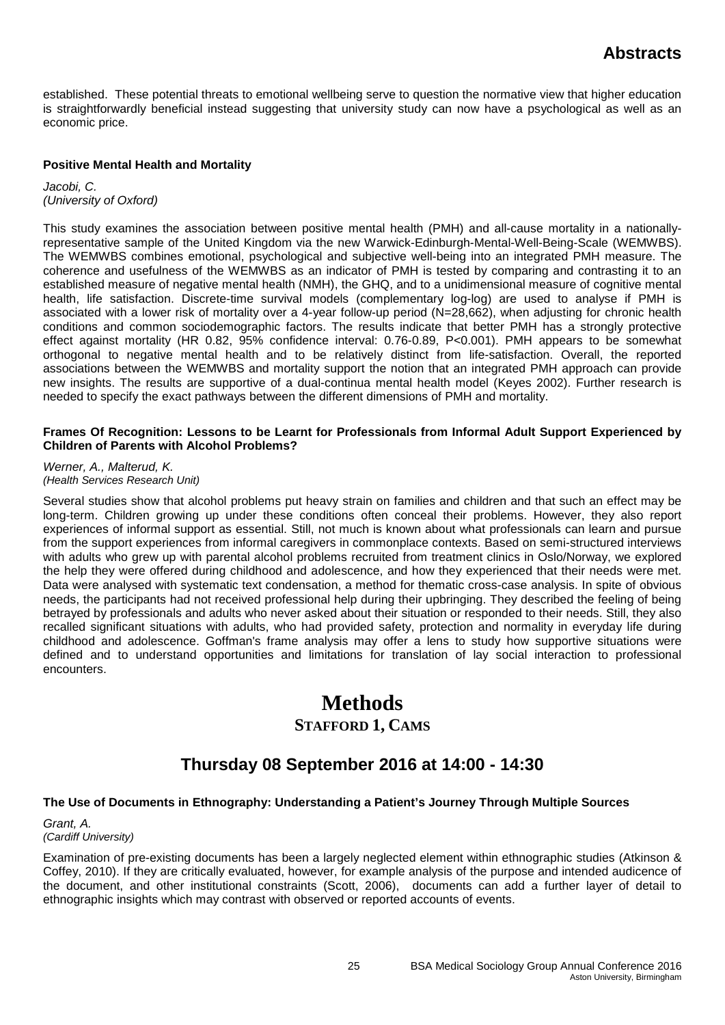established. These potential threats to emotional wellbeing serve to question the normative view that higher education is straightforwardly beneficial instead suggesting that university study can now have a psychological as well as an economic price.

## **Positive Mental Health and Mortality**

*Jacobi, C. (University of Oxford)*

This study examines the association between positive mental health (PMH) and all-cause mortality in a nationallyrepresentative sample of the United Kingdom via the new Warwick-Edinburgh-Mental-Well-Being-Scale (WEMWBS). The WEMWBS combines emotional, psychological and subjective well-being into an integrated PMH measure. The coherence and usefulness of the WEMWBS as an indicator of PMH is tested by comparing and contrasting it to an established measure of negative mental health (NMH), the GHQ, and to a unidimensional measure of cognitive mental health, life satisfaction. Discrete-time survival models (complementary log-log) are used to analyse if PMH is associated with a lower risk of mortality over a 4-year follow-up period (N=28,662), when adjusting for chronic health conditions and common sociodemographic factors. The results indicate that better PMH has a strongly protective effect against mortality (HR 0.82, 95% confidence interval: 0.76-0.89, P<0.001). PMH appears to be somewhat orthogonal to negative mental health and to be relatively distinct from life-satisfaction. Overall, the reported associations between the WEMWBS and mortality support the notion that an integrated PMH approach can provide new insights. The results are supportive of a dual-continua mental health model (Keyes 2002). Further research is needed to specify the exact pathways between the different dimensions of PMH and mortality.

### **Frames Of Recognition: Lessons to be Learnt for Professionals from Informal Adult Support Experienced by Children of Parents with Alcohol Problems?**

*Werner, A., Malterud, K. (Health Services Research Unit)*

Several studies show that alcohol problems put heavy strain on families and children and that such an effect may be long-term. Children growing up under these conditions often conceal their problems. However, they also report experiences of informal support as essential. Still, not much is known about what professionals can learn and pursue from the support experiences from informal caregivers in commonplace contexts. Based on semi-structured interviews with adults who grew up with parental alcohol problems recruited from treatment clinics in Oslo/Norway, we explored the help they were offered during childhood and adolescence, and how they experienced that their needs were met. Data were analysed with systematic text condensation, a method for thematic cross-case analysis. In spite of obvious needs, the participants had not received professional help during their upbringing. They described the feeling of being betrayed by professionals and adults who never asked about their situation or responded to their needs. Still, they also recalled significant situations with adults, who had provided safety, protection and normality in everyday life during childhood and adolescence. Goffman's frame analysis may offer a lens to study how supportive situations were defined and to understand opportunities and limitations for translation of lay social interaction to professional encounters.

# **Methods STAFFORD 1, CAMS**

# **Thursday 08 September 2016 at 14:00 - 14:30**

## **The Use of Documents in Ethnography: Understanding a Patient's Journey Through Multiple Sources**

*Grant, A. (Cardiff University)*

Examination of pre-existing documents has been a largely neglected element within ethnographic studies (Atkinson & Coffey, 2010). If they are critically evaluated, however, for example analysis of the purpose and intended audicence of the document, and other institutional constraints (Scott, 2006), documents can add a further layer of detail to ethnographic insights which may contrast with observed or reported accounts of events.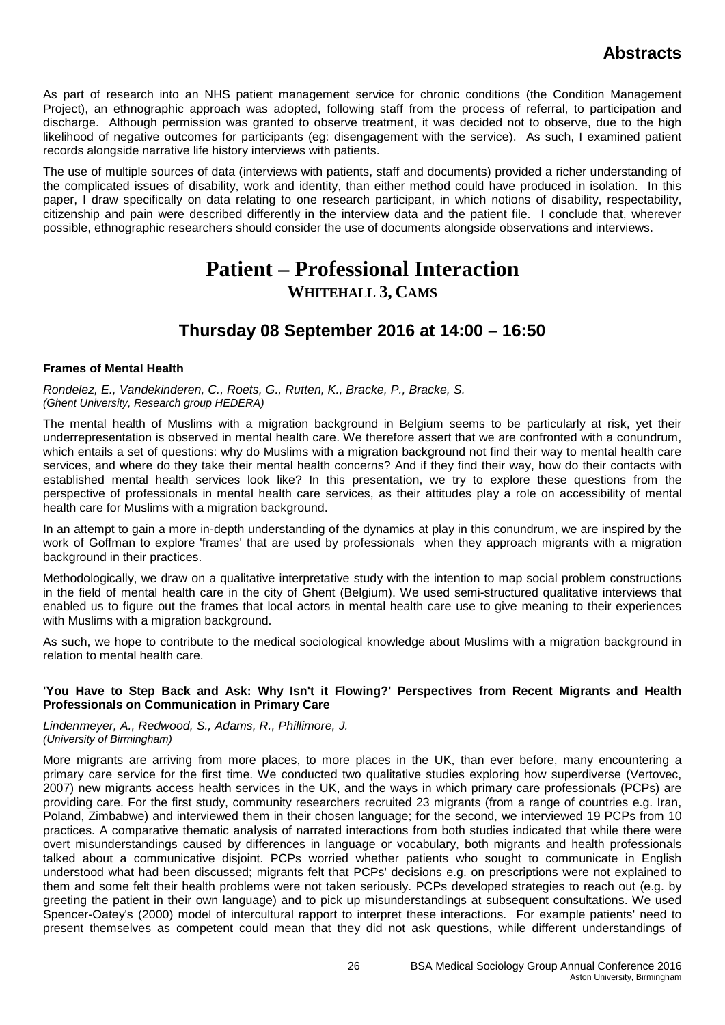As part of research into an NHS patient management service for chronic conditions (the Condition Management Project), an ethnographic approach was adopted, following staff from the process of referral, to participation and discharge. Although permission was granted to observe treatment, it was decided not to observe, due to the high likelihood of negative outcomes for participants (eg: disengagement with the service). As such, I examined patient records alongside narrative life history interviews with patients.

The use of multiple sources of data (interviews with patients, staff and documents) provided a richer understanding of the complicated issues of disability, work and identity, than either method could have produced in isolation. In this paper, I draw specifically on data relating to one research participant, in which notions of disability, respectability, citizenship and pain were described differently in the interview data and the patient file. I conclude that, wherever possible, ethnographic researchers should consider the use of documents alongside observations and interviews.

# **Patient – Professional Interaction WHITEHALL 3, CAMS**

# **Thursday 08 September 2016 at 14:00 – 16:50**

## **Frames of Mental Health**

*Rondelez, E., Vandekinderen, C., Roets, G., Rutten, K., Bracke, P., Bracke, S. (Ghent University, Research group HEDERA)*

The mental health of Muslims with a migration background in Belgium seems to be particularly at risk, yet their underrepresentation is observed in mental health care. We therefore assert that we are confronted with a conundrum, which entails a set of questions: why do Muslims with a migration background not find their way to mental health care services, and where do they take their mental health concerns? And if they find their way, how do their contacts with established mental health services look like? In this presentation, we try to explore these questions from the perspective of professionals in mental health care services, as their attitudes play a role on accessibility of mental health care for Muslims with a migration background.

In an attempt to gain a more in-depth understanding of the dynamics at play in this conundrum, we are inspired by the work of Goffman to explore 'frames' that are used by professionals when they approach migrants with a migration background in their practices.

Methodologically, we draw on a qualitative interpretative study with the intention to map social problem constructions in the field of mental health care in the city of Ghent (Belgium). We used semi-structured qualitative interviews that enabled us to figure out the frames that local actors in mental health care use to give meaning to their experiences with Muslims with a migration background.

As such, we hope to contribute to the medical sociological knowledge about Muslims with a migration background in relation to mental health care.

### **'You Have to Step Back and Ask: Why Isn't it Flowing?' Perspectives from Recent Migrants and Health Professionals on Communication in Primary Care**

### *Lindenmeyer, A., Redwood, S., Adams, R., Phillimore, J. (University of Birmingham)*

More migrants are arriving from more places, to more places in the UK, than ever before, many encountering a primary care service for the first time. We conducted two qualitative studies exploring how superdiverse (Vertovec, 2007) new migrants access health services in the UK, and the ways in which primary care professionals (PCPs) are providing care. For the first study, community researchers recruited 23 migrants (from a range of countries e.g. Iran, Poland, Zimbabwe) and interviewed them in their chosen language; for the second, we interviewed 19 PCPs from 10 practices. A comparative thematic analysis of narrated interactions from both studies indicated that while there were overt misunderstandings caused by differences in language or vocabulary, both migrants and health professionals talked about a communicative disjoint. PCPs worried whether patients who sought to communicate in English understood what had been discussed; migrants felt that PCPs' decisions e.g. on prescriptions were not explained to them and some felt their health problems were not taken seriously. PCPs developed strategies to reach out (e.g. by greeting the patient in their own language) and to pick up misunderstandings at subsequent consultations. We used Spencer-Oatey's (2000) model of intercultural rapport to interpret these interactions. For example patients' need to present themselves as competent could mean that they did not ask questions, while different understandings of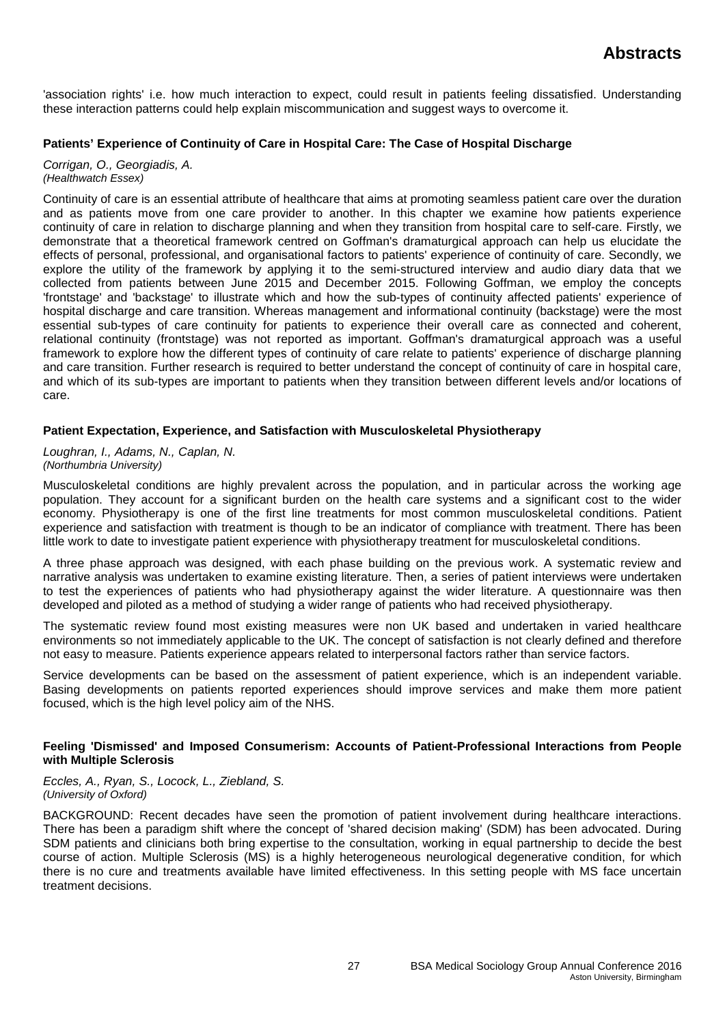'association rights' i.e. how much interaction to expect, could result in patients feeling dissatisfied. Understanding these interaction patterns could help explain miscommunication and suggest ways to overcome it.

## **Patients' Experience of Continuity of Care in Hospital Care: The Case of Hospital Discharge**

*Corrigan, O., Georgiadis, A. (Healthwatch Essex)*

Continuity of care is an essential attribute of healthcare that aims at promoting seamless patient care over the duration and as patients move from one care provider to another. In this chapter we examine how patients experience continuity of care in relation to discharge planning and when they transition from hospital care to self-care. Firstly, we demonstrate that a theoretical framework centred on Goffman's dramaturgical approach can help us elucidate the effects of personal, professional, and organisational factors to patients' experience of continuity of care. Secondly, we explore the utility of the framework by applying it to the semi-structured interview and audio diary data that we collected from patients between June 2015 and December 2015. Following Goffman, we employ the concepts 'frontstage' and 'backstage' to illustrate which and how the sub-types of continuity affected patients' experience of hospital discharge and care transition. Whereas management and informational continuity (backstage) were the most essential sub-types of care continuity for patients to experience their overall care as connected and coherent, relational continuity (frontstage) was not reported as important. Goffman's dramaturgical approach was a useful framework to explore how the different types of continuity of care relate to patients' experience of discharge planning and care transition. Further research is required to better understand the concept of continuity of care in hospital care, and which of its sub-types are important to patients when they transition between different levels and/or locations of care.

## **Patient Expectation, Experience, and Satisfaction with Musculoskeletal Physiotherapy**

*Loughran, I., Adams, N., Caplan, N. (Northumbria University)*

Musculoskeletal conditions are highly prevalent across the population, and in particular across the working age population. They account for a significant burden on the health care systems and a significant cost to the wider economy. Physiotherapy is one of the first line treatments for most common musculoskeletal conditions. Patient experience and satisfaction with treatment is though to be an indicator of compliance with treatment. There has been little work to date to investigate patient experience with physiotherapy treatment for musculoskeletal conditions.

A three phase approach was designed, with each phase building on the previous work. A systematic review and narrative analysis was undertaken to examine existing literature. Then, a series of patient interviews were undertaken to test the experiences of patients who had physiotherapy against the wider literature. A questionnaire was then developed and piloted as a method of studying a wider range of patients who had received physiotherapy.

The systematic review found most existing measures were non UK based and undertaken in varied healthcare environments so not immediately applicable to the UK. The concept of satisfaction is not clearly defined and therefore not easy to measure. Patients experience appears related to interpersonal factors rather than service factors.

Service developments can be based on the assessment of patient experience, which is an independent variable. Basing developments on patients reported experiences should improve services and make them more patient focused, which is the high level policy aim of the NHS.

### **Feeling 'Dismissed' and Imposed Consumerism: Accounts of Patient-Professional Interactions from People with Multiple Sclerosis**

*Eccles, A., Ryan, S., Locock, L., Ziebland, S. (University of Oxford)*

BACKGROUND: Recent decades have seen the promotion of patient involvement during healthcare interactions. There has been a paradigm shift where the concept of 'shared decision making' (SDM) has been advocated. During SDM patients and clinicians both bring expertise to the consultation, working in equal partnership to decide the best course of action. Multiple Sclerosis (MS) is a highly heterogeneous neurological degenerative condition, for which there is no cure and treatments available have limited effectiveness. In this setting people with MS face uncertain treatment decisions.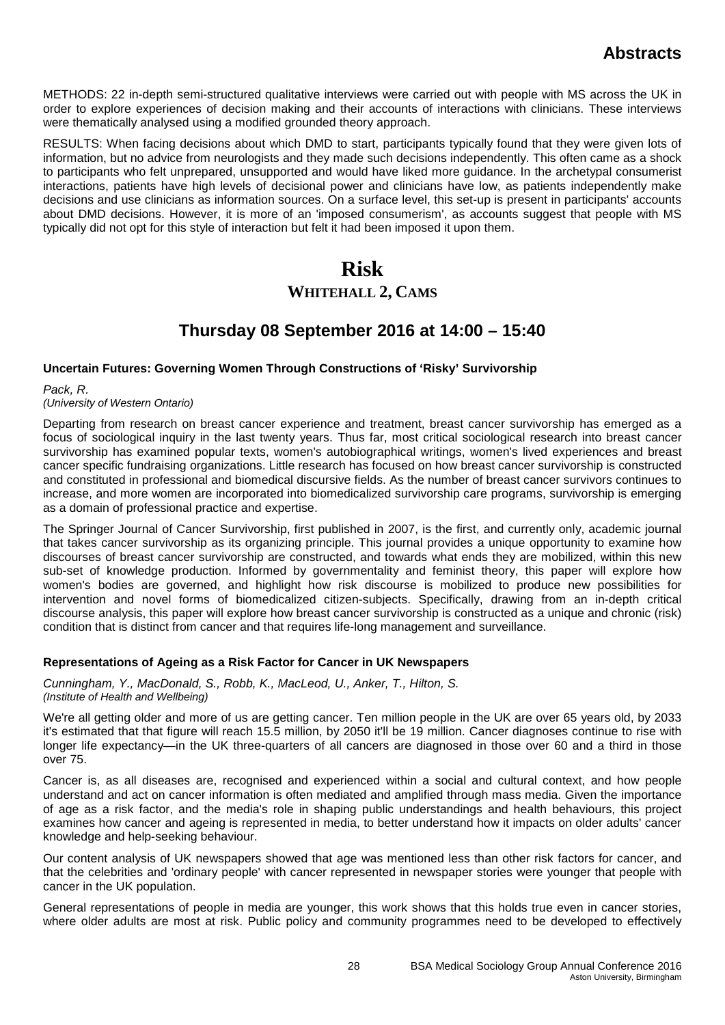METHODS: 22 in-depth semi-structured qualitative interviews were carried out with people with MS across the UK in order to explore experiences of decision making and their accounts of interactions with clinicians. These interviews were thematically analysed using a modified grounded theory approach.

RESULTS: When facing decisions about which DMD to start, participants typically found that they were given lots of information, but no advice from neurologists and they made such decisions independently. This often came as a shock to participants who felt unprepared, unsupported and would have liked more guidance. In the archetypal consumerist interactions, patients have high levels of decisional power and clinicians have low, as patients independently make decisions and use clinicians as information sources. On a surface level, this set-up is present in participants' accounts about DMD decisions. However, it is more of an 'imposed consumerism', as accounts suggest that people with MS typically did not opt for this style of interaction but felt it had been imposed it upon them.

# **Risk**

# **WHITEHALL 2, CAMS**

# **Thursday 08 September 2016 at 14:00 – 15:40**

## **Uncertain Futures: Governing Women Through Constructions of 'Risky' Survivorship**

### *Pack, R.*

*(University of Western Ontario)*

Departing from research on breast cancer experience and treatment, breast cancer survivorship has emerged as a focus of sociological inquiry in the last twenty years. Thus far, most critical sociological research into breast cancer survivorship has examined popular texts, women's autobiographical writings, women's lived experiences and breast cancer specific fundraising organizations. Little research has focused on how breast cancer survivorship is constructed and constituted in professional and biomedical discursive fields. As the number of breast cancer survivors continues to increase, and more women are incorporated into biomedicalized survivorship care programs, survivorship is emerging as a domain of professional practice and expertise.

The Springer Journal of Cancer Survivorship, first published in 2007, is the first, and currently only, academic journal that takes cancer survivorship as its organizing principle. This journal provides a unique opportunity to examine how discourses of breast cancer survivorship are constructed, and towards what ends they are mobilized, within this new sub-set of knowledge production. Informed by governmentality and feminist theory, this paper will explore how women's bodies are governed, and highlight how risk discourse is mobilized to produce new possibilities for intervention and novel forms of biomedicalized citizen-subjects. Specifically, drawing from an in-depth critical discourse analysis, this paper will explore how breast cancer survivorship is constructed as a unique and chronic (risk) condition that is distinct from cancer and that requires life-long management and surveillance.

## **Representations of Ageing as a Risk Factor for Cancer in UK Newspapers**

*Cunningham, Y., MacDonald, S., Robb, K., MacLeod, U., Anker, T., Hilton, S. (Institute of Health and Wellbeing)*

We're all getting older and more of us are getting cancer. Ten million people in the UK are over 65 years old, by 2033 it's estimated that that figure will reach 15.5 million, by 2050 it'll be 19 million. Cancer diagnoses continue to rise with longer life expectancy—in the UK three-quarters of all cancers are diagnosed in those over 60 and a third in those over 75.

Cancer is, as all diseases are, recognised and experienced within a social and cultural context, and how people understand and act on cancer information is often mediated and amplified through mass media. Given the importance of age as a risk factor, and the media's role in shaping public understandings and health behaviours, this project examines how cancer and ageing is represented in media, to better understand how it impacts on older adults' cancer knowledge and help-seeking behaviour.

Our content analysis of UK newspapers showed that age was mentioned less than other risk factors for cancer, and that the celebrities and 'ordinary people' with cancer represented in newspaper stories were younger that people with cancer in the UK population.

General representations of people in media are younger, this work shows that this holds true even in cancer stories, where older adults are most at risk. Public policy and community programmes need to be developed to effectively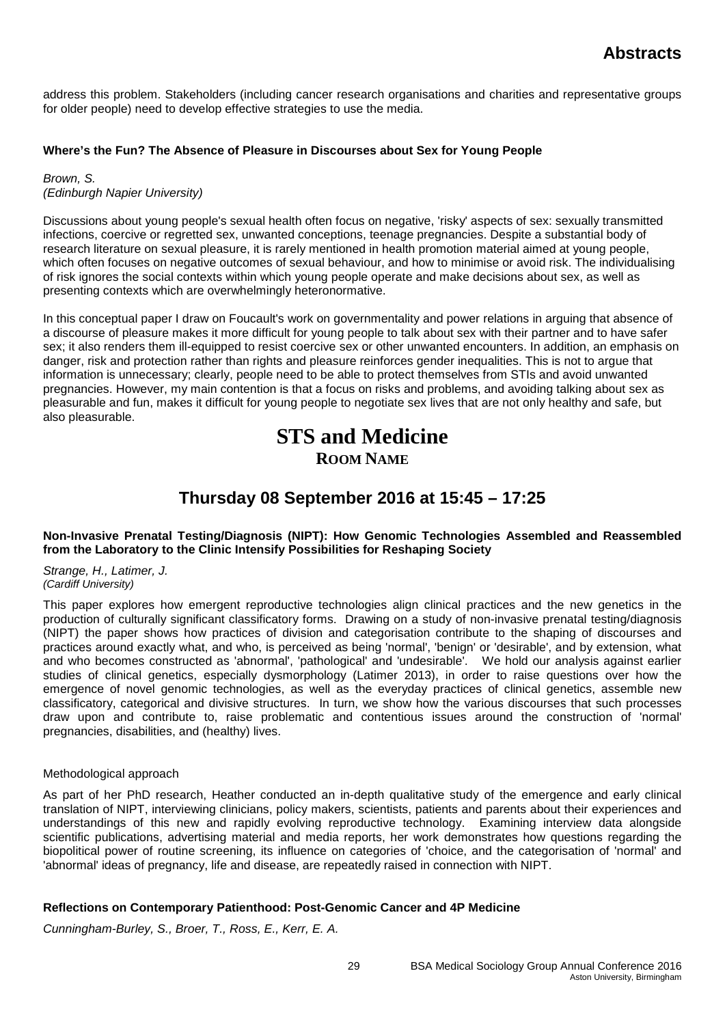address this problem. Stakeholders (including cancer research organisations and charities and representative groups for older people) need to develop effective strategies to use the media.

## **Where's the Fun? The Absence of Pleasure in Discourses about Sex for Young People**

*Brown, S. (Edinburgh Napier University)*

Discussions about young people's sexual health often focus on negative, 'risky' aspects of sex: sexually transmitted infections, coercive or regretted sex, unwanted conceptions, teenage pregnancies. Despite a substantial body of research literature on sexual pleasure, it is rarely mentioned in health promotion material aimed at young people, which often focuses on negative outcomes of sexual behaviour, and how to minimise or avoid risk. The individualising of risk ignores the social contexts within which young people operate and make decisions about sex, as well as presenting contexts which are overwhelmingly heteronormative.

In this conceptual paper I draw on Foucault's work on governmentality and power relations in arguing that absence of a discourse of pleasure makes it more difficult for young people to talk about sex with their partner and to have safer sex; it also renders them ill-equipped to resist coercive sex or other unwanted encounters. In addition, an emphasis on danger, risk and protection rather than rights and pleasure reinforces gender inequalities. This is not to argue that information is unnecessary; clearly, people need to be able to protect themselves from STIs and avoid unwanted pregnancies. However, my main contention is that a focus on risks and problems, and avoiding talking about sex as pleasurable and fun, makes it difficult for young people to negotiate sex lives that are not only healthy and safe, but also pleasurable.

# **STS and Medicine ROOM NAME**

# **Thursday 08 September 2016 at 15:45 – 17:25**

## **Non-Invasive Prenatal Testing/Diagnosis (NIPT): How Genomic Technologies Assembled and Reassembled from the Laboratory to the Clinic Intensify Possibilities for Reshaping Society**

*Strange, H., Latimer, J. (Cardiff University)*

This paper explores how emergent reproductive technologies align clinical practices and the new genetics in the production of culturally significant classificatory forms. Drawing on a study of non-invasive prenatal testing/diagnosis (NIPT) the paper shows how practices of division and categorisation contribute to the shaping of discourses and practices around exactly what, and who, is perceived as being 'normal', 'benign' or 'desirable', and by extension, what and who becomes constructed as 'abnormal', 'pathological' and 'undesirable'. We hold our analysis against earlier studies of clinical genetics, especially dysmorphology (Latimer 2013), in order to raise questions over how the emergence of novel genomic technologies, as well as the everyday practices of clinical genetics, assemble new classificatory, categorical and divisive structures. In turn, we show how the various discourses that such processes draw upon and contribute to, raise problematic and contentious issues around the construction of 'normal' pregnancies, disabilities, and (healthy) lives.

## Methodological approach

As part of her PhD research, Heather conducted an in-depth qualitative study of the emergence and early clinical translation of NIPT, interviewing clinicians, policy makers, scientists, patients and parents about their experiences and understandings of this new and rapidly evolving reproductive technology. Examining interview data alongside scientific publications, advertising material and media reports, her work demonstrates how questions regarding the biopolitical power of routine screening, its influence on categories of 'choice, and the categorisation of 'normal' and 'abnormal' ideas of pregnancy, life and disease, are repeatedly raised in connection with NIPT.

## **Reflections on Contemporary Patienthood: Post-Genomic Cancer and 4P Medicine**

*Cunningham-Burley, S., Broer, T., Ross, E., Kerr, E. A.*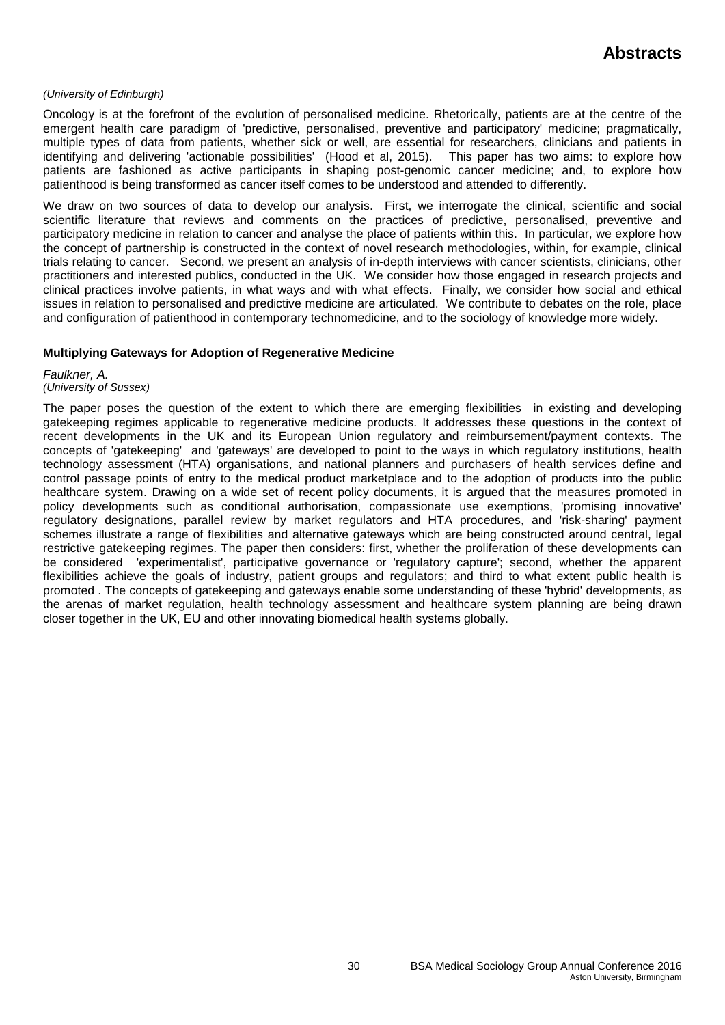### *(University of Edinburgh)*

Oncology is at the forefront of the evolution of personalised medicine. Rhetorically, patients are at the centre of the emergent health care paradigm of 'predictive, personalised, preventive and participatory' medicine; pragmatically, multiple types of data from patients, whether sick or well, are essential for researchers, clinicians and patients in identifying and delivering 'actionable possibilities' (Hood et al, 2015). This paper has two aims: to explore how patients are fashioned as active participants in shaping post-genomic cancer medicine; and, to explore how patienthood is being transformed as cancer itself comes to be understood and attended to differently.

We draw on two sources of data to develop our analysis. First, we interrogate the clinical, scientific and social scientific literature that reviews and comments on the practices of predictive, personalised, preventive and participatory medicine in relation to cancer and analyse the place of patients within this. In particular, we explore how the concept of partnership is constructed in the context of novel research methodologies, within, for example, clinical trials relating to cancer. Second, we present an analysis of in-depth interviews with cancer scientists, clinicians, other practitioners and interested publics, conducted in the UK. We consider how those engaged in research projects and clinical practices involve patients, in what ways and with what effects. Finally, we consider how social and ethical issues in relation to personalised and predictive medicine are articulated. We contribute to debates on the role, place and configuration of patienthood in contemporary technomedicine, and to the sociology of knowledge more widely.

### **Multiplying Gateways for Adoption of Regenerative Medicine**

*Faulkner, A. (University of Sussex)*

The paper poses the question of the extent to which there are emerging flexibilities in existing and developing gatekeeping regimes applicable to regenerative medicine products. It addresses these questions in the context of recent developments in the UK and its European Union regulatory and reimbursement/payment contexts. The concepts of 'gatekeeping' and 'gateways' are developed to point to the ways in which regulatory institutions, health technology assessment (HTA) organisations, and national planners and purchasers of health services define and control passage points of entry to the medical product marketplace and to the adoption of products into the public healthcare system. Drawing on a wide set of recent policy documents, it is argued that the measures promoted in policy developments such as conditional authorisation, compassionate use exemptions, 'promising innovative' regulatory designations, parallel review by market regulators and HTA procedures, and 'risk-sharing' payment schemes illustrate a range of flexibilities and alternative gateways which are being constructed around central, legal restrictive gatekeeping regimes. The paper then considers: first, whether the proliferation of these developments can be considered 'experimentalist', participative governance or 'regulatory capture'; second, whether the apparent flexibilities achieve the goals of industry, patient groups and regulators; and third to what extent public health is promoted . The concepts of gatekeeping and gateways enable some understanding of these 'hybrid' developments, as the arenas of market regulation, health technology assessment and healthcare system planning are being drawn closer together in the UK, EU and other innovating biomedical health systems globally.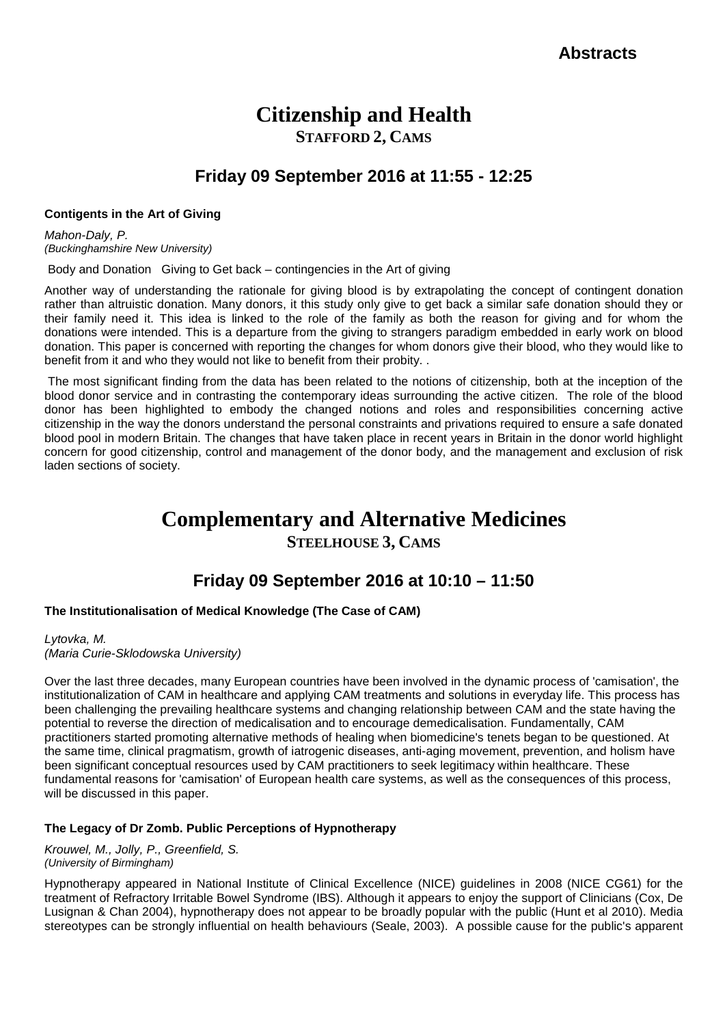# **Citizenship and Health STAFFORD 2, CAMS**

# **Friday 09 September 2016 at 11:55 - 12:25**

### **Contigents in the Art of Giving**

*Mahon-Daly, P. (Buckinghamshire New University)*

Body and Donation Giving to Get back – contingencies in the Art of giving

Another way of understanding the rationale for giving blood is by extrapolating the concept of contingent donation rather than altruistic donation. Many donors, it this study only give to get back a similar safe donation should they or their family need it. This idea is linked to the role of the family as both the reason for giving and for whom the donations were intended. This is a departure from the giving to strangers paradigm embedded in early work on blood donation. This paper is concerned with reporting the changes for whom donors give their blood, who they would like to benefit from it and who they would not like to benefit from their probity. .

The most significant finding from the data has been related to the notions of citizenship, both at the inception of the blood donor service and in contrasting the contemporary ideas surrounding the active citizen. The role of the blood donor has been highlighted to embody the changed notions and roles and responsibilities concerning active citizenship in the way the donors understand the personal constraints and privations required to ensure a safe donated blood pool in modern Britain. The changes that have taken place in recent years in Britain in the donor world highlight concern for good citizenship, control and management of the donor body, and the management and exclusion of risk laden sections of society.

# **Complementary and Alternative Medicines**

# **STEELHOUSE 3, CAMS**

# **Friday 09 September 2016 at 10:10 – 11:50**

## **The Institutionalisation of Medical Knowledge (The Case of CAM)**

*Lytovka, M. (Maria Curie-Sklodowska University)*

Over the last three decades, many European countries have been involved in the dynamic process of 'camisation', the institutionalization of CAM in healthcare and applying CAM treatments and solutions in everyday life. This process has been challenging the prevailing healthcare systems and changing relationship between CAM and the state having the potential to reverse the direction of medicalisation and to encourage demedicalisation. Fundamentally, CAM practitioners started promoting alternative methods of healing when biomedicine's tenets began to be questioned. At the same time, clinical pragmatism, growth of iatrogenic diseases, anti-aging movement, prevention, and holism have been significant conceptual resources used by CAM practitioners to seek legitimacy within healthcare. These fundamental reasons for 'camisation' of European health care systems, as well as the consequences of this process, will be discussed in this paper.

## **The Legacy of Dr Zomb. Public Perceptions of Hypnotherapy**

*Krouwel, M., Jolly, P., Greenfield, S. (University of Birmingham)*

Hypnotherapy appeared in National Institute of Clinical Excellence (NICE) guidelines in 2008 (NICE CG61) for the treatment of Refractory Irritable Bowel Syndrome (IBS). Although it appears to enjoy the support of Clinicians (Cox, De Lusignan & Chan 2004), hypnotherapy does not appear to be broadly popular with the public (Hunt et al 2010). Media stereotypes can be strongly influential on health behaviours (Seale, 2003). A possible cause for the public's apparent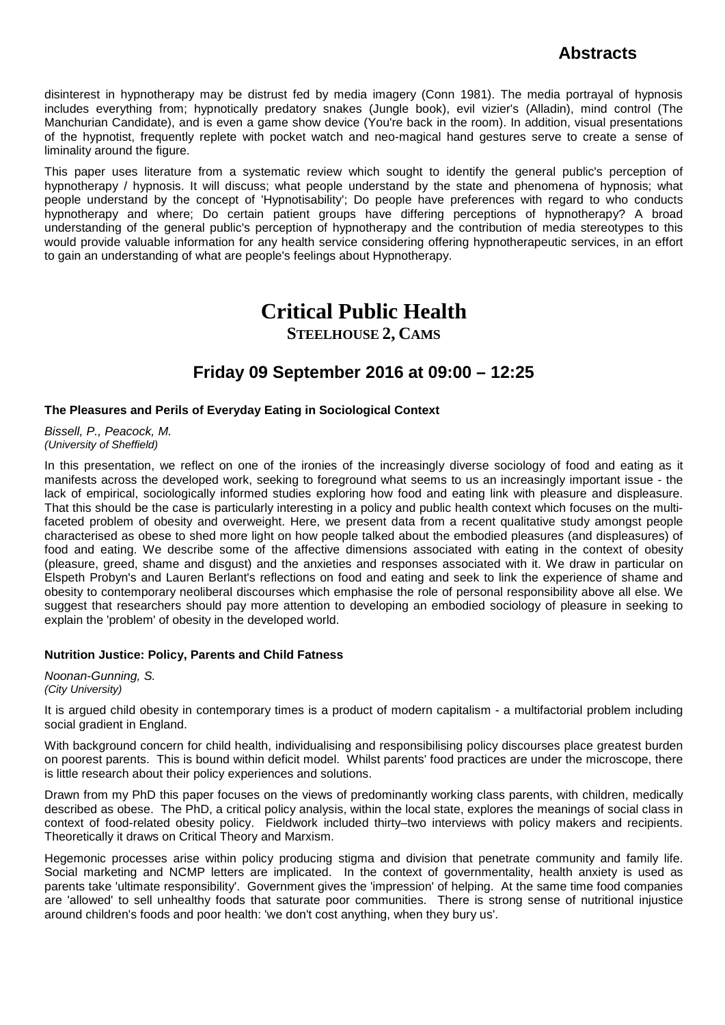disinterest in hypnotherapy may be distrust fed by media imagery (Conn 1981). The media portrayal of hypnosis includes everything from; hypnotically predatory snakes (Jungle book), evil vizier's (Alladin), mind control (The Manchurian Candidate), and is even a game show device (You're back in the room). In addition, visual presentations of the hypnotist, frequently replete with pocket watch and neo-magical hand gestures serve to create a sense of liminality around the figure.

This paper uses literature from a systematic review which sought to identify the general public's perception of hypnotherapy / hypnosis. It will discuss; what people understand by the state and phenomena of hypnosis; what people understand by the concept of 'Hypnotisability'; Do people have preferences with regard to who conducts hypnotherapy and where; Do certain patient groups have differing perceptions of hypnotherapy? A broad understanding of the general public's perception of hypnotherapy and the contribution of media stereotypes to this would provide valuable information for any health service considering offering hypnotherapeutic services, in an effort to gain an understanding of what are people's feelings about Hypnotherapy.

# **Critical Public Health**

**STEELHOUSE 2, CAMS**

# **Friday 09 September 2016 at 09:00 – 12:25**

## **The Pleasures and Perils of Everyday Eating in Sociological Context**

*Bissell, P., Peacock, M. (University of Sheffield)*

In this presentation, we reflect on one of the ironies of the increasingly diverse sociology of food and eating as it manifests across the developed work, seeking to foreground what seems to us an increasingly important issue - the lack of empirical, sociologically informed studies exploring how food and eating link with pleasure and displeasure. That this should be the case is particularly interesting in a policy and public health context which focuses on the multifaceted problem of obesity and overweight. Here, we present data from a recent qualitative study amongst people characterised as obese to shed more light on how people talked about the embodied pleasures (and displeasures) of food and eating. We describe some of the affective dimensions associated with eating in the context of obesity (pleasure, greed, shame and disgust) and the anxieties and responses associated with it. We draw in particular on Elspeth Probyn's and Lauren Berlant's reflections on food and eating and seek to link the experience of shame and obesity to contemporary neoliberal discourses which emphasise the role of personal responsibility above all else. We suggest that researchers should pay more attention to developing an embodied sociology of pleasure in seeking to explain the 'problem' of obesity in the developed world.

## **Nutrition Justice: Policy, Parents and Child Fatness**

*Noonan-Gunning, S. (City University)*

It is argued child obesity in contemporary times is a product of modern capitalism - a multifactorial problem including social gradient in England.

With background concern for child health, individualising and responsibilising policy discourses place greatest burden on poorest parents. This is bound within deficit model. Whilst parents' food practices are under the microscope, there is little research about their policy experiences and solutions.

Drawn from my PhD this paper focuses on the views of predominantly working class parents, with children, medically described as obese. The PhD, a critical policy analysis, within the local state, explores the meanings of social class in context of food-related obesity policy. Fieldwork included thirty–two interviews with policy makers and recipients. Theoretically it draws on Critical Theory and Marxism.

Hegemonic processes arise within policy producing stigma and division that penetrate community and family life. Social marketing and NCMP letters are implicated. In the context of governmentality, health anxiety is used as parents take 'ultimate responsibility'. Government gives the 'impression' of helping. At the same time food companies are 'allowed' to sell unhealthy foods that saturate poor communities. There is strong sense of nutritional injustice around children's foods and poor health: 'we don't cost anything, when they bury us'.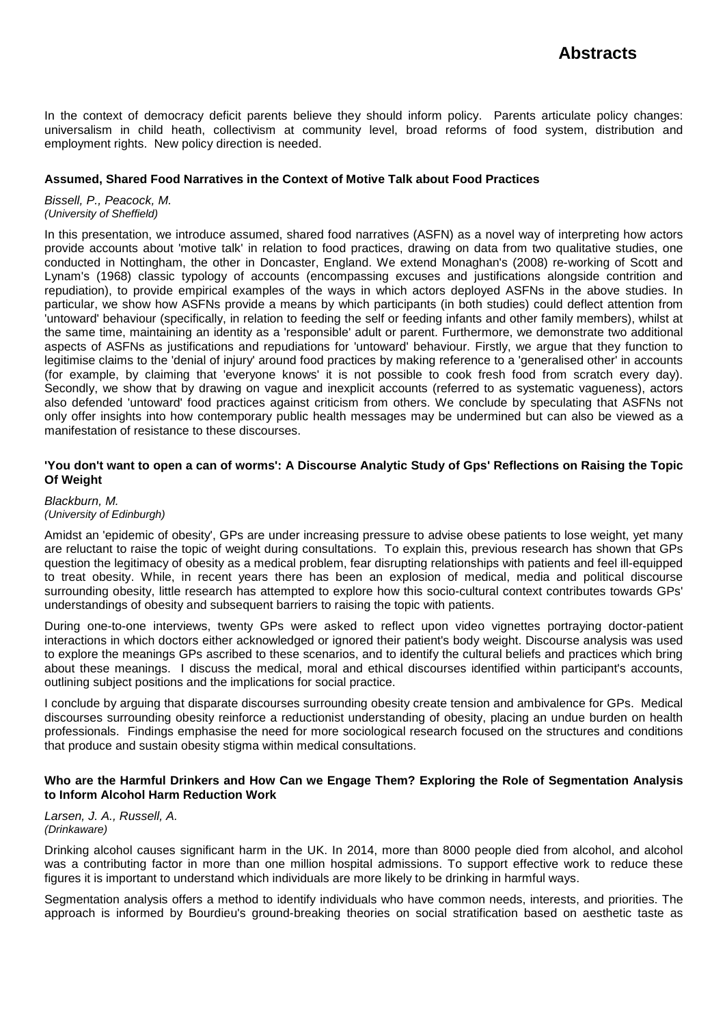In the context of democracy deficit parents believe they should inform policy. Parents articulate policy changes: universalism in child heath, collectivism at community level, broad reforms of food system, distribution and employment rights. New policy direction is needed.

### **Assumed, Shared Food Narratives in the Context of Motive Talk about Food Practices**

*Bissell, P., Peacock, M. (University of Sheffield)*

In this presentation, we introduce assumed, shared food narratives (ASFN) as a novel way of interpreting how actors provide accounts about 'motive talk' in relation to food practices, drawing on data from two qualitative studies, one conducted in Nottingham, the other in Doncaster, England. We extend Monaghan's (2008) re-working of Scott and Lynam's (1968) classic typology of accounts (encompassing excuses and justifications alongside contrition and repudiation), to provide empirical examples of the ways in which actors deployed ASFNs in the above studies. In particular, we show how ASFNs provide a means by which participants (in both studies) could deflect attention from 'untoward' behaviour (specifically, in relation to feeding the self or feeding infants and other family members), whilst at the same time, maintaining an identity as a 'responsible' adult or parent. Furthermore, we demonstrate two additional aspects of ASFNs as justifications and repudiations for 'untoward' behaviour. Firstly, we argue that they function to legitimise claims to the 'denial of injury' around food practices by making reference to a 'generalised other' in accounts (for example, by claiming that 'everyone knows' it is not possible to cook fresh food from scratch every day). Secondly, we show that by drawing on vague and inexplicit accounts (referred to as systematic vagueness), actors also defended 'untoward' food practices against criticism from others. We conclude by speculating that ASFNs not only offer insights into how contemporary public health messages may be undermined but can also be viewed as a manifestation of resistance to these discourses.

### **'You don't want to open a can of worms': A Discourse Analytic Study of Gps' Reflections on Raising the Topic Of Weight**

#### *Blackburn, M. (University of Edinburgh)*

Amidst an 'epidemic of obesity', GPs are under increasing pressure to advise obese patients to lose weight, yet many are reluctant to raise the topic of weight during consultations. To explain this, previous research has shown that GPs question the legitimacy of obesity as a medical problem, fear disrupting relationships with patients and feel ill-equipped to treat obesity. While, in recent years there has been an explosion of medical, media and political discourse surrounding obesity, little research has attempted to explore how this socio-cultural context contributes towards GPs' understandings of obesity and subsequent barriers to raising the topic with patients.

During one-to-one interviews, twenty GPs were asked to reflect upon video vignettes portraying doctor-patient interactions in which doctors either acknowledged or ignored their patient's body weight. Discourse analysis was used to explore the meanings GPs ascribed to these scenarios, and to identify the cultural beliefs and practices which bring about these meanings. I discuss the medical, moral and ethical discourses identified within participant's accounts, outlining subject positions and the implications for social practice.

I conclude by arguing that disparate discourses surrounding obesity create tension and ambivalence for GPs. Medical discourses surrounding obesity reinforce a reductionist understanding of obesity, placing an undue burden on health professionals. Findings emphasise the need for more sociological research focused on the structures and conditions that produce and sustain obesity stigma within medical consultations.

### **Who are the Harmful Drinkers and How Can we Engage Them? Exploring the Role of Segmentation Analysis to Inform Alcohol Harm Reduction Work**

*Larsen, J. A., Russell, A. (Drinkaware)*

Drinking alcohol causes significant harm in the UK. In 2014, more than 8000 people died from alcohol, and alcohol was a contributing factor in more than one million hospital admissions. To support effective work to reduce these figures it is important to understand which individuals are more likely to be drinking in harmful ways.

Segmentation analysis offers a method to identify individuals who have common needs, interests, and priorities. The approach is informed by Bourdieu's ground-breaking theories on social stratification based on aesthetic taste as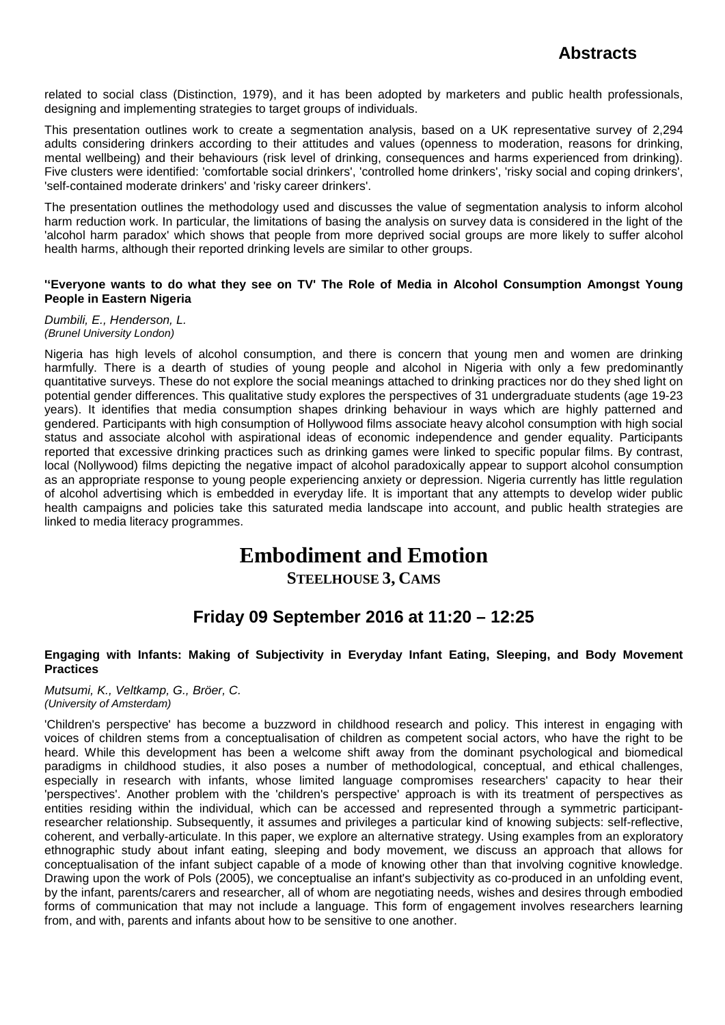related to social class (Distinction, 1979), and it has been adopted by marketers and public health professionals, designing and implementing strategies to target groups of individuals.

This presentation outlines work to create a segmentation analysis, based on a UK representative survey of 2,294 adults considering drinkers according to their attitudes and values (openness to moderation, reasons for drinking, mental wellbeing) and their behaviours (risk level of drinking, consequences and harms experienced from drinking). Five clusters were identified: 'comfortable social drinkers', 'controlled home drinkers', 'risky social and coping drinkers', 'self-contained moderate drinkers' and 'risky career drinkers'.

The presentation outlines the methodology used and discusses the value of segmentation analysis to inform alcohol harm reduction work. In particular, the limitations of basing the analysis on survey data is considered in the light of the 'alcohol harm paradox' which shows that people from more deprived social groups are more likely to suffer alcohol health harms, although their reported drinking levels are similar to other groups.

### **''Everyone wants to do what they see on TV' The Role of Media in Alcohol Consumption Amongst Young People in Eastern Nigeria**

*Dumbili, E., Henderson, L. (Brunel University London)*

Nigeria has high levels of alcohol consumption, and there is concern that young men and women are drinking harmfully. There is a dearth of studies of young people and alcohol in Nigeria with only a few predominantly quantitative surveys. These do not explore the social meanings attached to drinking practices nor do they shed light on potential gender differences. This qualitative study explores the perspectives of 31 undergraduate students (age 19-23 years). It identifies that media consumption shapes drinking behaviour in ways which are highly patterned and gendered. Participants with high consumption of Hollywood films associate heavy alcohol consumption with high social status and associate alcohol with aspirational ideas of economic independence and gender equality. Participants reported that excessive drinking practices such as drinking games were linked to specific popular films. By contrast, local (Nollywood) films depicting the negative impact of alcohol paradoxically appear to support alcohol consumption as an appropriate response to young people experiencing anxiety or depression. Nigeria currently has little regulation of alcohol advertising which is embedded in everyday life. It is important that any attempts to develop wider public health campaigns and policies take this saturated media landscape into account, and public health strategies are linked to media literacy programmes.

# **Embodiment and Emotion**

**STEELHOUSE 3, CAMS**

# **Friday 09 September 2016 at 11:20 – 12:25**

### **Engaging with Infants: Making of Subjectivity in Everyday Infant Eating, Sleeping, and Body Movement Practices**

*Mutsumi, K., Veltkamp, G., Bröer, C. (University of Amsterdam)*

'Children's perspective' has become a buzzword in childhood research and policy. This interest in engaging with voices of children stems from a conceptualisation of children as competent social actors, who have the right to be heard. While this development has been a welcome shift away from the dominant psychological and biomedical paradigms in childhood studies, it also poses a number of methodological, conceptual, and ethical challenges, especially in research with infants, whose limited language compromises researchers' capacity to hear their 'perspectives'. Another problem with the 'children's perspective' approach is with its treatment of perspectives as entities residing within the individual, which can be accessed and represented through a symmetric participantresearcher relationship. Subsequently, it assumes and privileges a particular kind of knowing subjects: self-reflective, coherent, and verbally-articulate. In this paper, we explore an alternative strategy. Using examples from an exploratory ethnographic study about infant eating, sleeping and body movement, we discuss an approach that allows for conceptualisation of the infant subject capable of a mode of knowing other than that involving cognitive knowledge. Drawing upon the work of Pols (2005), we conceptualise an infant's subjectivity as co-produced in an unfolding event, by the infant, parents/carers and researcher, all of whom are negotiating needs, wishes and desires through embodied forms of communication that may not include a language. This form of engagement involves researchers learning from, and with, parents and infants about how to be sensitive to one another.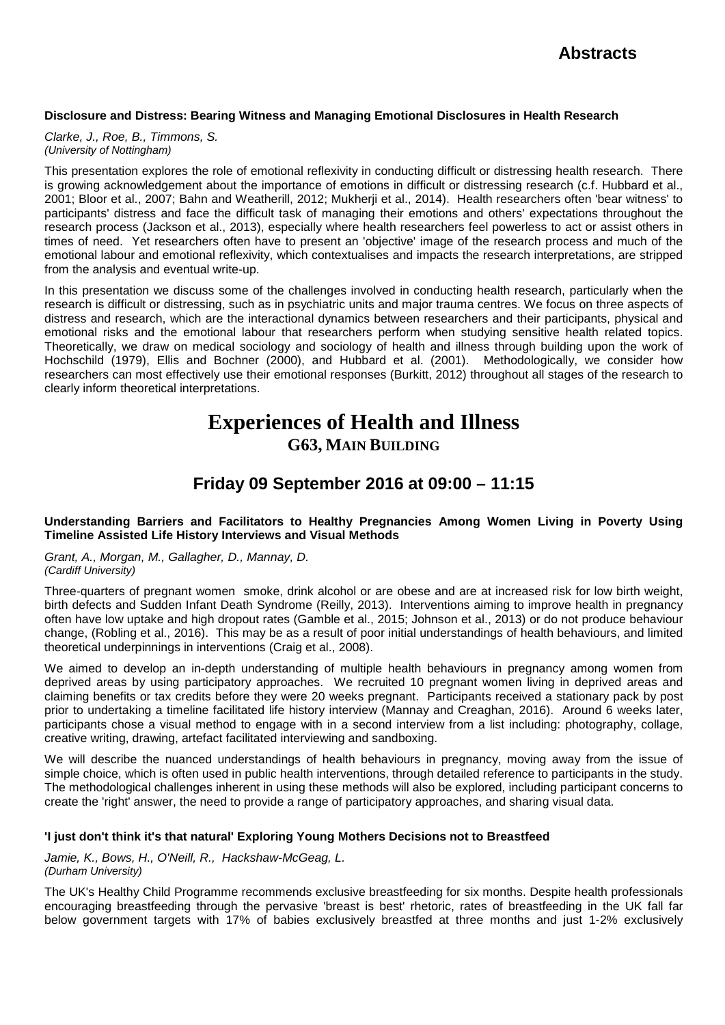### **Disclosure and Distress: Bearing Witness and Managing Emotional Disclosures in Health Research**

*Clarke, J., Roe, B., Timmons, S. (University of Nottingham)*

This presentation explores the role of emotional reflexivity in conducting difficult or distressing health research. There is growing acknowledgement about the importance of emotions in difficult or distressing research (c.f. Hubbard et al., 2001; Bloor et al., 2007; Bahn and Weatherill, 2012; Mukherji et al., 2014). Health researchers often 'bear witness' to participants' distress and face the difficult task of managing their emotions and others' expectations throughout the research process (Jackson et al., 2013), especially where health researchers feel powerless to act or assist others in times of need. Yet researchers often have to present an 'objective' image of the research process and much of the emotional labour and emotional reflexivity, which contextualises and impacts the research interpretations, are stripped from the analysis and eventual write-up.

In this presentation we discuss some of the challenges involved in conducting health research, particularly when the research is difficult or distressing, such as in psychiatric units and major trauma centres. We focus on three aspects of distress and research, which are the interactional dynamics between researchers and their participants, physical and emotional risks and the emotional labour that researchers perform when studying sensitive health related topics. Theoretically, we draw on medical sociology and sociology of health and illness through building upon the work of Hochschild (1979), Ellis and Bochner (2000), and Hubbard et al. (2001). Methodologically, we consider how researchers can most effectively use their emotional responses (Burkitt, 2012) throughout all stages of the research to clearly inform theoretical interpretations.

# **Experiences of Health and Illness G63, MAIN BUILDING**

# **Friday 09 September 2016 at 09:00 – 11:15**

### **Understanding Barriers and Facilitators to Healthy Pregnancies Among Women Living in Poverty Using Timeline Assisted Life History Interviews and Visual Methods**

*Grant, A., Morgan, M., Gallagher, D., Mannay, D. (Cardiff University)*

Three-quarters of pregnant women smoke, drink alcohol or are obese and are at increased risk for low birth weight, birth defects and Sudden Infant Death Syndrome (Reilly, 2013). Interventions aiming to improve health in pregnancy often have low uptake and high dropout rates (Gamble et al., 2015; Johnson et al., 2013) or do not produce behaviour change, (Robling et al., 2016). This may be as a result of poor initial understandings of health behaviours, and limited theoretical underpinnings in interventions (Craig et al., 2008).

We aimed to develop an in-depth understanding of multiple health behaviours in pregnancy among women from deprived areas by using participatory approaches. We recruited 10 pregnant women living in deprived areas and claiming benefits or tax credits before they were 20 weeks pregnant. Participants received a stationary pack by post prior to undertaking a timeline facilitated life history interview (Mannay and Creaghan, 2016). Around 6 weeks later, participants chose a visual method to engage with in a second interview from a list including: photography, collage, creative writing, drawing, artefact facilitated interviewing and sandboxing.

We will describe the nuanced understandings of health behaviours in pregnancy, moving away from the issue of simple choice, which is often used in public health interventions, through detailed reference to participants in the study. The methodological challenges inherent in using these methods will also be explored, including participant concerns to create the 'right' answer, the need to provide a range of participatory approaches, and sharing visual data.

## **'I just don't think it's that natural' Exploring Young Mothers Decisions not to Breastfeed**

*Jamie, K., Bows, H., O'Neill, R., Hackshaw-McGeag, L. (Durham University)*

The UK's Healthy Child Programme recommends exclusive breastfeeding for six months. Despite health professionals encouraging breastfeeding through the pervasive 'breast is best' rhetoric, rates of breastfeeding in the UK fall far below government targets with 17% of babies exclusively breastfed at three months and just 1-2% exclusively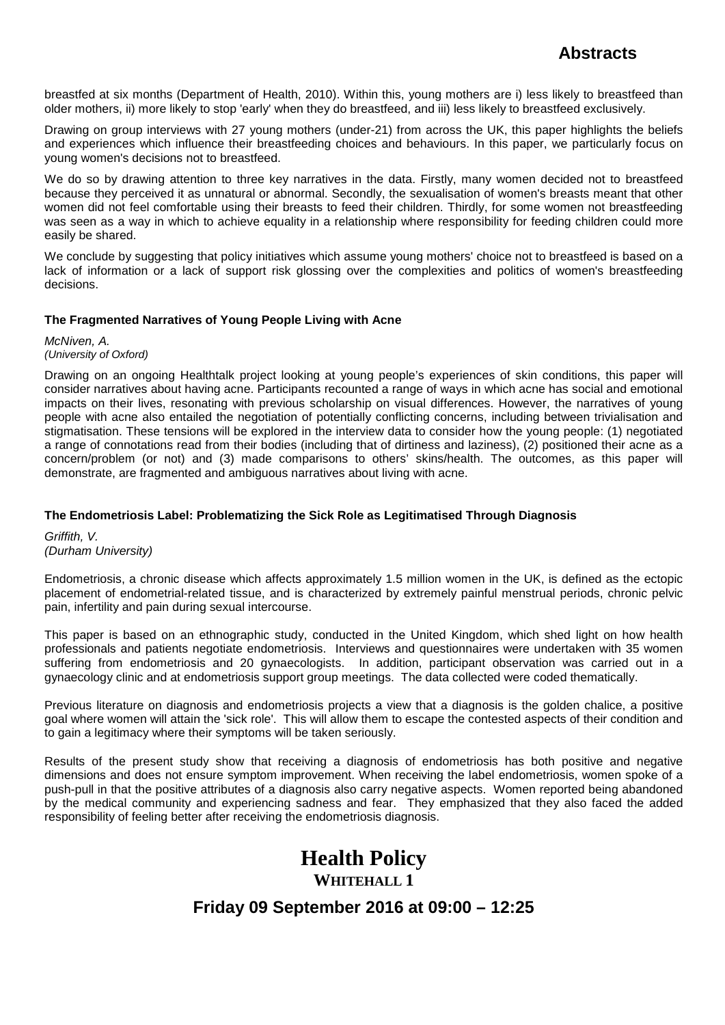breastfed at six months (Department of Health, 2010). Within this, young mothers are i) less likely to breastfeed than older mothers, ii) more likely to stop 'early' when they do breastfeed, and iii) less likely to breastfeed exclusively.

Drawing on group interviews with 27 young mothers (under-21) from across the UK, this paper highlights the beliefs and experiences which influence their breastfeeding choices and behaviours. In this paper, we particularly focus on young women's decisions not to breastfeed.

We do so by drawing attention to three key narratives in the data. Firstly, many women decided not to breastfeed because they perceived it as unnatural or abnormal. Secondly, the sexualisation of women's breasts meant that other women did not feel comfortable using their breasts to feed their children. Thirdly, for some women not breastfeeding was seen as a way in which to achieve equality in a relationship where responsibility for feeding children could more easily be shared.

We conclude by suggesting that policy initiatives which assume young mothers' choice not to breastfeed is based on a lack of information or a lack of support risk glossing over the complexities and politics of women's breastfeeding decisions.

## **The Fragmented Narratives of Young People Living with Acne**

*McNiven, A. (University of Oxford)*

Drawing on an ongoing Healthtalk project looking at young people's experiences of skin conditions, this paper will consider narratives about having acne. Participants recounted a range of ways in which acne has social and emotional impacts on their lives, resonating with previous scholarship on visual differences. However, the narratives of young people with acne also entailed the negotiation of potentially conflicting concerns, including between trivialisation and stigmatisation. These tensions will be explored in the interview data to consider how the young people: (1) negotiated a range of connotations read from their bodies (including that of dirtiness and laziness), (2) positioned their acne as a concern/problem (or not) and (3) made comparisons to others' skins/health. The outcomes, as this paper will demonstrate, are fragmented and ambiguous narratives about living with acne.

## **The Endometriosis Label: Problematizing the Sick Role as Legitimatised Through Diagnosis**

*Griffith, V. (Durham University)*

Endometriosis, a chronic disease which affects approximately 1.5 million women in the UK, is defined as the ectopic placement of endometrial-related tissue, and is characterized by extremely painful menstrual periods, chronic pelvic pain, infertility and pain during sexual intercourse.

This paper is based on an ethnographic study, conducted in the United Kingdom, which shed light on how health professionals and patients negotiate endometriosis. Interviews and questionnaires were undertaken with 35 women suffering from endometriosis and 20 gynaecologists. In addition, participant observation was carried out in a gynaecology clinic and at endometriosis support group meetings. The data collected were coded thematically.

Previous literature on diagnosis and endometriosis projects a view that a diagnosis is the golden chalice, a positive goal where women will attain the 'sick role'. This will allow them to escape the contested aspects of their condition and to gain a legitimacy where their symptoms will be taken seriously.

Results of the present study show that receiving a diagnosis of endometriosis has both positive and negative dimensions and does not ensure symptom improvement. When receiving the label endometriosis, women spoke of a push-pull in that the positive attributes of a diagnosis also carry negative aspects. Women reported being abandoned by the medical community and experiencing sadness and fear. They emphasized that they also faced the added responsibility of feeling better after receiving the endometriosis diagnosis.

# **Health Policy WHITEHALL 1 Friday 09 September 2016 at 09:00 – 12:25**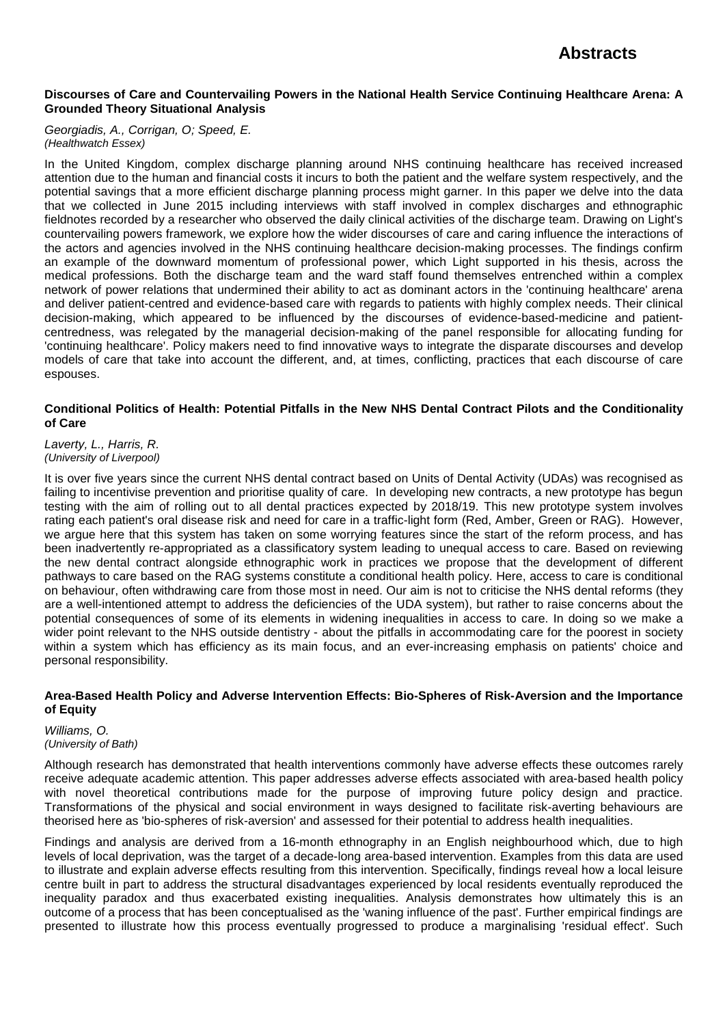### **Discourses of Care and Countervailing Powers in the National Health Service Continuing Healthcare Arena: A Grounded Theory Situational Analysis**

*Georgiadis, A., Corrigan, O; Speed, E. (Healthwatch Essex)*

In the United Kingdom, complex discharge planning around NHS continuing healthcare has received increased attention due to the human and financial costs it incurs to both the patient and the welfare system respectively, and the potential savings that a more efficient discharge planning process might garner. In this paper we delve into the data that we collected in June 2015 including interviews with staff involved in complex discharges and ethnographic fieldnotes recorded by a researcher who observed the daily clinical activities of the discharge team. Drawing on Light's countervailing powers framework, we explore how the wider discourses of care and caring influence the interactions of the actors and agencies involved in the NHS continuing healthcare decision-making processes. The findings confirm an example of the downward momentum of professional power, which Light supported in his thesis, across the medical professions. Both the discharge team and the ward staff found themselves entrenched within a complex network of power relations that undermined their ability to act as dominant actors in the 'continuing healthcare' arena and deliver patient-centred and evidence-based care with regards to patients with highly complex needs. Their clinical decision-making, which appeared to be influenced by the discourses of evidence-based-medicine and patientcentredness, was relegated by the managerial decision-making of the panel responsible for allocating funding for 'continuing healthcare'. Policy makers need to find innovative ways to integrate the disparate discourses and develop models of care that take into account the different, and, at times, conflicting, practices that each discourse of care espouses.

### **Conditional Politics of Health: Potential Pitfalls in the New NHS Dental Contract Pilots and the Conditionality of Care**

### *Laverty, L., Harris, R. (University of Liverpool)*

It is over five years since the current NHS dental contract based on Units of Dental Activity (UDAs) was recognised as failing to incentivise prevention and prioritise quality of care. In developing new contracts, a new prototype has begun testing with the aim of rolling out to all dental practices expected by 2018/19. This new prototype system involves rating each patient's oral disease risk and need for care in a traffic-light form (Red, Amber, Green or RAG). However, we argue here that this system has taken on some worrying features since the start of the reform process, and has been inadvertently re-appropriated as a classificatory system leading to unequal access to care. Based on reviewing the new dental contract alongside ethnographic work in practices we propose that the development of different pathways to care based on the RAG systems constitute a conditional health policy. Here, access to care is conditional on behaviour, often withdrawing care from those most in need. Our aim is not to criticise the NHS dental reforms (they are a well-intentioned attempt to address the deficiencies of the UDA system), but rather to raise concerns about the potential consequences of some of its elements in widening inequalities in access to care. In doing so we make a wider point relevant to the NHS outside dentistry - about the pitfalls in accommodating care for the poorest in society within a system which has efficiency as its main focus, and an ever-increasing emphasis on patients' choice and personal responsibility.

### **Area-Based Health Policy and Adverse Intervention Effects: Bio-Spheres of Risk-Aversion and the Importance of Equity**

*Williams, O. (University of Bath)*

Although research has demonstrated that health interventions commonly have adverse effects these outcomes rarely receive adequate academic attention. This paper addresses adverse effects associated with area-based health policy with novel theoretical contributions made for the purpose of improving future policy design and practice. Transformations of the physical and social environment in ways designed to facilitate risk-averting behaviours are theorised here as 'bio-spheres of risk-aversion' and assessed for their potential to address health inequalities.

Findings and analysis are derived from a 16-month ethnography in an English neighbourhood which, due to high levels of local deprivation, was the target of a decade-long area-based intervention. Examples from this data are used to illustrate and explain adverse effects resulting from this intervention. Specifically, findings reveal how a local leisure centre built in part to address the structural disadvantages experienced by local residents eventually reproduced the inequality paradox and thus exacerbated existing inequalities. Analysis demonstrates how ultimately this is an outcome of a process that has been conceptualised as the 'waning influence of the past'. Further empirical findings are presented to illustrate how this process eventually progressed to produce a marginalising 'residual effect'. Such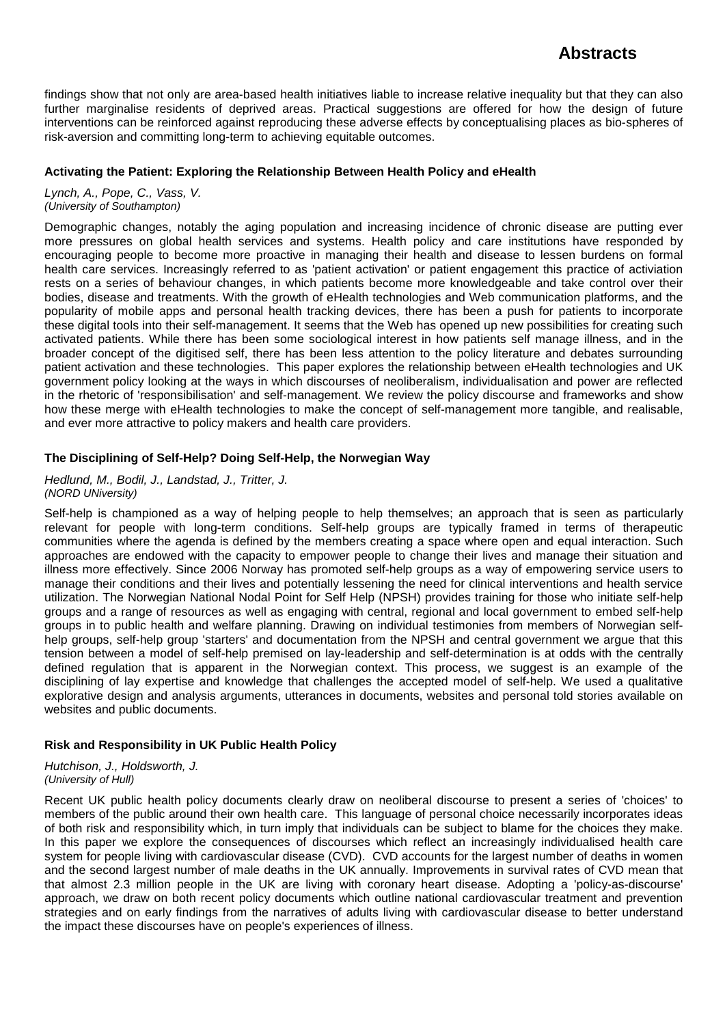findings show that not only are area-based health initiatives liable to increase relative inequality but that they can also further marginalise residents of deprived areas. Practical suggestions are offered for how the design of future interventions can be reinforced against reproducing these adverse effects by conceptualising places as bio-spheres of risk-aversion and committing long-term to achieving equitable outcomes.

### **Activating the Patient: Exploring the Relationship Between Health Policy and eHealth**

*Lynch, A., Pope, C., Vass, V. (University of Southampton)*

Demographic changes, notably the aging population and increasing incidence of chronic disease are putting ever more pressures on global health services and systems. Health policy and care institutions have responded by encouraging people to become more proactive in managing their health and disease to lessen burdens on formal health care services. Increasingly referred to as 'patient activation' or patient engagement this practice of activiation rests on a series of behaviour changes, in which patients become more knowledgeable and take control over their bodies, disease and treatments. With the growth of eHealth technologies and Web communication platforms, and the popularity of mobile apps and personal health tracking devices, there has been a push for patients to incorporate these digital tools into their self-management. It seems that the Web has opened up new possibilities for creating such activated patients. While there has been some sociological interest in how patients self manage illness, and in the broader concept of the digitised self, there has been less attention to the policy literature and debates surrounding patient activation and these technologies. This paper explores the relationship between eHealth technologies and UK government policy looking at the ways in which discourses of neoliberalism, individualisation and power are reflected in the rhetoric of 'responsibilisation' and self-management. We review the policy discourse and frameworks and show how these merge with eHealth technologies to make the concept of self-management more tangible, and realisable, and ever more attractive to policy makers and health care providers.

## **The Disciplining of Self-Help? Doing Self-Help, the Norwegian Way**

*Hedlund, M., Bodil, J., Landstad, J., Tritter, J. (NORD UNiversity)*

Self-help is championed as a way of helping people to help themselves; an approach that is seen as particularly relevant for people with long-term conditions. Self-help groups are typically framed in terms of therapeutic communities where the agenda is defined by the members creating a space where open and equal interaction. Such approaches are endowed with the capacity to empower people to change their lives and manage their situation and illness more effectively. Since 2006 Norway has promoted self-help groups as a way of empowering service users to manage their conditions and their lives and potentially lessening the need for clinical interventions and health service utilization. The Norwegian National Nodal Point for Self Help (NPSH) provides training for those who initiate self-help groups and a range of resources as well as engaging with central, regional and local government to embed self-help groups in to public health and welfare planning. Drawing on individual testimonies from members of Norwegian selfhelp groups, self-help group 'starters' and documentation from the NPSH and central government we argue that this tension between a model of self-help premised on lay-leadership and self-determination is at odds with the centrally defined regulation that is apparent in the Norwegian context. This process, we suggest is an example of the disciplining of lay expertise and knowledge that challenges the accepted model of self-help. We used a qualitative explorative design and analysis arguments, utterances in documents, websites and personal told stories available on websites and public documents.

## **Risk and Responsibility in UK Public Health Policy**

*Hutchison, J., Holdsworth, J. (University of Hull)*

Recent UK public health policy documents clearly draw on neoliberal discourse to present a series of 'choices' to members of the public around their own health care. This language of personal choice necessarily incorporates ideas of both risk and responsibility which, in turn imply that individuals can be subject to blame for the choices they make. In this paper we explore the consequences of discourses which reflect an increasingly individualised health care system for people living with cardiovascular disease (CVD). CVD accounts for the largest number of deaths in women and the second largest number of male deaths in the UK annually. Improvements in survival rates of CVD mean that that almost 2.3 million people in the UK are living with coronary heart disease. Adopting a 'policy-as-discourse' approach, we draw on both recent policy documents which outline national cardiovascular treatment and prevention strategies and on early findings from the narratives of adults living with cardiovascular disease to better understand the impact these discourses have on people's experiences of illness.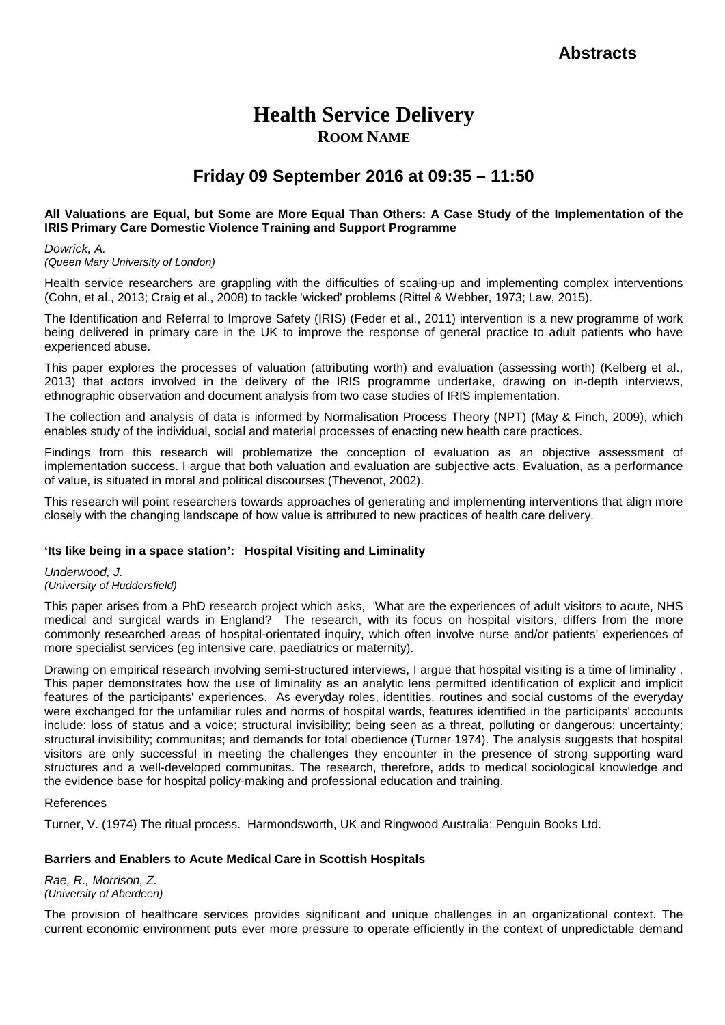# **Health Service Delivery ROOM NAME**

# **Friday 09 September 2016 at 09:35 – 11:50**

### **All Valuations are Equal, but Some are More Equal Than Others: A Case Study of the Implementation of the IRIS Primary Care Domestic Violence Training and Support Programme**

*Dowrick, A.*

### *(Queen Mary University of London)*

Health service researchers are grappling with the difficulties of scaling-up and implementing complex interventions (Cohn, et al., 2013; Craig et al., 2008) to tackle 'wicked' problems (Rittel & Webber, 1973; Law, 2015).

The Identification and Referral to Improve Safety (IRIS) (Feder et al., 2011) intervention is a new programme of work being delivered in primary care in the UK to improve the response of general practice to adult patients who have experienced abuse.

This paper explores the processes of valuation (attributing worth) and evaluation (assessing worth) (Kelberg et al., 2013) that actors involved in the delivery of the IRIS programme undertake, drawing on in-depth interviews, ethnographic observation and document analysis from two case studies of IRIS implementation.

The collection and analysis of data is informed by Normalisation Process Theory (NPT) (May & Finch, 2009), which enables study of the individual, social and material processes of enacting new health care practices.

Findings from this research will problematize the conception of evaluation as an objective assessment of implementation success. I argue that both valuation and evaluation are subjective acts. Evaluation, as a performance of value, is situated in moral and political discourses (Thevenot, 2002).

This research will point researchers towards approaches of generating and implementing interventions that align more closely with the changing landscape of how value is attributed to new practices of health care delivery.

## **'Its like being in a space station': Hospital Visiting and Liminality**

*Underwood, J. (University of Huddersfield)*

This paper arises from a PhD research project which asks, 'What are the experiences of adult visitors to acute, NHS medical and surgical wards in England? The research, with its focus on hospital visitors, differs from the more commonly researched areas of hospital-orientated inquiry, which often involve nurse and/or patients' experiences of more specialist services (eg intensive care, paediatrics or maternity).

Drawing on empirical research involving semi-structured interviews, I argue that hospital visiting is a time of liminality . This paper demonstrates how the use of liminality as an analytic lens permitted identification of explicit and implicit features of the participants' experiences. As everyday roles, identities, routines and social customs of the everyday were exchanged for the unfamiliar rules and norms of hospital wards, features identified in the participants' accounts include: loss of status and a voice; structural invisibility; being seen as a threat, polluting or dangerous; uncertainty; structural invisibility; communitas; and demands for total obedience (Turner 1974). The analysis suggests that hospital visitors are only successful in meeting the challenges they encounter in the presence of strong supporting ward structures and a well-developed communitas. The research, therefore, adds to medical sociological knowledge and the evidence base for hospital policy-making and professional education and training.

### References

Turner, V. (1974) The ritual process. Harmondsworth, UK and Ringwood Australia: Penguin Books Ltd.

## **Barriers and Enablers to Acute Medical Care in Scottish Hospitals**

*Rae, R., Morrison, Z. (University of Aberdeen)*

The provision of healthcare services provides significant and unique challenges in an organizational context. The current economic environment puts ever more pressure to operate efficiently in the context of unpredictable demand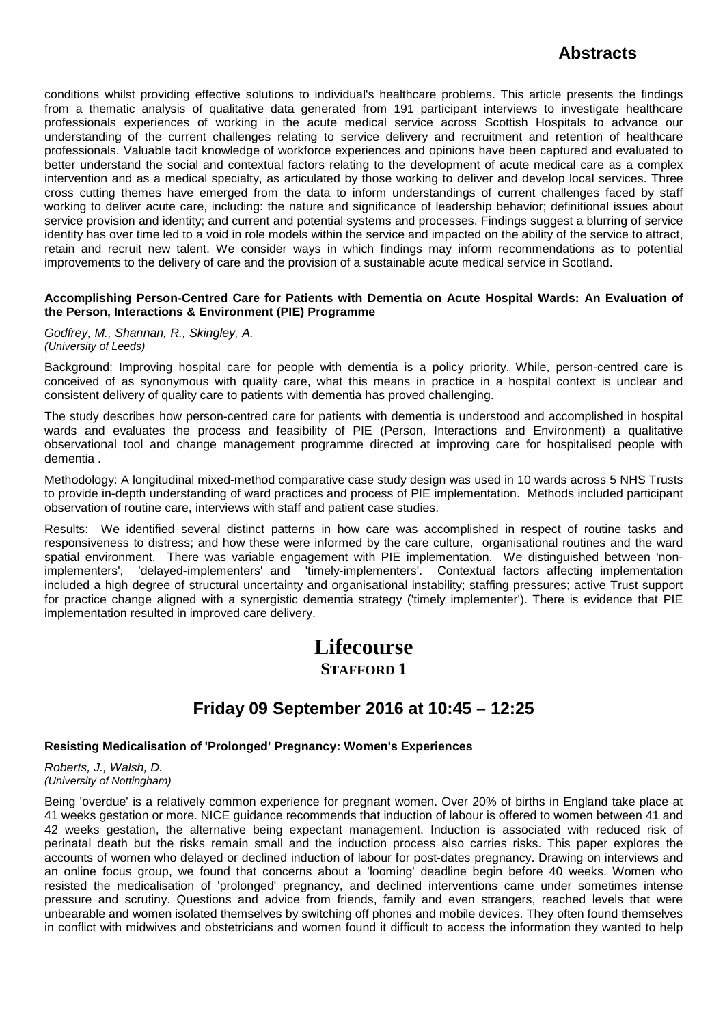conditions whilst providing effective solutions to individual's healthcare problems. This article presents the findings from a thematic analysis of qualitative data generated from 191 participant interviews to investigate healthcare professionals experiences of working in the acute medical service across Scottish Hospitals to advance our understanding of the current challenges relating to service delivery and recruitment and retention of healthcare professionals. Valuable tacit knowledge of workforce experiences and opinions have been captured and evaluated to better understand the social and contextual factors relating to the development of acute medical care as a complex intervention and as a medical specialty, as articulated by those working to deliver and develop local services. Three cross cutting themes have emerged from the data to inform understandings of current challenges faced by staff working to deliver acute care, including: the nature and significance of leadership behavior; definitional issues about service provision and identity; and current and potential systems and processes. Findings suggest a blurring of service identity has over time led to a void in role models within the service and impacted on the ability of the service to attract, retain and recruit new talent. We consider ways in which findings may inform recommendations as to potential improvements to the delivery of care and the provision of a sustainable acute medical service in Scotland.

### **Accomplishing Person-Centred Care for Patients with Dementia on Acute Hospital Wards: An Evaluation of the Person, Interactions & Environment (PIE) Programme**

### *Godfrey, M., Shannan, R., Skingley, A. (University of Leeds)*

Background: Improving hospital care for people with dementia is a policy priority. While, person-centred care is conceived of as synonymous with quality care, what this means in practice in a hospital context is unclear and consistent delivery of quality care to patients with dementia has proved challenging.

The study describes how person-centred care for patients with dementia is understood and accomplished in hospital wards and evaluates the process and feasibility of PIE (Person, Interactions and Environment) a qualitative observational tool and change management programme directed at improving care for hospitalised people with dementia .

Methodology: A longitudinal mixed-method comparative case study design was used in 10 wards across 5 NHS Trusts to provide in-depth understanding of ward practices and process of PIE implementation. Methods included participant observation of routine care, interviews with staff and patient case studies.

Results: We identified several distinct patterns in how care was accomplished in respect of routine tasks and responsiveness to distress; and how these were informed by the care culture, organisational routines and the ward spatial environment. There was variable engagement with PIE implementation. We distinguished between 'non-<br>implementers', relayed-implementers' and rimely-implementers'. Contextual factors affecting implementation 'delayed-implementers' and 'timely-implementers'. Contextual factors affecting implementation included a high degree of structural uncertainty and organisational instability; staffing pressures; active Trust support for practice change aligned with a synergistic dementia strategy ('timely implementer'). There is evidence that PIE implementation resulted in improved care delivery.

# **Lifecourse STAFFORD 1**

# **Friday 09 September 2016 at 10:45 – 12:25**

## **Resisting Medicalisation of 'Prolonged' Pregnancy: Women's Experiences**

*Roberts, J., Walsh, D. (University of Nottingham)*

Being 'overdue' is a relatively common experience for pregnant women. Over 20% of births in England take place at 41 weeks gestation or more. NICE guidance recommends that induction of labour is offered to women between 41 and 42 weeks gestation, the alternative being expectant management. Induction is associated with reduced risk of perinatal death but the risks remain small and the induction process also carries risks. This paper explores the accounts of women who delayed or declined induction of labour for post-dates pregnancy. Drawing on interviews and an online focus group, we found that concerns about a 'looming' deadline begin before 40 weeks. Women who resisted the medicalisation of 'prolonged' pregnancy, and declined interventions came under sometimes intense pressure and scrutiny. Questions and advice from friends, family and even strangers, reached levels that were unbearable and women isolated themselves by switching off phones and mobile devices. They often found themselves in conflict with midwives and obstetricians and women found it difficult to access the information they wanted to help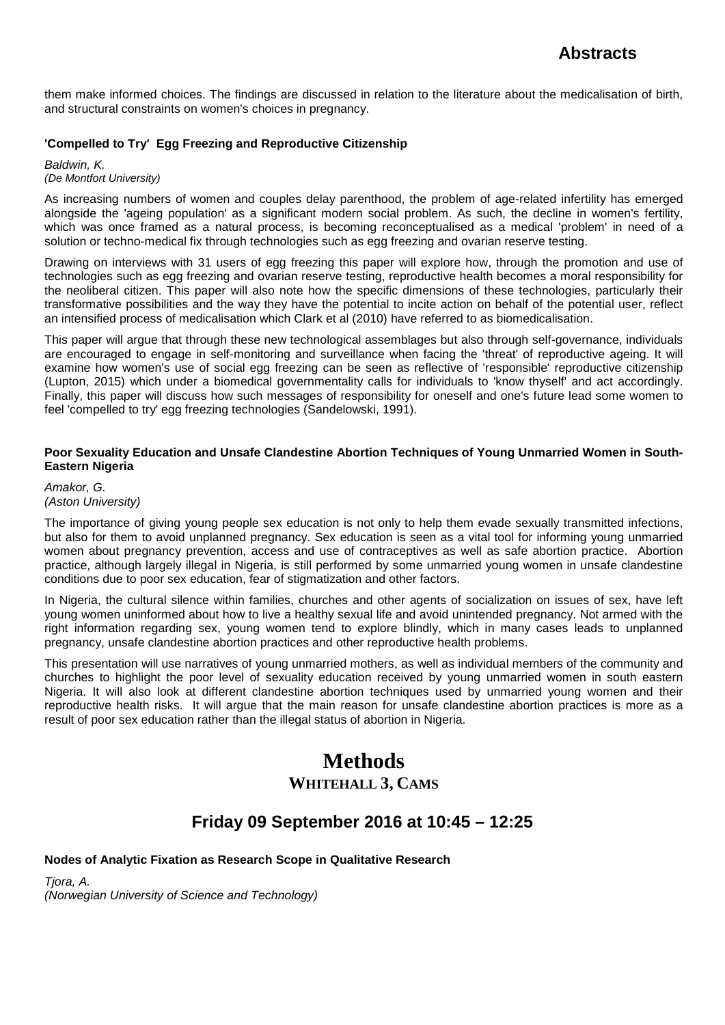them make informed choices. The findings are discussed in relation to the literature about the medicalisation of birth, and structural constraints on women's choices in pregnancy.

## **'Compelled to Try' Egg Freezing and Reproductive Citizenship**

*Baldwin, K. (De Montfort University)*

As increasing numbers of women and couples delay parenthood, the problem of age-related infertility has emerged alongside the 'ageing population' as a significant modern social problem. As such, the decline in women's fertility, which was once framed as a natural process, is becoming reconceptualised as a medical 'problem' in need of a solution or techno-medical fix through technologies such as egg freezing and ovarian reserve testing.

Drawing on interviews with 31 users of egg freezing this paper will explore how, through the promotion and use of technologies such as egg freezing and ovarian reserve testing, reproductive health becomes a moral responsibility for the neoliberal citizen. This paper will also note how the specific dimensions of these technologies, particularly their transformative possibilities and the way they have the potential to incite action on behalf of the potential user, reflect an intensified process of medicalisation which Clark et al (2010) have referred to as biomedicalisation.

This paper will argue that through these new technological assemblages but also through self-governance, individuals are encouraged to engage in self-monitoring and surveillance when facing the 'threat' of reproductive ageing. It will examine how women's use of social egg freezing can be seen as reflective of 'responsible' reproductive citizenship (Lupton, 2015) which under a biomedical governmentality calls for individuals to 'know thyself' and act accordingly. Finally, this paper will discuss how such messages of responsibility for oneself and one's future lead some women to feel 'compelled to try' egg freezing technologies (Sandelowski, 1991).

### **Poor Sexuality Education and Unsafe Clandestine Abortion Techniques of Young Unmarried Women in South-Eastern Nigeria**

*Amakor, G. (Aston University)*

The importance of giving young people sex education is not only to help them evade sexually transmitted infections, but also for them to avoid unplanned pregnancy. Sex education is seen as a vital tool for informing young unmarried women about pregnancy prevention, access and use of contraceptives as well as safe abortion practice. Abortion practice, although largely illegal in Nigeria, is still performed by some unmarried young women in unsafe clandestine conditions due to poor sex education, fear of stigmatization and other factors.

In Nigeria, the cultural silence within families, churches and other agents of socialization on issues of sex, have left young women uninformed about how to live a healthy sexual life and avoid unintended pregnancy. Not armed with the right information regarding sex, young women tend to explore blindly, which in many cases leads to unplanned pregnancy, unsafe clandestine abortion practices and other reproductive health problems.

This presentation will use narratives of young unmarried mothers, as well as individual members of the community and churches to highlight the poor level of sexuality education received by young unmarried women in south eastern Nigeria. It will also look at different clandestine abortion techniques used by unmarried young women and their reproductive health risks. It will argue that the main reason for unsafe clandestine abortion practices is more as a result of poor sex education rather than the illegal status of abortion in Nigeria.

# **Methods WHITEHALL 3, CAMS**

# **Friday 09 September 2016 at 10:45 – 12:25**

## **Nodes of Analytic Fixation as Research Scope in Qualitative Research**

*Tjora, A. (Norwegian University of Science and Technology)*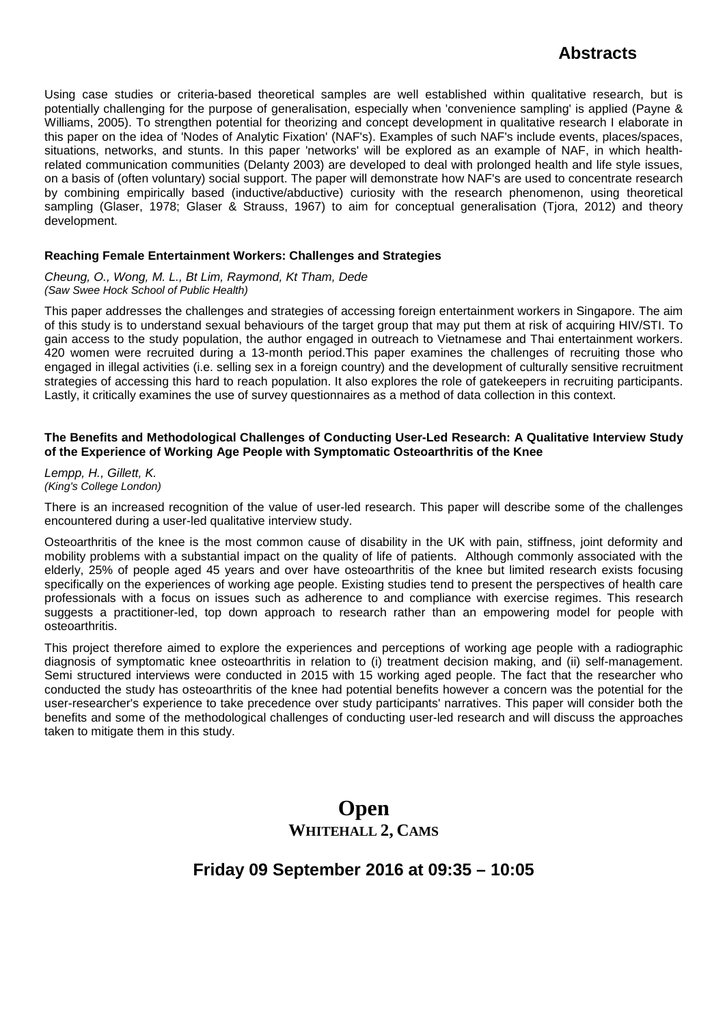Using case studies or criteria-based theoretical samples are well established within qualitative research, but is potentially challenging for the purpose of generalisation, especially when 'convenience sampling' is applied (Payne & Williams, 2005). To strengthen potential for theorizing and concept development in qualitative research I elaborate in this paper on the idea of 'Nodes of Analytic Fixation' (NAF's). Examples of such NAF's include events, places/spaces, situations, networks, and stunts. In this paper 'networks' will be explored as an example of NAF, in which healthrelated communication communities (Delanty 2003) are developed to deal with prolonged health and life style issues, on a basis of (often voluntary) social support. The paper will demonstrate how NAF's are used to concentrate research by combining empirically based (inductive/abductive) curiosity with the research phenomenon, using theoretical sampling (Glaser, 1978; Glaser & Strauss, 1967) to aim for conceptual generalisation (Tjora, 2012) and theory development.

### **Reaching Female Entertainment Workers: Challenges and Strategies**

*Cheung, O., Wong, M. L., Bt Lim, Raymond, Kt Tham, Dede (Saw Swee Hock School of Public Health)*

This paper addresses the challenges and strategies of accessing foreign entertainment workers in Singapore. The aim of this study is to understand sexual behaviours of the target group that may put them at risk of acquiring HIV/STI. To gain access to the study population, the author engaged in outreach to Vietnamese and Thai entertainment workers. 420 women were recruited during a 13-month period.This paper examines the challenges of recruiting those who engaged in illegal activities (i.e. selling sex in a foreign country) and the development of culturally sensitive recruitment strategies of accessing this hard to reach population. It also explores the role of gatekeepers in recruiting participants. Lastly, it critically examines the use of survey questionnaires as a method of data collection in this context.

### **The Benefits and Methodological Challenges of Conducting User-Led Research: A Qualitative Interview Study of the Experience of Working Age People with Symptomatic Osteoarthritis of the Knee**

*Lempp, H., Gillett, K. (King's College London)*

There is an increased recognition of the value of user-led research. This paper will describe some of the challenges encountered during a user-led qualitative interview study.

Osteoarthritis of the knee is the most common cause of disability in the UK with pain, stiffness, joint deformity and mobility problems with a substantial impact on the quality of life of patients. Although commonly associated with the elderly, 25% of people aged 45 years and over have osteoarthritis of the knee but limited research exists focusing specifically on the experiences of working age people. Existing studies tend to present the perspectives of health care professionals with a focus on issues such as adherence to and compliance with exercise regimes. This research suggests a practitioner-led, top down approach to research rather than an empowering model for people with osteoarthritis.

This project therefore aimed to explore the experiences and perceptions of working age people with a radiographic diagnosis of symptomatic knee osteoarthritis in relation to (i) treatment decision making, and (ii) self-management. Semi structured interviews were conducted in 2015 with 15 working aged people. The fact that the researcher who conducted the study has osteoarthritis of the knee had potential benefits however a concern was the potential for the user-researcher's experience to take precedence over study participants' narratives. This paper will consider both the benefits and some of the methodological challenges of conducting user-led research and will discuss the approaches taken to mitigate them in this study.

# **Open WHITEHALL 2, CAMS**

# **Friday 09 September 2016 at 09:35 – 10:05**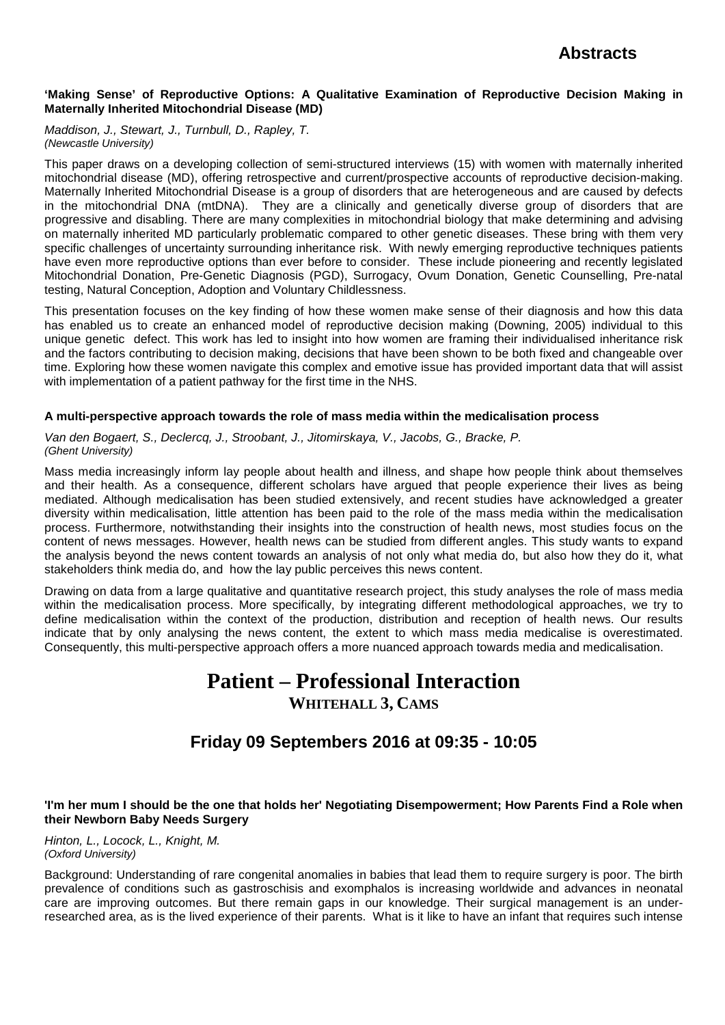### **'Making Sense' of Reproductive Options: A Qualitative Examination of Reproductive Decision Making in Maternally Inherited Mitochondrial Disease (MD)**

*Maddison, J., Stewart, J., Turnbull, D., Rapley, T. (Newcastle University)*

This paper draws on a developing collection of semi-structured interviews (15) with women with maternally inherited mitochondrial disease (MD), offering retrospective and current/prospective accounts of reproductive decision-making. Maternally Inherited Mitochondrial Disease is a group of disorders that are heterogeneous and are caused by defects in the mitochondrial DNA (mtDNA). They are a clinically and genetically diverse group of disorders that are progressive and disabling. There are many complexities in mitochondrial biology that make determining and advising on maternally inherited MD particularly problematic compared to other genetic diseases. These bring with them very specific challenges of uncertainty surrounding inheritance risk. With newly emerging reproductive techniques patients have even more reproductive options than ever before to consider. These include pioneering and recently legislated Mitochondrial Donation, Pre-Genetic Diagnosis (PGD), Surrogacy, Ovum Donation, Genetic Counselling, Pre-natal testing, Natural Conception, Adoption and Voluntary Childlessness.

This presentation focuses on the key finding of how these women make sense of their diagnosis and how this data has enabled us to create an enhanced model of reproductive decision making (Downing, 2005) individual to this unique genetic defect. This work has led to insight into how women are framing their individualised inheritance risk and the factors contributing to decision making, decisions that have been shown to be both fixed and changeable over time. Exploring how these women navigate this complex and emotive issue has provided important data that will assist with implementation of a patient pathway for the first time in the NHS.

### **A multi-perspective approach towards the role of mass media within the medicalisation process**

*Van den Bogaert, S., Declercq, J., Stroobant, J., Jitomirskaya, V., Jacobs, G., Bracke, P. (Ghent University)*

Mass media increasingly inform lay people about health and illness, and shape how people think about themselves and their health. As a consequence, different scholars have argued that people experience their lives as being mediated. Although medicalisation has been studied extensively, and recent studies have acknowledged a greater diversity within medicalisation, little attention has been paid to the role of the mass media within the medicalisation process. Furthermore, notwithstanding their insights into the construction of health news, most studies focus on the content of news messages. However, health news can be studied from different angles. This study wants to expand the analysis beyond the news content towards an analysis of not only what media do, but also how they do it, what stakeholders think media do, and how the lay public perceives this news content.

Drawing on data from a large qualitative and quantitative research project, this study analyses the role of mass media within the medicalisation process. More specifically, by integrating different methodological approaches, we try to define medicalisation within the context of the production, distribution and reception of health news. Our results indicate that by only analysing the news content, the extent to which mass media medicalise is overestimated. Consequently, this multi-perspective approach offers a more nuanced approach towards media and medicalisation.

# **Patient – Professional Interaction**

# **WHITEHALL 3, CAMS**

# **Friday 09 Septembers 2016 at 09:35 - 10:05**

## **'I'm her mum I should be the one that holds her' Negotiating Disempowerment; How Parents Find a Role when their Newborn Baby Needs Surgery**

*Hinton, L., Locock, L., Knight, M. (Oxford University)*

Background: Understanding of rare congenital anomalies in babies that lead them to require surgery is poor. The birth prevalence of conditions such as gastroschisis and exomphalos is increasing worldwide and advances in neonatal care are improving outcomes. But there remain gaps in our knowledge. Their surgical management is an underresearched area, as is the lived experience of their parents. What is it like to have an infant that requires such intense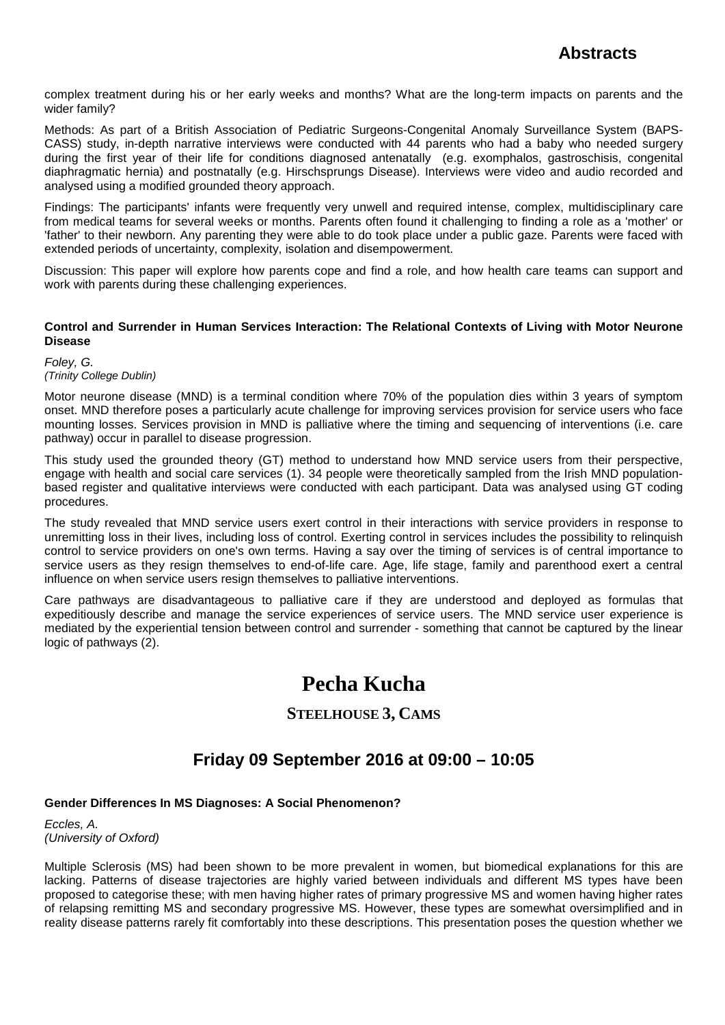complex treatment during his or her early weeks and months? What are the long-term impacts on parents and the wider family?

Methods: As part of a British Association of Pediatric Surgeons-Congenital Anomaly Surveillance System (BAPS-CASS) study, in-depth narrative interviews were conducted with 44 parents who had a baby who needed surgery during the first year of their life for conditions diagnosed antenatally (e.g. exomphalos, gastroschisis, congenital diaphragmatic hernia) and postnatally (e.g. Hirschsprungs Disease). Interviews were video and audio recorded and analysed using a modified grounded theory approach.

Findings: The participants' infants were frequently very unwell and required intense, complex, multidisciplinary care from medical teams for several weeks or months. Parents often found it challenging to finding a role as a 'mother' or 'father' to their newborn. Any parenting they were able to do took place under a public gaze. Parents were faced with extended periods of uncertainty, complexity, isolation and disempowerment.

Discussion: This paper will explore how parents cope and find a role, and how health care teams can support and work with parents during these challenging experiences.

### **Control and Surrender in Human Services Interaction: The Relational Contexts of Living with Motor Neurone Disease**

*Foley, G. (Trinity College Dublin)*

Motor neurone disease (MND) is a terminal condition where 70% of the population dies within 3 years of symptom onset. MND therefore poses a particularly acute challenge for improving services provision for service users who face mounting losses. Services provision in MND is palliative where the timing and sequencing of interventions (i.e. care pathway) occur in parallel to disease progression.

This study used the grounded theory (GT) method to understand how MND service users from their perspective, engage with health and social care services (1). 34 people were theoretically sampled from the Irish MND populationbased register and qualitative interviews were conducted with each participant. Data was analysed using GT coding procedures.

The study revealed that MND service users exert control in their interactions with service providers in response to unremitting loss in their lives, including loss of control. Exerting control in services includes the possibility to relinquish control to service providers on one's own terms. Having a say over the timing of services is of central importance to service users as they resign themselves to end-of-life care. Age, life stage, family and parenthood exert a central influence on when service users resign themselves to palliative interventions.

Care pathways are disadvantageous to palliative care if they are understood and deployed as formulas that expeditiously describe and manage the service experiences of service users. The MND service user experience is mediated by the experiential tension between control and surrender - something that cannot be captured by the linear logic of pathways (2).

# **Pecha Kucha**

# **STEELHOUSE 3, CAMS**

# **Friday 09 September 2016 at 09:00 – 10:05**

## **Gender Differences In MS Diagnoses: A Social Phenomenon?**

*Eccles, A. (University of Oxford)*

Multiple Sclerosis (MS) had been shown to be more prevalent in women, but biomedical explanations for this are lacking. Patterns of disease trajectories are highly varied between individuals and different MS types have been proposed to categorise these; with men having higher rates of primary progressive MS and women having higher rates of relapsing remitting MS and secondary progressive MS. However, these types are somewhat oversimplified and in reality disease patterns rarely fit comfortably into these descriptions. This presentation poses the question whether we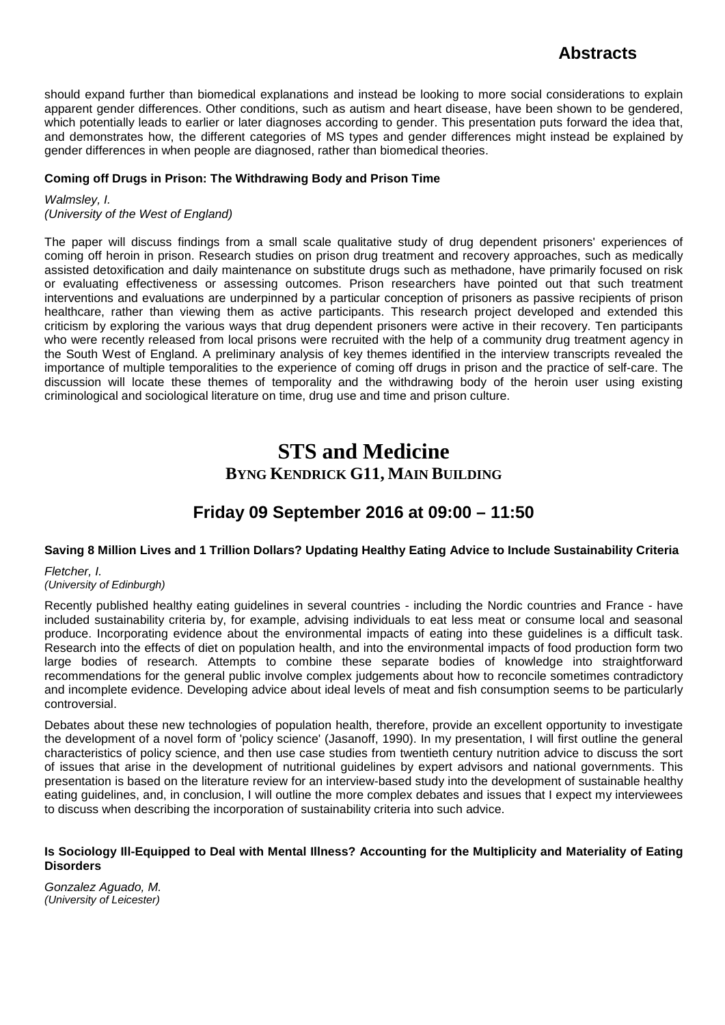should expand further than biomedical explanations and instead be looking to more social considerations to explain apparent gender differences. Other conditions, such as autism and heart disease, have been shown to be gendered, which potentially leads to earlier or later diagnoses according to gender. This presentation puts forward the idea that, and demonstrates how, the different categories of MS types and gender differences might instead be explained by gender differences in when people are diagnosed, rather than biomedical theories.

## **Coming off Drugs in Prison: The Withdrawing Body and Prison Time**

*Walmsley, I. (University of the West of England)*

The paper will discuss findings from a small scale qualitative study of drug dependent prisoners' experiences of coming off heroin in prison. Research studies on prison drug treatment and recovery approaches, such as medically assisted detoxification and daily maintenance on substitute drugs such as methadone, have primarily focused on risk or evaluating effectiveness or assessing outcomes. Prison researchers have pointed out that such treatment interventions and evaluations are underpinned by a particular conception of prisoners as passive recipients of prison healthcare, rather than viewing them as active participants. This research project developed and extended this criticism by exploring the various ways that drug dependent prisoners were active in their recovery. Ten participants who were recently released from local prisons were recruited with the help of a community drug treatment agency in the South West of England. A preliminary analysis of key themes identified in the interview transcripts revealed the importance of multiple temporalities to the experience of coming off drugs in prison and the practice of self-care. The discussion will locate these themes of temporality and the withdrawing body of the heroin user using existing criminological and sociological literature on time, drug use and time and prison culture.

# **STS and Medicine BYNG KENDRICK G11, MAIN BUILDING**

# **Friday 09 September 2016 at 09:00 – 11:50**

## **Saving 8 Million Lives and 1 Trillion Dollars? Updating Healthy Eating Advice to Include Sustainability Criteria**

*Fletcher, I. (University of Edinburgh)*

Recently published healthy eating guidelines in several countries - including the Nordic countries and France - have included sustainability criteria by, for example, advising individuals to eat less meat or consume local and seasonal produce. Incorporating evidence about the environmental impacts of eating into these guidelines is a difficult task. Research into the effects of diet on population health, and into the environmental impacts of food production form two large bodies of research. Attempts to combine these separate bodies of knowledge into straightforward recommendations for the general public involve complex judgements about how to reconcile sometimes contradictory and incomplete evidence. Developing advice about ideal levels of meat and fish consumption seems to be particularly controversial.

Debates about these new technologies of population health, therefore, provide an excellent opportunity to investigate the development of a novel form of 'policy science' (Jasanoff, 1990). In my presentation, I will first outline the general characteristics of policy science, and then use case studies from twentieth century nutrition advice to discuss the sort of issues that arise in the development of nutritional guidelines by expert advisors and national governments. This presentation is based on the literature review for an interview-based study into the development of sustainable healthy eating guidelines, and, in conclusion, I will outline the more complex debates and issues that I expect my interviewees to discuss when describing the incorporation of sustainability criteria into such advice.

### **Is Sociology Ill-Equipped to Deal with Mental Illness? Accounting for the Multiplicity and Materiality of Eating Disorders**

*Gonzalez Aguado, M. (University of Leicester)*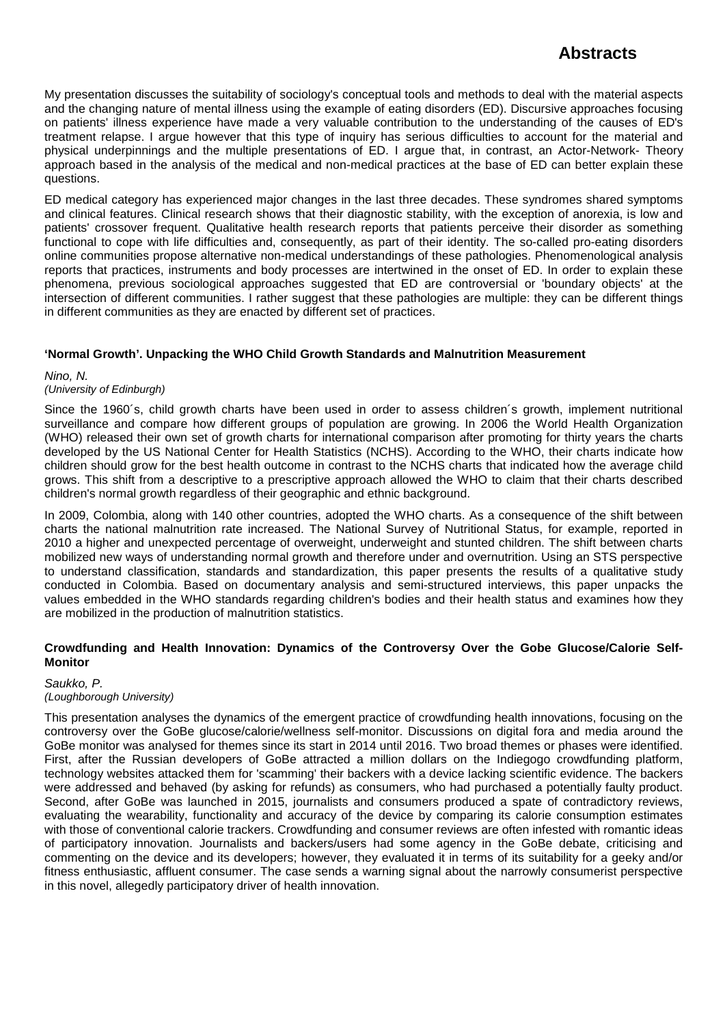My presentation discusses the suitability of sociology's conceptual tools and methods to deal with the material aspects and the changing nature of mental illness using the example of eating disorders (ED). Discursive approaches focusing on patients' illness experience have made a very valuable contribution to the understanding of the causes of ED's treatment relapse. I argue however that this type of inquiry has serious difficulties to account for the material and physical underpinnings and the multiple presentations of ED. I argue that, in contrast, an Actor-Network- Theory approach based in the analysis of the medical and non-medical practices at the base of ED can better explain these questions.

ED medical category has experienced major changes in the last three decades. These syndromes shared symptoms and clinical features. Clinical research shows that their diagnostic stability, with the exception of anorexia, is low and patients' crossover frequent. Qualitative health research reports that patients perceive their disorder as something functional to cope with life difficulties and, consequently, as part of their identity. The so-called pro-eating disorders online communities propose alternative non-medical understandings of these pathologies. Phenomenological analysis reports that practices, instruments and body processes are intertwined in the onset of ED. In order to explain these phenomena, previous sociological approaches suggested that ED are controversial or 'boundary objects' at the intersection of different communities. I rather suggest that these pathologies are multiple: they can be different things in different communities as they are enacted by different set of practices.

### **'Normal Growth'. Unpacking the WHO Child Growth Standards and Malnutrition Measurement**

*Nino, N.*

### *(University of Edinburgh)*

Since the 1960´s, child growth charts have been used in order to assess children´s growth, implement nutritional surveillance and compare how different groups of population are growing. In 2006 the World Health Organization (WHO) released their own set of growth charts for international comparison after promoting for thirty years the charts developed by the US National Center for Health Statistics (NCHS). According to the WHO, their charts indicate how children should grow for the best health outcome in contrast to the NCHS charts that indicated how the average child grows. This shift from a descriptive to a prescriptive approach allowed the WHO to claim that their charts described children's normal growth regardless of their geographic and ethnic background.

In 2009, Colombia, along with 140 other countries, adopted the WHO charts. As a consequence of the shift between charts the national malnutrition rate increased. The National Survey of Nutritional Status, for example, reported in 2010 a higher and unexpected percentage of overweight, underweight and stunted children. The shift between charts mobilized new ways of understanding normal growth and therefore under and overnutrition. Using an STS perspective to understand classification, standards and standardization, this paper presents the results of a qualitative study conducted in Colombia. Based on documentary analysis and semi-structured interviews, this paper unpacks the values embedded in the WHO standards regarding children's bodies and their health status and examines how they are mobilized in the production of malnutrition statistics.

### **Crowdfunding and Health Innovation: Dynamics of the Controversy Over the Gobe Glucose/Calorie Self-Monitor**

#### *Saukko, P. (Loughborough University)*

This presentation analyses the dynamics of the emergent practice of crowdfunding health innovations, focusing on the controversy over the GoBe glucose/calorie/wellness self-monitor. Discussions on digital fora and media around the GoBe monitor was analysed for themes since its start in 2014 until 2016. Two broad themes or phases were identified. First, after the Russian developers of GoBe attracted a million dollars on the Indiegogo crowdfunding platform, technology websites attacked them for 'scamming' their backers with a device lacking scientific evidence. The backers were addressed and behaved (by asking for refunds) as consumers, who had purchased a potentially faulty product. Second, after GoBe was launched in 2015, journalists and consumers produced a spate of contradictory reviews, evaluating the wearability, functionality and accuracy of the device by comparing its calorie consumption estimates with those of conventional calorie trackers. Crowdfunding and consumer reviews are often infested with romantic ideas of participatory innovation. Journalists and backers/users had some agency in the GoBe debate, criticising and commenting on the device and its developers; however, they evaluated it in terms of its suitability for a geeky and/or fitness enthusiastic, affluent consumer. The case sends a warning signal about the narrowly consumerist perspective in this novel, allegedly participatory driver of health innovation.